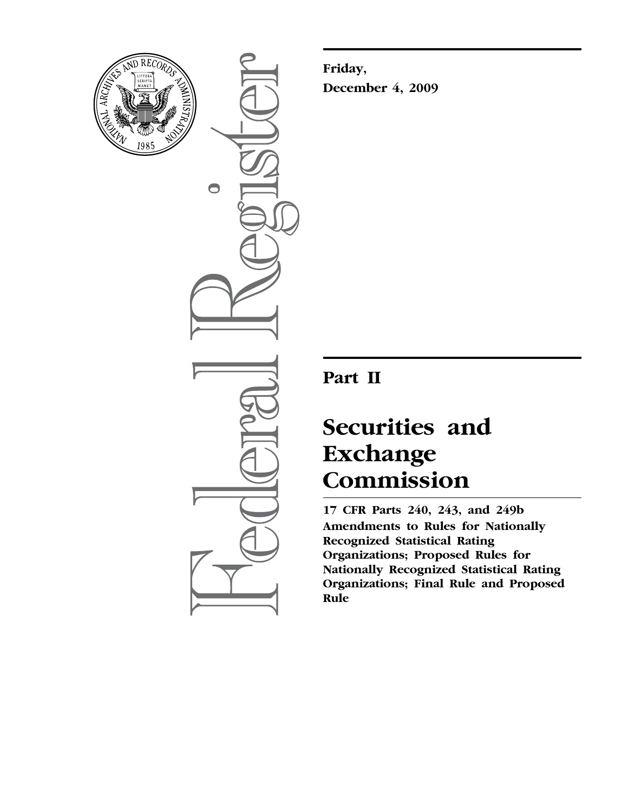

 $\bullet$ 

**Friday, December 4, 2009** 

# **Part II**

# **Securities and Exchange Commission**

**17 CFR Parts 240, 243, and 249b Amendments to Rules for Nationally Recognized Statistical Rating Organizations; Proposed Rules for Nationally Recognized Statistical Rating Organizations; Final Rule and Proposed Rule**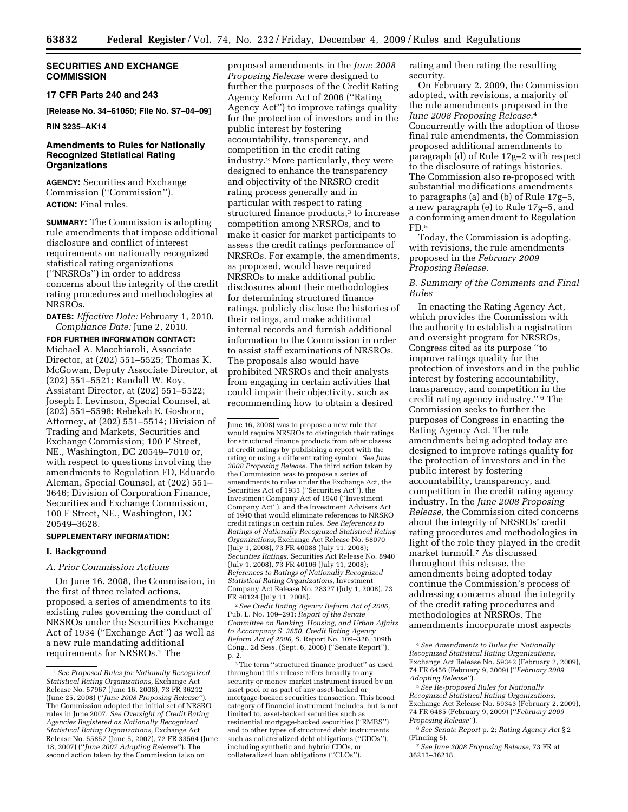# **SECURITIES AND EXCHANGE COMMISSION**

#### **17 CFR Parts 240 and 243**

**[Release No. 34–61050; File No. S7–04–09]** 

#### **RIN 3235–AK14**

# **Amendments to Rules for Nationally Recognized Statistical Rating Organizations**

**AGENCY:** Securities and Exchange Commission (''Commission''). **ACTION:** Final rules.

**SUMMARY:** The Commission is adopting rule amendments that impose additional disclosure and conflict of interest requirements on nationally recognized statistical rating organizations (''NRSROs'') in order to address concerns about the integrity of the credit rating procedures and methodologies at NRSROs.

**DATES:** *Effective Date:* February 1, 2010. *Compliance Date:* June 2, 2010.

**FOR FURTHER INFORMATION CONTACT:**  Michael A. Macchiaroli, Associate Director, at (202) 551–5525; Thomas K. McGowan, Deputy Associate Director, at (202) 551–5521; Randall W. Roy, Assistant Director, at (202) 551–5522; Joseph I. Levinson, Special Counsel, at (202) 551–5598; Rebekah E. Goshorn, Attorney, at (202) 551–5514; Division of Trading and Markets, Securities and Exchange Commission; 100 F Street, NE., Washington, DC 20549–7010 or, with respect to questions involving the amendments to Regulation FD, Eduardo Aleman, Special Counsel, at (202) 551– 3646; Division of Corporation Finance, Securities and Exchange Commission, 100 F Street, NE., Washington, DC 20549–3628.

#### **SUPPLEMENTARY INFORMATION:**

#### **I. Background**

#### *A. Prior Commission Actions*

On June 16, 2008, the Commission, in the first of three related actions, proposed a series of amendments to its existing rules governing the conduct of NRSROs under the Securities Exchange Act of 1934 (''Exchange Act'') as well as a new rule mandating additional requirements for NRSROs.1 The

proposed amendments in the *June 2008 Proposing Release* were designed to further the purposes of the Credit Rating Agency Reform Act of 2006 (''Rating Agency Act'') to improve ratings quality for the protection of investors and in the public interest by fostering accountability, transparency, and competition in the credit rating industry.2 More particularly, they were designed to enhance the transparency and objectivity of the NRSRO credit rating process generally and in particular with respect to rating structured finance products,<sup>3</sup> to increase competition among NRSROs, and to make it easier for market participants to assess the credit ratings performance of NRSROs. For example, the amendments, as proposed, would have required NRSROs to make additional public disclosures about their methodologies for determining structured finance ratings, publicly disclose the histories of their ratings, and make additional internal records and furnish additional information to the Commission in order to assist staff examinations of NRSROs. The proposals also would have prohibited NRSROs and their analysts from engaging in certain activities that could impair their objectivity, such as recommending how to obtain a desired

June 16, 2008) was to propose a new rule that would require NRSROs to distinguish their ratings for structured finance products from other classes of credit ratings by publishing a report with the rating or using a different rating symbol. *See June 2008 Proposing Release.* The third action taken by the Commission was to propose a series of amendments to rules under the Exchange Act, the Securities Act of 1933 (''Securities Act''), the Investment Company Act of 1940 (''Investment Company Act''), and the Investment Advisers Act of 1940 that would eliminate references to NRSRO credit ratings in certain rules. *See References to Ratings of Nationally Recognized Statistical Rating Organizations,* Exchange Act Release No. 58070 (July 1, 2008), 73 FR 40088 (July 11, 2008); *Securities Ratings,* Securities Act Release No. 8940 (July 1, 2008), 73 FR 40106 (July 11, 2008); *References to Ratings of Nationally Recognized Statistical Rating Organizations,* Investment Company Act Release No. 28327 (July 1, 2008), 73 FR 40124 (July 11, 2008).

2 *See Credit Rating Agency Reform Act of 2006,*  Pub. L. No. 109–291; *Report of the Senate Committee on Banking, Housing, and Urban Affairs to Accompany S. 3850, Credit Rating Agency Reform Act of 2006,* S. Report No. 109–326, 109th Cong., 2d Sess. (Sept. 6, 2006) (''Senate Report''), p. 2.

rating and then rating the resulting security.

On February 2, 2009, the Commission adopted, with revisions, a majority of the rule amendments proposed in the *June 2008 Proposing Release.*4 Concurrently with the adoption of those final rule amendments, the Commission proposed additional amendments to paragraph (d) of Rule 17g–2 with respect to the disclosure of ratings histories. The Commission also re-proposed with substantial modifications amendments to paragraphs (a) and (b) of Rule 17g–5, a new paragraph (e) to Rule 17g–5, and a conforming amendment to Regulation FD.5

Today, the Commission is adopting, with revisions, the rule amendments proposed in the *February 2009 Proposing Release.* 

# *B. Summary of the Comments and Final Rules*

In enacting the Rating Agency Act, which provides the Commission with the authority to establish a registration and oversight program for NRSROs, Congress cited as its purpose ''to improve ratings quality for the protection of investors and in the public interest by fostering accountability, transparency, and competition in the credit rating agency industry.'' 6 The Commission seeks to further the purposes of Congress in enacting the Rating Agency Act. The rule amendments being adopted today are designed to improve ratings quality for the protection of investors and in the public interest by fostering accountability, transparency, and competition in the credit rating agency industry. In the *June 2008 Proposing Release,* the Commission cited concerns about the integrity of NRSROs' credit rating procedures and methodologies in light of the role they played in the credit market turmoil.7 As discussed throughout this release, the amendments being adopted today continue the Commission's process of addressing concerns about the integrity of the credit rating procedures and methodologies at NRSROs. The amendments incorporate most aspects

<sup>1</sup> *See Proposed Rules for Nationally Recognized Statistical Rating Organizations,* Exchange Act Release No. 57967 (June 16, 2008), 73 FR 36212 (June 25, 2008) (''*June 2008 Proposing Release''*). The Commission adopted the initial set of NRSRO rules in June 2007. *See Oversight of Credit Rating Agencies Registered as Nationally Recognized Statistical Rating Organizations,* Exchange Act Release No. 55857 (June 5, 2007), 72 FR 33564 (June 18, 2007) (''*June 2007 Adopting Release''*). The second action taken by the Commission (also on

<sup>3</sup> The term ''structured finance product'' as used throughout this release refers broadly to any security or money market instrument issued by an asset pool or as part of any asset-backed or mortgage-backed securities transaction. This broad category of financial instrument includes, but is not limited to, asset-backed securities such as residential mortgage-backed securities (''RMBS'') and to other types of structured debt instruments such as collateralized debt obligations (''CDOs''), including synthetic and hybrid CDOs, or collateralized loan obligations (''CLOs'').

<sup>4</sup> *See Amendments to Rules for Nationally Recognized Statistical Rating Organizations,*  Exchange Act Release No. 59342 (February 2, 2009), 74 FR 6456 (February 9, 2009) (''*February 2009 Adopting Release''*).

<sup>5</sup> *See Re-proposed Rules for Nationally Recognized Statistical Rating Organizations,*  Exchange Act Release No. 59343 (February 2, 2009), 74 FR 6485 (February 9, 2009) (''*February 2009 Proposing Release''*).

<sup>6</sup> *See Senate Report* p. 2; *Rating Agency Act* §2 (Finding 5).

<sup>7</sup> *See June 2008 Proposing Release,* 73 FR at 36213–36218.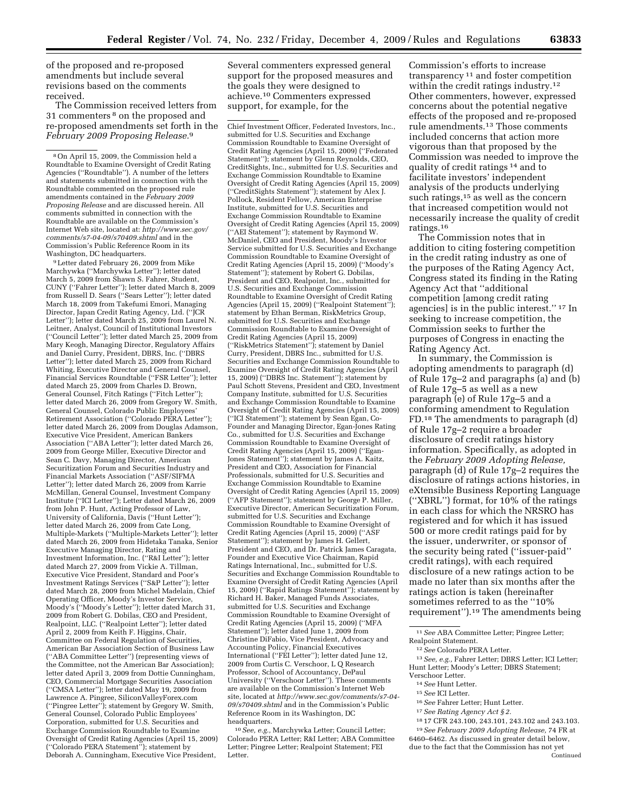of the proposed and re-proposed amendments but include several revisions based on the comments received.

The Commission received letters from 31 commenters 8 on the proposed and re-proposed amendments set forth in the *February 2009 Proposing Release.*9

9 Letter dated February 26, 2009 from Mike Marchywka (''Marchywka Letter''); letter dated March 5, 2009 from Shawn S. Fahrer, Student, CUNY (''Fahrer Letter''); letter dated March 8, 2009 from Russell D. Sears (''Sears Letter''); letter dated March 18, 2009 from Takefumi Emori, Managing Director, Japan Credit Rating Agency, Ltd. (''JCR Letter''); letter dated March 25, 2009 from Laurel N. Leitner, Analyst, Council of Institutional Investors (''Council Letter''); letter dated March 25, 2009 from Mary Keogh, Managing Director, Regulatory Affairs and Daniel Curry, President, DBRS, Inc. (''DBRS Letter''); letter dated March 25, 2009 from Richard Whiting, Executive Director and General Counsel, Financial Services Roundtable (''FSR Letter''); letter dated March 25, 2009 from Charles D. Brown, General Counsel, Fitch Ratings (''Fitch Letter''); letter dated March 26, 2009 from Gregory W. Smith, General Counsel, Colorado Public Employees' Retirement Association (''Colorado PERA Letter''); letter dated March 26, 2009 from Douglas Adamson, Executive Vice President, American Bankers Association (''ABA Letter''); letter dated March 26, 2009 from George Miller, Executive Director and Sean C. Davy, Managing Director, American Securitization Forum and Securities Industry and Financial Markets Association (''ASF/SIFMA Letter''); letter dated March 26, 2009 from Karrie McMillan, General Counsel, Investment Company Institute (''ICI Letter''); Letter dated March 26, 2009 from John P. Hunt, Acting Professor of Law, University of California, Davis (''Hunt Letter''); letter dated March 26, 2009 from Cate Long, Multiple-Markets (''Multiple-Markets Letter''); letter dated March 26, 2009 from Hidetaka Tanaka, Senior Executive Managing Director, Rating and Investment Information, Inc. (''R&I Letter''); letter dated March 27, 2009 from Vickie A. Tillman, Executive Vice President, Standard and Poor's Investment Ratings Services (''S&P Letter''); letter dated March 28, 2009 from Michel Madelain, Chief Operating Officer, Moody's Investor Service, Moody's (''Moody's Letter''); letter dated March 31, 2009 from Robert G. Dobilas, CEO and President, Realpoint, LLC. (''Realpoint Letter''); letter dated April 2, 2009 from Keith F. Higgins, Chair, Committee on Federal Regulation of Securities, American Bar Association Section of Business Law (''ABA Committee Letter'') (representing views of the Committee, not the American Bar Association); letter dated April 3, 2009 from Dottie Cunningham, CEO, Commercial Mortgage Securities Association (''CMSA Letter''); letter dated May 19, 2009 from Lawrence A. Pingree, SiliconValleyForex.com (''Pingree Letter''); statement by Gregory W. Smith, General Counsel, Colorado Public Employees' Corporation, submitted for U.S. Securities and Exchange Commission Roundtable to Examine Oversight of Credit Rating Agencies (April 15, 2009) (''Colorado PERA Statement''); statement by Deborah A. Cunningham, Executive Vice President,

Several commenters expressed general support for the proposed measures and the goals they were designed to achieve.10 Commenters expressed support, for example, for the

Chief Investment Officer, Federated Investors, Inc., submitted for U.S. Securities and Exchange Commission Roundtable to Examine Oversight of Credit Rating Agencies (April 15, 2009) (''Federated Statement''); statement by Glenn Reynolds, CEO, CreditSights, Inc., submitted for U.S. Securities and Exchange Commission Roundtable to Examine Oversight of Credit Rating Agencies (April 15, 2009) (''CreditSights Statement''); statement by Alex J. Pollock, Resident Fellow, American Enterprise Institute, submitted for U.S. Securities and Exchange Commission Roundtable to Examine Oversight of Credit Rating Agencies (April 15, 2009) (''AEI Statement''); statement by Raymond W. McDaniel, CEO and President, Moody's Investor Service submitted for U.S. Securities and Exchange Commission Roundtable to Examine Oversight of Credit Rating Agencies (April 15, 2009) (''Moody's Statement''); statement by Robert G. Dobilas, President and CEO, Realpoint, Inc., submitted for U.S. Securities and Exchange Commission Roundtable to Examine Oversight of Credit Rating Agencies (April 15, 2009) (''Realpoint Statement''); statement by Ethan Berman, RiskMetrics Group, submitted for U.S. Securities and Exchange Commission Roundtable to Examine Oversight of Credit Rating Agencies (April 15, 2009) (''RiskMetrics Statement''); statement by Daniel Curry, President, DBRS Inc., submitted for U.S. Securities and Exchange Commission Roundtable to Examine Oversight of Credit Rating Agencies (April 15, 2009) (''DBRS Inc. Statement''); statement by Paul Schott Stevens, President and CEO, Investment Company Institute, submitted for U.S. Securities and Exchange Commission Roundtable to Examine Oversight of Credit Rating Agencies (April 15, 2009) (''ICI Statement''); statement by Sean Egan, Co-Founder and Managing Director, Egan-Jones Rating Co., submitted for U.S. Securities and Exchange Commission Roundtable to Examine Oversight of Credit Rating Agencies (April 15, 2009) (''Egan-Jones Statement''); statement by James A. Kaitz, President and CEO, Association for Financial Professionals, submitted for U.S. Securities and Exchange Commission Roundtable to Examine Oversight of Credit Rating Agencies (April 15, 2009) (''AFP Statement''); statement by George P. Miller, Executive Director, American Securitization Forum, submitted for U.S. Securities and Exchange Commission Roundtable to Examine Oversight of Credit Rating Agencies (April 15, 2009) (''ASF Statement''); statement by James H. Gellert, President and CEO, and Dr. Patrick James Caragata, Founder and Executive Vice Chairman, Rapid Ratings International, Inc., submitted for U.S. Securities and Exchange Commission Roundtable to Examine Oversight of Credit Rating Agencies (April 15, 2009) (''Rapid Ratings Statement''); statement by Richard H. Baker, Managed Funds Associates, submitted for U.S. Securities and Exchange Commission Roundtable to Examine Oversight of Credit Rating Agencies (April 15, 2009) (''MFA Statement''); letter dated June 1, 2009 from Christine DiFabio, Vice President, Advocacy and Accounting Policy, Financial Executives International (''FEI Letter''); letter dated June 12, 2009 from Curtis C. Verschoor, L Q Research Professor, School of Accountancy, DePaul University (''Verschoor Letter''). These comments are available on the Commission's Internet Web site, located at *http://www.sec.gov/comments/s7-04- 09/s70409.shtml* and in the Commission's Public Reference Room in its Washington, DC headquarters.

10 *See, e.g.,* Marchywka Letter; Council Letter; Colorado PERA Letter; R&I Letter; ABA Committee Letter; Pingree Letter; Realpoint Statement; FEI Letter.

Commission's efforts to increase transparency 11 and foster competition within the credit ratings industry.<sup>12</sup> Other commenters, however, expressed concerns about the potential negative effects of the proposed and re-proposed rule amendments.13 Those comments included concerns that action more vigorous than that proposed by the Commission was needed to improve the quality of credit ratings 14 and to facilitate investors' independent analysis of the products underlying such ratings,<sup>15</sup> as well as the concern that increased competition would not necessarily increase the quality of credit ratings.16

The Commission notes that in addition to citing fostering competition in the credit rating industry as one of the purposes of the Rating Agency Act, Congress stated its finding in the Rating Agency Act that ''additional competition [among credit rating agencies] is in the public interest.'' 17 In seeking to increase competition, the Commission seeks to further the purposes of Congress in enacting the Rating Agency Act.

In summary, the Commission is adopting amendments to paragraph (d) of Rule 17g–2 and paragraphs (a) and (b) of Rule 17g–5 as well as a new paragraph (e) of Rule 17g–5 and a conforming amendment to Regulation FD.18 The amendments to paragraph (d) of Rule 17g–2 require a broader disclosure of credit ratings history information. Specifically, as adopted in the *February 2009 Adopting Release,*  paragraph (d) of Rule 17g–2 requires the disclosure of ratings actions histories, in eXtensible Business Reporting Language (''XBRL'') format, for 10% of the ratings in each class for which the NRSRO has registered and for which it has issued 500 or more credit ratings paid for by the issuer, underwriter, or sponsor of the security being rated (''issuer-paid'' credit ratings), with each required disclosure of a new ratings action to be made no later than six months after the ratings action is taken (hereinafter sometimes referred to as the ''10% requirement'').19 The amendments being

11 *See* ABA Committee Letter; Pingree Letter; Realpoint Statement.

13 *See, e.g.,* Fahrer Letter; DBRS Letter; ICI Letter; Hunt Letter; Moody's Letter; DBRS Statement; Verschoor Letter.

- 14 *See* Hunt Letter.
- 15 *See* ICI Letter.
- 16 *See* Fahrer Letter; Hunt Letter.
- 17 *See Rating Agency Act § 2.*
- 18 17 CFR 243.100, 243.101, 243.102 and 243.103. 19 *See February 2009 Adopting Release,* 74 FR at

6460–6462. As discussed in greater detail below, due to the fact that the Commission has not yet **Continued** 

<sup>8</sup> On April 15, 2009, the Commission held a Roundtable to Examine Oversight of Credit Rating Agencies (''Roundtable''). A number of the letters and statements submitted in connection with the Roundtable commented on the proposed rule amendments contained in the *February 2009 Proposing Release* and are discussed herein. All comments submitted in connection with the Roundtable are available on the Commission's Internet Web site, located at: *http://www.sec.gov/ comments/s7-04-09/s70409.shtml* and in the Commission's Public Reference Room in its Washington, DC headquarters.

<sup>12</sup> *See* Colorado PERA Letter.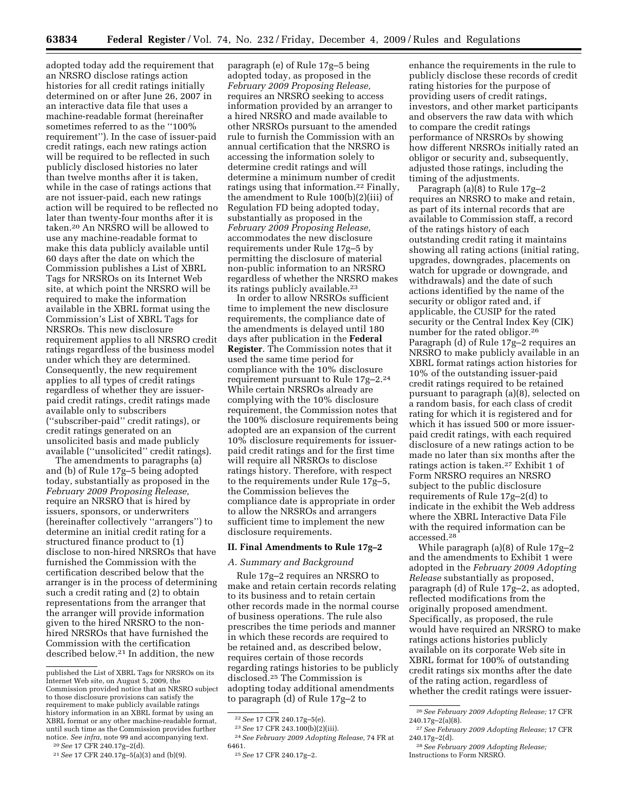adopted today add the requirement that an NRSRO disclose ratings action histories for all credit ratings initially determined on or after June 26, 2007 in an interactive data file that uses a machine-readable format (hereinafter sometimes referred to as the ''100% requirement''). In the case of issuer-paid credit ratings, each new ratings action will be required to be reflected in such publicly disclosed histories no later than twelve months after it is taken, while in the case of ratings actions that are not issuer-paid, each new ratings action will be required to be reflected no later than twenty-four months after it is taken.20 An NRSRO will be allowed to use any machine-readable format to make this data publicly available until 60 days after the date on which the Commission publishes a List of XBRL Tags for NRSROs on its Internet Web site, at which point the NRSRO will be required to make the information available in the XBRL format using the Commission's List of XBRL Tags for NRSROs. This new disclosure requirement applies to all NRSRO credit ratings regardless of the business model under which they are determined. Consequently, the new requirement applies to all types of credit ratings regardless of whether they are issuerpaid credit ratings, credit ratings made available only to subscribers (''subscriber-paid'' credit ratings), or credit ratings generated on an unsolicited basis and made publicly available (''unsolicited'' credit ratings).

The amendments to paragraphs (a) and (b) of Rule 17g–5 being adopted today, substantially as proposed in the *February 2009 Proposing Release,*  require an NRSRO that is hired by issuers, sponsors, or underwriters (hereinafter collectively ''arrangers'') to determine an initial credit rating for a structured finance product to (1) disclose to non-hired NRSROs that have furnished the Commission with the certification described below that the arranger is in the process of determining such a credit rating and (2) to obtain representations from the arranger that the arranger will provide information given to the hired NRSRO to the nonhired NRSROs that have furnished the Commission with the certification described below.21 In addition, the new

paragraph (e) of Rule 17g–5 being adopted today, as proposed in the *February 2009 Proposing Release,*  requires an NRSRO seeking to access information provided by an arranger to a hired NRSRO and made available to other NRSROs pursuant to the amended rule to furnish the Commission with an annual certification that the NRSRO is accessing the information solely to determine credit ratings and will determine a minimum number of credit ratings using that information.22 Finally, the amendment to Rule 100(b)(2)(iii) of Regulation FD being adopted today, substantially as proposed in the *February 2009 Proposing Release,*  accommodates the new disclosure requirements under Rule 17g–5 by permitting the disclosure of material non-public information to an NRSRO regardless of whether the NRSRO makes its ratings publicly available.23

In order to allow NRSROs sufficient time to implement the new disclosure requirements, the compliance date of the amendments is delayed until 180 days after publication in the **Federal Register**. The Commission notes that it used the same time period for compliance with the 10% disclosure requirement pursuant to Rule 17g–2.24 While certain NRSROs already are complying with the 10% disclosure requirement, the Commission notes that the 100% disclosure requirements being adopted are an expansion of the current 10% disclosure requirements for issuerpaid credit ratings and for the first time will require all NRSROs to disclose ratings history. Therefore, with respect to the requirements under Rule 17g–5, the Commission believes the compliance date is appropriate in order to allow the NRSROs and arrangers sufficient time to implement the new disclosure requirements.

# **II. Final Amendments to Rule 17g–2**

#### *A. Summary and Background*

Rule 17g–2 requires an NRSRO to make and retain certain records relating to its business and to retain certain other records made in the normal course of business operations. The rule also prescribes the time periods and manner in which these records are required to be retained and, as described below, requires certain of those records regarding ratings histories to be publicly disclosed.25 The Commission is adopting today additional amendments to paragraph (d) of Rule 17g–2 to

24 *See February 2009 Adopting Release,* 74 FR at 6461.

enhance the requirements in the rule to publicly disclose these records of credit rating histories for the purpose of providing users of credit ratings, investors, and other market participants and observers the raw data with which to compare the credit ratings performance of NRSROs by showing how different NRSROs initially rated an obligor or security and, subsequently, adjusted those ratings, including the timing of the adjustments.

Paragraph (a)(8) to Rule 17g–2 requires an NRSRO to make and retain, as part of its internal records that are available to Commission staff, a record of the ratings history of each outstanding credit rating it maintains showing all rating actions (initial rating, upgrades, downgrades, placements on watch for upgrade or downgrade, and withdrawals) and the date of such actions identified by the name of the security or obligor rated and, if applicable, the CUSIP for the rated security or the Central Index Key (CIK) number for the rated obligor.26 Paragraph (d) of Rule 17g–2 requires an NRSRO to make publicly available in an XBRL format ratings action histories for 10% of the outstanding issuer-paid credit ratings required to be retained pursuant to paragraph (a)(8), selected on a random basis, for each class of credit rating for which it is registered and for which it has issued 500 or more issuerpaid credit ratings, with each required disclosure of a new ratings action to be made no later than six months after the ratings action is taken.<sup>27</sup> Exhibit 1 of Form NRSRO requires an NRSRO subject to the public disclosure requirements of Rule 17g–2(d) to indicate in the exhibit the Web address where the XBRL Interactive Data File with the required information can be accessed.28

While paragraph (a)(8) of Rule 17g–2 and the amendments to Exhibit 1 were adopted in the *February 2009 Adopting Release* substantially as proposed, paragraph (d) of Rule 17g–2, as adopted, reflected modifications from the originally proposed amendment. Specifically, as proposed, the rule would have required an NRSRO to make ratings actions histories publicly available on its corporate Web site in XBRL format for 100% of outstanding credit ratings six months after the date of the rating action, regardless of whether the credit ratings were issuer-

published the List of XBRL Tags for NRSROs on its Internet Web site, on August 5, 2009, the Commission provided notice that an NRSRO subject to those disclosure provisions can satisfy the requirement to make publicly available ratings history information in an XBRL format by using an XBRL format or any other machine-readable format, until such time as the Commission provides further notice. *See infra,* note 99 and accompanying text.

<sup>20</sup>*See* 17 CFR 240.17g–2(d). 21 *See* 17 CFR 240.17g–5(a)(3) and (b)(9).

<sup>22</sup> *See* 17 CFR 240.17g–5(e).

<sup>23</sup> *See* 17 CFR 243.100(b)(2)(iii).

<sup>25</sup> *See* 17 CFR 240.17g–2.

<sup>26</sup> *See February 2009 Adopting Release;* 17 CFR 240.17g–2(a)(8).

<sup>27</sup> *See February 2009 Adopting Release;* 17 CFR 240.17g–2(d).

<sup>28</sup> *See February 2009 Adopting Release;*  Instructions to Form NRSRO.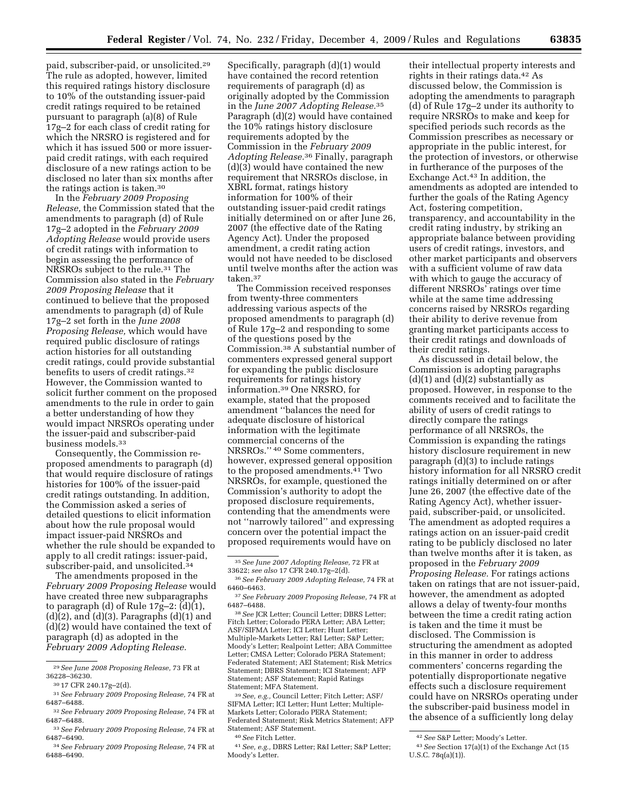paid, subscriber-paid, or unsolicited.29 The rule as adopted, however, limited this required ratings history disclosure to 10% of the outstanding issuer-paid credit ratings required to be retained pursuant to paragraph (a)(8) of Rule 17g–2 for each class of credit rating for which the NRSRO is registered and for which it has issued 500 or more issuerpaid credit ratings, with each required disclosure of a new ratings action to be disclosed no later than six months after the ratings action is taken.30

In the *February 2009 Proposing Release,* the Commission stated that the amendments to paragraph (d) of Rule 17g–2 adopted in the *February 2009 Adopting Release* would provide users of credit ratings with information to begin assessing the performance of NRSROs subject to the rule.31 The Commission also stated in the *February 2009 Proposing Release* that it continued to believe that the proposed amendments to paragraph (d) of Rule 17g–2 set forth in the *June 2008 Proposing Release,* which would have required public disclosure of ratings action histories for all outstanding credit ratings, could provide substantial benefits to users of credit ratings.32 However, the Commission wanted to solicit further comment on the proposed amendments to the rule in order to gain a better understanding of how they would impact NRSROs operating under the issuer-paid and subscriber-paid business models.33

Consequently, the Commission reproposed amendments to paragraph (d) that would require disclosure of ratings histories for 100% of the issuer-paid credit ratings outstanding. In addition, the Commission asked a series of detailed questions to elicit information about how the rule proposal would impact issuer-paid NRSROs and whether the rule should be expanded to apply to all credit ratings: issuer-paid, subscriber-paid, and unsolicited.34

The amendments proposed in the *February 2009 Proposing Release* would have created three new subparagraphs to paragraph (d) of Rule 17g–2: (d)(1),  $(d)(2)$ , and  $(d)(3)$ . Paragraphs  $(d)(1)$  and (d)(2) would have contained the text of paragraph (d) as adopted in the *February 2009 Adopting Release.* 

Specifically, paragraph (d)(1) would have contained the record retention requirements of paragraph (d) as originally adopted by the Commission in the *June 2007 Adopting Release.*35 Paragraph (d)(2) would have contained the 10% ratings history disclosure requirements adopted by the Commission in the *February 2009 Adopting Release.*36 Finally, paragraph (d)(3) would have contained the new requirement that NRSROs disclose, in XBRL format, ratings history information for 100% of their outstanding issuer-paid credit ratings initially determined on or after June 26, 2007 (the effective date of the Rating Agency Act). Under the proposed amendment, a credit rating action would not have needed to be disclosed until twelve months after the action was taken.37

The Commission received responses from twenty-three commenters addressing various aspects of the proposed amendments to paragraph (d) of Rule 17g–2 and responding to some of the questions posed by the Commission.38 A substantial number of commenters expressed general support for expanding the public disclosure requirements for ratings history information.39 One NRSRO, for example, stated that the proposed amendment ''balances the need for adequate disclosure of historical information with the legitimate commercial concerns of the NRSROs.'' 40 Some commenters, however, expressed general opposition to the proposed amendments.41 Two NRSROs, for example, questioned the Commission's authority to adopt the proposed disclosure requirements, contending that the amendments were not ''narrowly tailored'' and expressing concern over the potential impact the proposed requirements would have on

38 *See* JCR Letter; Council Letter; DBRS Letter; Fitch Letter; Colorado PERA Letter; ABA Letter; ASF/SIFMA Letter; ICI Letter; Hunt Letter; Multiple-Markets Letter; R&I Letter; S&P Letter; Moody's Letter; Realpoint Letter; ABA Committee Letter; CMSA Letter; Colorado PERA Statement; Federated Statement; AEI Statement; Risk Metrics Statement; DBRS Statement; ICI Statement; AFP Statement; ASF Statement; Rapid Ratings Statement; MFA Statement.

39 *See, e.g.,* Council Letter; Fitch Letter; ASF/ SIFMA Letter; ICI Letter; Hunt Letter; Multiple-Markets Letter; Colorado PERA Statement; Federated Statement; Risk Metrics Statement; AFP Statement; ASF Statement.

40 *See* Fitch Letter.

41 *See, e.g.,* DBRS Letter; R&I Letter; S&P Letter; Moody's Letter.

their intellectual property interests and rights in their ratings data.42 As discussed below, the Commission is adopting the amendments to paragraph (d) of Rule 17g–2 under its authority to require NRSROs to make and keep for specified periods such records as the Commission prescribes as necessary or appropriate in the public interest, for the protection of investors, or otherwise in furtherance of the purposes of the Exchange Act.43 In addition, the amendments as adopted are intended to further the goals of the Rating Agency Act, fostering competition, transparency, and accountability in the credit rating industry, by striking an appropriate balance between providing users of credit ratings, investors, and other market participants and observers with a sufficient volume of raw data with which to gauge the accuracy of different NRSROs' ratings over time while at the same time addressing concerns raised by NRSROs regarding their ability to derive revenue from granting market participants access to their credit ratings and downloads of their credit ratings.

As discussed in detail below, the Commission is adopting paragraphs  $(d)(1)$  and  $(d)(2)$  substantially as proposed. However, in response to the comments received and to facilitate the ability of users of credit ratings to directly compare the ratings performance of all NRSROs, the Commission is expanding the ratings history disclosure requirement in new paragraph (d)(3) to include ratings history information for all NRSRO credit ratings initially determined on or after June 26, 2007 (the effective date of the Rating Agency Act), whether issuerpaid, subscriber-paid, or unsolicited. The amendment as adopted requires a ratings action on an issuer-paid credit rating to be publicly disclosed no later than twelve months after it is taken, as proposed in the *February 2009 Proposing Release.* For ratings actions taken on ratings that are not issuer-paid, however, the amendment as adopted allows a delay of twenty-four months between the time a credit rating action is taken and the time it must be disclosed. The Commission is structuring the amendment as adopted in this manner in order to address commenters' concerns regarding the potentially disproportionate negative effects such a disclosure requirement could have on NRSROs operating under the subscriber-paid business model in the absence of a sufficiently long delay

<sup>29</sup> *See June 2008 Proposing Release,* 73 FR at 36228–36230.

<sup>30 17</sup> CFR 240.17g–2(d).

<sup>31</sup> *See February 2009 Proposing Release,* 74 FR at 6487–6488.

<sup>32</sup> *See February 2009 Proposing Release,* 74 FR at 6487–6488.

<sup>33</sup> *See February 2009 Proposing Release,* 74 FR at 6487–6490.

<sup>34</sup> *See February 2009 Proposing Release,* 74 FR at 6488–6490.

<sup>35</sup> *See June 2007 Adopting Release,* 72 FR at 33622; *see also* 17 CFR 240.17g–2(d).

<sup>36</sup> *See February 2009 Adopting Release,* 74 FR at 6460–6463.

<sup>37</sup> *See February 2009 Proposing Release,* 74 FR at 6487–6488.

<sup>42</sup> *See* S&P Letter; Moody's Letter.

<sup>43</sup> *See* Section 17(a)(1) of the Exchange Act (15 U.S.C. 78q(a)(1)).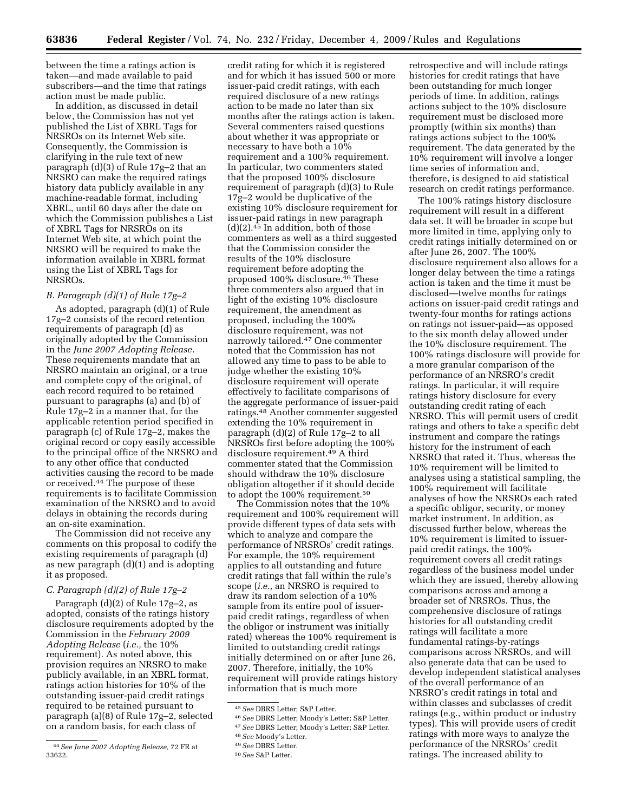between the time a ratings action is taken—and made available to paid subscribers—and the time that ratings action must be made public.

In addition, as discussed in detail below, the Commission has not yet published the List of XBRL Tags for NRSROs on its Internet Web site. Consequently, the Commission is clarifying in the rule text of new paragraph (d)(3) of Rule 17g–2 that an NRSRO can make the required ratings history data publicly available in any machine-readable format, including XBRL, until 60 days after the date on which the Commission publishes a List of XBRL Tags for NRSROs on its Internet Web site, at which point the NRSRO will be required to make the information available in XBRL format using the List of XBRL Tags for NRSROs.

#### *B. Paragraph (d)(1) of Rule 17g–2*

As adopted, paragraph (d)(1) of Rule 17g–2 consists of the record retention requirements of paragraph (d) as originally adopted by the Commission in the *June 2007 Adopting Release.*  These requirements mandate that an NRSRO maintain an original, or a true and complete copy of the original, of each record required to be retained pursuant to paragraphs (a) and (b) of Rule 17g–2 in a manner that, for the applicable retention period specified in paragraph (c) of Rule 17g–2, makes the original record or copy easily accessible to the principal office of the NRSRO and to any other office that conducted activities causing the record to be made or received.44 The purpose of these requirements is to facilitate Commission examination of the NRSRO and to avoid delays in obtaining the records during an on-site examination.

The Commission did not receive any comments on this proposal to codify the existing requirements of paragraph (d) as new paragraph (d)(1) and is adopting it as proposed.

#### *C. Paragraph (d)(2) of Rule 17g–2*

Paragraph (d)(2) of Rule 17g–2, as adopted, consists of the ratings history disclosure requirements adopted by the Commission in the *February 2009 Adopting Release* (*i.e.,* the 10% requirement). As noted above, this provision requires an NRSRO to make publicly available, in an XBRL format, ratings action histories for 10% of the outstanding issuer-paid credit ratings required to be retained pursuant to paragraph (a)(8) of Rule 17g–2, selected on a random basis, for each class of

credit rating for which it is registered and for which it has issued 500 or more issuer-paid credit ratings, with each required disclosure of a new ratings action to be made no later than six months after the ratings action is taken. Several commenters raised questions about whether it was appropriate or necessary to have both a 10% requirement and a 100% requirement. In particular, two commenters stated that the proposed 100% disclosure requirement of paragraph (d)(3) to Rule 17g–2 would be duplicative of the existing 10% disclosure requirement for issuer-paid ratings in new paragraph  $(d)(2).45$  In addition, both of those commenters as well as a third suggested that the Commission consider the results of the 10% disclosure requirement before adopting the proposed 100% disclosure.46 These three commenters also argued that in light of the existing 10% disclosure requirement, the amendment as proposed, including the 100% disclosure requirement, was not narrowly tailored.47 One commenter noted that the Commission has not allowed any time to pass to be able to judge whether the existing 10% disclosure requirement will operate effectively to facilitate comparisons of the aggregate performance of issuer-paid ratings.48 Another commenter suggested extending the 10% requirement in paragraph (d)(2) of Rule 17g–2 to all NRSROs first before adopting the 100% disclosure requirement.49 A third commenter stated that the Commission should withdraw the 10% disclosure obligation altogether if it should decide to adopt the 100% requirement.50

The Commission notes that the 10% requirement and 100% requirement will provide different types of data sets with which to analyze and compare the performance of NRSROs' credit ratings. For example, the 10% requirement applies to all outstanding and future credit ratings that fall within the rule's scope (*i.e.,* an NRSRO is required to draw its random selection of a 10% sample from its entire pool of issuerpaid credit ratings, regardless of when the obligor or instrument was initially rated) whereas the 100% requirement is limited to outstanding credit ratings initially determined on or after June 26, 2007. Therefore, initially, the 10% requirement will provide ratings history information that is much more

46 *See* DBRS Letter; Moody's Letter; S&P Letter. 47 *See* DBRS Letter; Moody's Letter; S&P Letter.

retrospective and will include ratings histories for credit ratings that have been outstanding for much longer periods of time. In addition, ratings actions subject to the 10% disclosure requirement must be disclosed more promptly (within six months) than ratings actions subject to the 100% requirement. The data generated by the 10% requirement will involve a longer time series of information and, therefore, is designed to aid statistical research on credit ratings performance.

The 100% ratings history disclosure requirement will result in a different data set. It will be broader in scope but more limited in time, applying only to credit ratings initially determined on or after June 26, 2007. The 100% disclosure requirement also allows for a longer delay between the time a ratings action is taken and the time it must be disclosed—twelve months for ratings actions on issuer-paid credit ratings and twenty-four months for ratings actions on ratings not issuer-paid—as opposed to the six month delay allowed under the 10% disclosure requirement. The 100% ratings disclosure will provide for a more granular comparison of the performance of an NRSRO's credit ratings. In particular, it will require ratings history disclosure for every outstanding credit rating of each NRSRO. This will permit users of credit ratings and others to take a specific debt instrument and compare the ratings history for the instrument of each NRSRO that rated it. Thus, whereas the 10% requirement will be limited to analyses using a statistical sampling, the 100% requirement will facilitate analyses of how the NRSROs each rated a specific obligor, security, or money market instrument. In addition, as discussed further below, whereas the 10% requirement is limited to issuerpaid credit ratings, the 100% requirement covers all credit ratings regardless of the business model under which they are issued, thereby allowing comparisons across and among a broader set of NRSROs. Thus, the comprehensive disclosure of ratings histories for all outstanding credit ratings will facilitate a more fundamental ratings-by-ratings comparisons across NRSROs, and will also generate data that can be used to develop independent statistical analyses of the overall performance of an NRSRO's credit ratings in total and within classes and subclasses of credit ratings (e.g., within product or industry types). This will provide users of credit ratings with more ways to analyze the performance of the NRSROs' credit ratings. The increased ability to

<sup>44</sup> *See June 2007 Adopting Release,* 72 FR at 33622.

<sup>45</sup> *See* DBRS Letter; S&P Letter.

<sup>48</sup> *See* Moody's Letter.

<sup>49</sup> *See* DBRS Letter.

<sup>50</sup> *See* S&P Letter.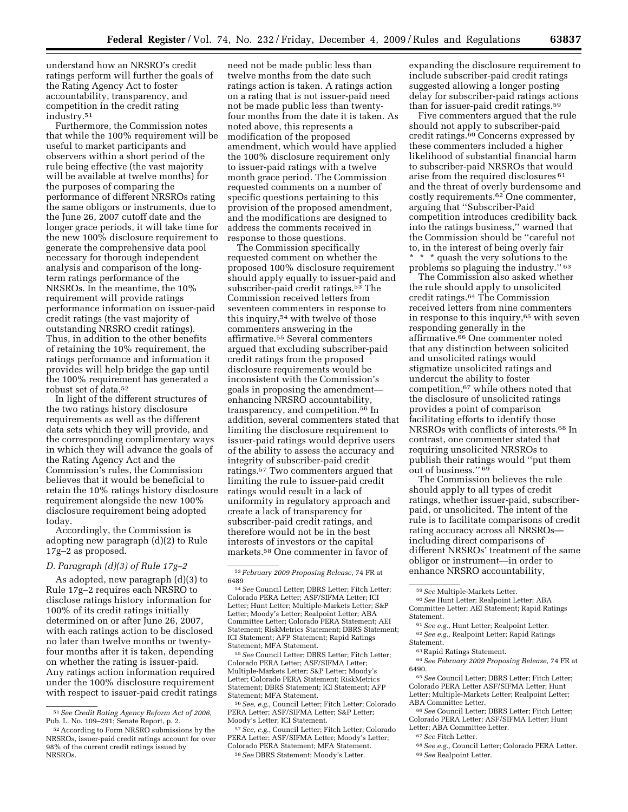understand how an NRSRO's credit ratings perform will further the goals of the Rating Agency Act to foster accountability, transparency, and competition in the credit rating industry.51

Furthermore, the Commission notes that while the 100% requirement will be useful to market participants and observers within a short period of the rule being effective (the vast majority will be available at twelve months) for the purposes of comparing the performance of different NRSROs rating the same obligors or instruments, due to the June 26, 2007 cutoff date and the longer grace periods, it will take time for the new 100% disclosure requirement to generate the comprehensive data pool necessary for thorough independent analysis and comparison of the longterm ratings performance of the NRSROs. In the meantime, the 10% requirement will provide ratings performance information on issuer-paid credit ratings (the vast majority of outstanding NRSRO credit ratings). Thus, in addition to the other benefits of retaining the 10% requirement, the ratings performance and information it provides will help bridge the gap until the 100% requirement has generated a robust set of data.52

In light of the different structures of the two ratings history disclosure requirements as well as the different data sets which they will provide, and the corresponding complimentary ways in which they will advance the goals of the Rating Agency Act and the Commission's rules, the Commission believes that it would be beneficial to retain the 10% ratings history disclosure requirement alongside the new 100% disclosure requirement being adopted today.

Accordingly, the Commission is adopting new paragraph (d)(2) to Rule 17g–2 as proposed.

#### *D. Paragraph (d)(3) of Rule 17g–2*

As adopted, new paragraph (d)(3) to Rule 17g–2 requires each NRSRO to disclose ratings history information for 100% of its credit ratings initially determined on or after June 26, 2007, with each ratings action to be disclosed no later than twelve months or twentyfour months after it is taken, depending on whether the rating is issuer-paid. Any ratings action information required under the 100% disclosure requirement with respect to issuer-paid credit ratings

need not be made public less than twelve months from the date such ratings action is taken. A ratings action on a rating that is not issuer-paid need not be made public less than twentyfour months from the date it is taken. As noted above, this represents a modification of the proposed amendment, which would have applied the 100% disclosure requirement only to issuer-paid ratings with a twelve month grace period. The Commission requested comments on a number of specific questions pertaining to this provision of the proposed amendment, and the modifications are designed to address the comments received in response to those questions.

The Commission specifically requested comment on whether the proposed 100% disclosure requirement should apply equally to issuer-paid and subscriber-paid credit ratings.<sup>53</sup> The Commission received letters from seventeen commenters in response to this inquiry,54 with twelve of those commenters answering in the affirmative.55 Several commenters argued that excluding subscriber-paid credit ratings from the proposed disclosure requirements would be inconsistent with the Commission's goals in proposing the amendment enhancing NRSRO accountability, transparency, and competition.56 In addition, several commenters stated that limiting the disclosure requirement to issuer-paid ratings would deprive users of the ability to assess the accuracy and integrity of subscriber-paid credit ratings.57 Two commenters argued that limiting the rule to issuer-paid credit ratings would result in a lack of uniformity in regulatory approach and create a lack of transparency for subscriber-paid credit ratings, and therefore would not be in the best interests of investors or the capital markets.58 One commenter in favor of

55 *See* Council Letter; DBRS Letter; Fitch Letter; Colorado PERA Letter; ASF/SIFMA Letter; Multiple-Markets Letter; S&P Letter; Moody's Letter; Colorado PERA Statement; RiskMetrics Statement; DBRS Statement; ICI Statement; AFP Statement; MFA Statement.

56 *See, e.g.,* Council Letter; Fitch Letter; Colorado PERA Letter; ASF/SIFMA Letter; S&P Letter; Moody's Letter; ICI Statement.

57 *See, e.g.,* Council Letter; Fitch Letter; Colorado PERA Letter; ASF/SIFMA Letter; Moody's Letter; Colorado PERA Statement; MFA Statement. 58 *See* DBRS Statement; Moody's Letter.

expanding the disclosure requirement to include subscriber-paid credit ratings suggested allowing a longer posting delay for subscriber-paid ratings actions than for issuer-paid credit ratings.59

Five commenters argued that the rule should not apply to subscriber-paid credit ratings.60 Concerns expressed by these commenters included a higher likelihood of substantial financial harm to subscriber-paid NRSROs that would arise from the required disclosures 61 and the threat of overly burdensome and costly requirements.62 One commenter, arguing that ''Subscriber-Paid competition introduces credibility back into the ratings business,'' warned that the Commission should be ''careful not to, in the interest of being overly fair \* \* \* quash the very solutions to the

problems so plaguing the industry.'' 63 The Commission also asked whether the rule should apply to unsolicited credit ratings.64 The Commission received letters from nine commenters in response to this inquiry,65 with seven responding generally in the affirmative.66 One commenter noted that any distinction between solicited and unsolicited ratings would stigmatize unsolicited ratings and undercut the ability to foster competition,67 while others noted that the disclosure of unsolicited ratings provides a point of comparison facilitating efforts to identify those NRSROs with conflicts of interests.68 In contrast, one commenter stated that requiring unsolicited NRSROs to publish their ratings would ''put them out of business." 69

The Commission believes the rule should apply to all types of credit ratings, whether issuer-paid, subscriberpaid, or unsolicited. The intent of the rule is to facilitate comparisons of credit rating accuracy across all NRSROs including direct comparisons of different NRSROs' treatment of the same obligor or instrument—in order to enhance NRSRO accountability,

<sup>59</sup>*See* Multiple-Markets Letter. 60 *See* Hunt Letter; Realpoint Letter; ABA Committee Letter; AEI Statement; Rapid Ratings

Statement. 61 *See e.g.,* Hunt Letter; Realpoint Letter. 62 *See e.g.,* Realpoint Letter; Rapid Ratings Statement.

64 *See February 2009 Proposing Release,* 74 FR at 6490.

65 *See* Council Letter; DBRS Letter; Fitch Letter; Colorado PERA Letter ASF/SIFMA Letter; Hunt Letter; Multiple-Markets Letter; Realpoint Letter; ABA Committee Letter.

66 *See* Council Letter; DBRS Letter; Fitch Letter; Colorado PERA Letter; ASF/SIFMA Letter; Hunt Letter; ABA Committee Letter.

67 *See* Fitch Letter.

68 *See e.g.,* Council Letter; Colorado PERA Letter. 69 *See* Realpoint Letter.

<sup>51</sup> *See Credit Rating Agency Reform Act of 2006,*  Pub. L. No. 109–291; Senate Report, p. 2.

<sup>52</sup> According to Form NRSRO submissions by the NRSROs, issuer-paid credit ratings account for over 98% of the current credit ratings issued by NRSROs.

<sup>53</sup> *February 2009 Proposing Release,* 74 FR at

<sup>&</sup>lt;sup>54</sup> See Council Letter; DBRS Letter; Fitch Letter; Colorado PERA Letter; ASF/SIFMA Letter; ICI Letter; Hunt Letter; Multiple-Markets Letter; S&P Letter; Moody's Letter; Realpoint Letter; ABA Committee Letter; Colorado PERA Statement; AEI Statement; RiskMetrics Statement; DBRS Statement; ICI Statement; AFP Statement; Rapid Ratings Statement; MFA Statement.

<sup>63</sup> Rapid Ratings Statement.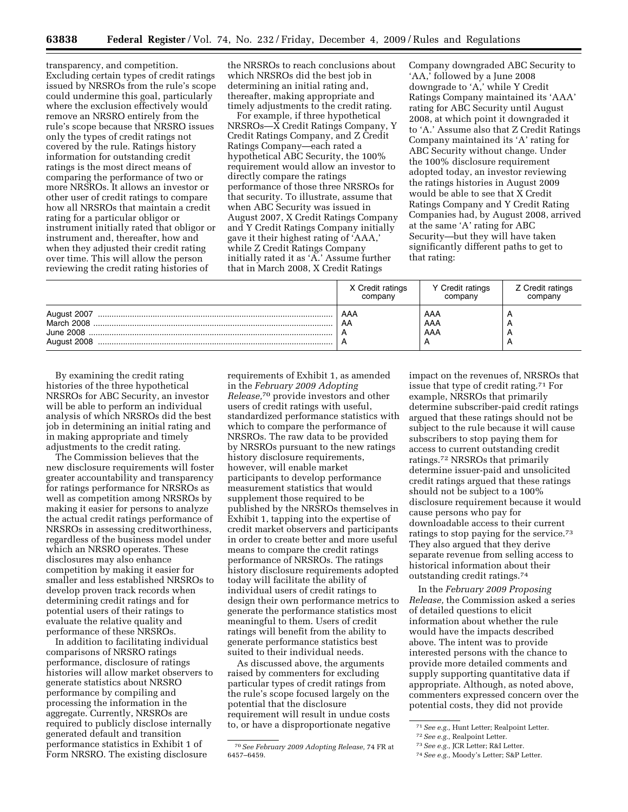transparency, and competition. Excluding certain types of credit ratings issued by NRSROs from the rule's scope could undermine this goal, particularly where the exclusion effectively would remove an NRSRO entirely from the rule's scope because that NRSRO issues only the types of credit ratings not covered by the rule. Ratings history information for outstanding credit ratings is the most direct means of comparing the performance of two or more NRSROs. It allows an investor or other user of credit ratings to compare how all NRSROs that maintain a credit rating for a particular obligor or instrument initially rated that obligor or instrument and, thereafter, how and when they adjusted their credit rating over time. This will allow the person reviewing the credit rating histories of

the NRSROs to reach conclusions about which NRSROs did the best job in determining an initial rating and, thereafter, making appropriate and timely adjustments to the credit rating.

For example, if three hypothetical NRSROs—X Credit Ratings Company, Y Credit Ratings Company, and Z Credit Ratings Company—each rated a hypothetical ABC Security, the 100% requirement would allow an investor to directly compare the ratings performance of those three NRSROs for that security. To illustrate, assume that when ABC Security was issued in August 2007, X Credit Ratings Company and Y Credit Ratings Company initially gave it their highest rating of 'AAA,' while Z Credit Ratings Company initially rated it as 'A.' Assume further that in March 2008, X Credit Ratings

Company downgraded ABC Security to 'AA,' followed by a June 2008 downgrade to 'A,' while Y Credit Ratings Company maintained its 'AAA' rating for ABC Security until August 2008, at which point it downgraded it to 'A.' Assume also that Z Credit Ratings Company maintained its 'A' rating for ABC Security without change. Under the 100% disclosure requirement adopted today, an investor reviewing the ratings histories in August 2009 would be able to see that X Credit Ratings Company and Y Credit Rating Companies had, by August 2008, arrived at the same 'A' rating for ABC Security—but they will have taken significantly different paths to get to that rating:

|                           | X Credit ratings | Y Credit ratings  | Z Credit ratings |
|---------------------------|------------------|-------------------|------------------|
|                           | company          | company           | company          |
| March 2008<br>August 2008 | AAA<br>AA        | AAA<br>AAA<br>AAA |                  |

By examining the credit rating histories of the three hypothetical NRSROs for ABC Security, an investor will be able to perform an individual analysis of which NRSROs did the best job in determining an initial rating and in making appropriate and timely adjustments to the credit rating.

The Commission believes that the new disclosure requirements will foster greater accountability and transparency for ratings performance for NRSROs as well as competition among NRSROs by making it easier for persons to analyze the actual credit ratings performance of NRSROs in assessing creditworthiness, regardless of the business model under which an NRSRO operates. These disclosures may also enhance competition by making it easier for smaller and less established NRSROs to develop proven track records when determining credit ratings and for potential users of their ratings to evaluate the relative quality and performance of these NRSROs.

In addition to facilitating individual comparisons of NRSRO ratings performance, disclosure of ratings histories will allow market observers to generate statistics about NRSRO performance by compiling and processing the information in the aggregate. Currently, NRSROs are required to publicly disclose internally generated default and transition performance statistics in Exhibit 1 of Form NRSRO. The existing disclosure

requirements of Exhibit 1, as amended in the *February 2009 Adopting Release,*70 provide investors and other users of credit ratings with useful, standardized performance statistics with which to compare the performance of NRSROs. The raw data to be provided by NRSROs pursuant to the new ratings history disclosure requirements, however, will enable market participants to develop performance measurement statistics that would supplement those required to be published by the NRSROs themselves in Exhibit 1, tapping into the expertise of credit market observers and participants in order to create better and more useful means to compare the credit ratings performance of NRSROs. The ratings history disclosure requirements adopted today will facilitate the ability of individual users of credit ratings to design their own performance metrics to generate the performance statistics most meaningful to them. Users of credit ratings will benefit from the ability to generate performance statistics best suited to their individual needs.

As discussed above, the arguments raised by commenters for excluding particular types of credit ratings from the rule's scope focused largely on the potential that the disclosure requirement will result in undue costs to, or have a disproportionate negative

impact on the revenues of, NRSROs that issue that type of credit rating.71 For example, NRSROs that primarily determine subscriber-paid credit ratings argued that these ratings should not be subject to the rule because it will cause subscribers to stop paying them for access to current outstanding credit ratings.72 NRSROs that primarily determine issuer-paid and unsolicited credit ratings argued that these ratings should not be subject to a 100% disclosure requirement because it would cause persons who pay for downloadable access to their current ratings to stop paying for the service.73 They also argued that they derive separate revenue from selling access to historical information about their outstanding credit ratings.74

In the *February 2009 Proposing Release,* the Commission asked a series of detailed questions to elicit information about whether the rule would have the impacts described above. The intent was to provide interested persons with the chance to provide more detailed comments and supply supporting quantitative data if appropriate. Although, as noted above, commenters expressed concern over the potential costs, they did not provide

<sup>70</sup> *See February 2009 Adopting Release,* 74 FR at 6457–6459.

<sup>71</sup> *See e.g.,* Hunt Letter; Realpoint Letter.

<sup>72</sup> *See e.g.,* Realpoint Letter.

<sup>73</sup> *See e.g.,* JCR Letter; R&I Letter.

<sup>74</sup> *See e.g.,* Moody's Letter; S&P Letter.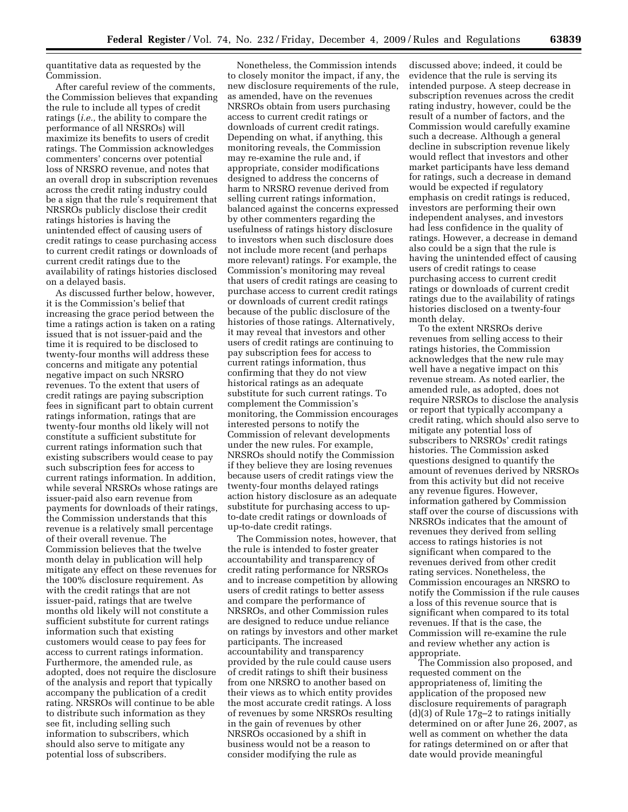quantitative data as requested by the Commission.

After careful review of the comments, the Commission believes that expanding the rule to include all types of credit ratings (*i.e.,* the ability to compare the performance of all NRSROs) will maximize its benefits to users of credit ratings. The Commission acknowledges commenters' concerns over potential loss of NRSRO revenue, and notes that an overall drop in subscription revenues across the credit rating industry could be a sign that the rule's requirement that NRSROs publicly disclose their credit ratings histories is having the unintended effect of causing users of credit ratings to cease purchasing access to current credit ratings or downloads of current credit ratings due to the availability of ratings histories disclosed on a delayed basis.

As discussed further below, however, it is the Commission's belief that increasing the grace period between the time a ratings action is taken on a rating issued that is not issuer-paid and the time it is required to be disclosed to twenty-four months will address these concerns and mitigate any potential negative impact on such NRSRO revenues. To the extent that users of credit ratings are paying subscription fees in significant part to obtain current ratings information, ratings that are twenty-four months old likely will not constitute a sufficient substitute for current ratings information such that existing subscribers would cease to pay such subscription fees for access to current ratings information. In addition, while several NRSROs whose ratings are issuer-paid also earn revenue from payments for downloads of their ratings, the Commission understands that this revenue is a relatively small percentage of their overall revenue. The Commission believes that the twelve month delay in publication will help mitigate any effect on these revenues for the 100% disclosure requirement. As with the credit ratings that are not issuer-paid, ratings that are twelve months old likely will not constitute a sufficient substitute for current ratings information such that existing customers would cease to pay fees for access to current ratings information. Furthermore, the amended rule, as adopted, does not require the disclosure of the analysis and report that typically accompany the publication of a credit rating. NRSROs will continue to be able to distribute such information as they see fit, including selling such information to subscribers, which should also serve to mitigate any potential loss of subscribers.

Nonetheless, the Commission intends to closely monitor the impact, if any, the new disclosure requirements of the rule, as amended, have on the revenues NRSROs obtain from users purchasing access to current credit ratings or downloads of current credit ratings. Depending on what, if anything, this monitoring reveals, the Commission may re-examine the rule and, if appropriate, consider modifications designed to address the concerns of harm to NRSRO revenue derived from selling current ratings information, balanced against the concerns expressed by other commenters regarding the usefulness of ratings history disclosure to investors when such disclosure does not include more recent (and perhaps more relevant) ratings. For example, the Commission's monitoring may reveal that users of credit ratings are ceasing to purchase access to current credit ratings or downloads of current credit ratings because of the public disclosure of the histories of those ratings. Alternatively, it may reveal that investors and other users of credit ratings are continuing to pay subscription fees for access to current ratings information, thus confirming that they do not view historical ratings as an adequate substitute for such current ratings. To complement the Commission's monitoring, the Commission encourages interested persons to notify the Commission of relevant developments under the new rules. For example, NRSROs should notify the Commission if they believe they are losing revenues because users of credit ratings view the twenty-four months delayed ratings action history disclosure as an adequate substitute for purchasing access to upto-date credit ratings or downloads of up-to-date credit ratings.

The Commission notes, however, that the rule is intended to foster greater accountability and transparency of credit rating performance for NRSROs and to increase competition by allowing users of credit ratings to better assess and compare the performance of NRSROs, and other Commission rules are designed to reduce undue reliance on ratings by investors and other market participants. The increased accountability and transparency provided by the rule could cause users of credit ratings to shift their business from one NRSRO to another based on their views as to which entity provides the most accurate credit ratings. A loss of revenues by some NRSROs resulting in the gain of revenues by other NRSROs occasioned by a shift in business would not be a reason to consider modifying the rule as

discussed above; indeed, it could be evidence that the rule is serving its intended purpose. A steep decrease in subscription revenues across the credit rating industry, however, could be the result of a number of factors, and the Commission would carefully examine such a decrease. Although a general decline in subscription revenue likely would reflect that investors and other market participants have less demand for ratings, such a decrease in demand would be expected if regulatory emphasis on credit ratings is reduced, investors are performing their own independent analyses, and investors had less confidence in the quality of ratings. However, a decrease in demand also could be a sign that the rule is having the unintended effect of causing users of credit ratings to cease purchasing access to current credit ratings or downloads of current credit ratings due to the availability of ratings histories disclosed on a twenty-four month delay.

To the extent NRSROs derive revenues from selling access to their ratings histories, the Commission acknowledges that the new rule may well have a negative impact on this revenue stream. As noted earlier, the amended rule, as adopted, does not require NRSROs to disclose the analysis or report that typically accompany a credit rating, which should also serve to mitigate any potential loss of subscribers to NRSROs' credit ratings histories. The Commission asked questions designed to quantify the amount of revenues derived by NRSROs from this activity but did not receive any revenue figures. However, information gathered by Commission staff over the course of discussions with NRSROs indicates that the amount of revenues they derived from selling access to ratings histories is not significant when compared to the revenues derived from other credit rating services. Nonetheless, the Commission encourages an NRSRO to notify the Commission if the rule causes a loss of this revenue source that is significant when compared to its total revenues. If that is the case, the Commission will re-examine the rule and review whether any action is appropriate.

The Commission also proposed, and requested comment on the appropriateness of, limiting the application of the proposed new disclosure requirements of paragraph (d)(3) of Rule 17g–2 to ratings initially determined on or after June 26, 2007, as well as comment on whether the data for ratings determined on or after that date would provide meaningful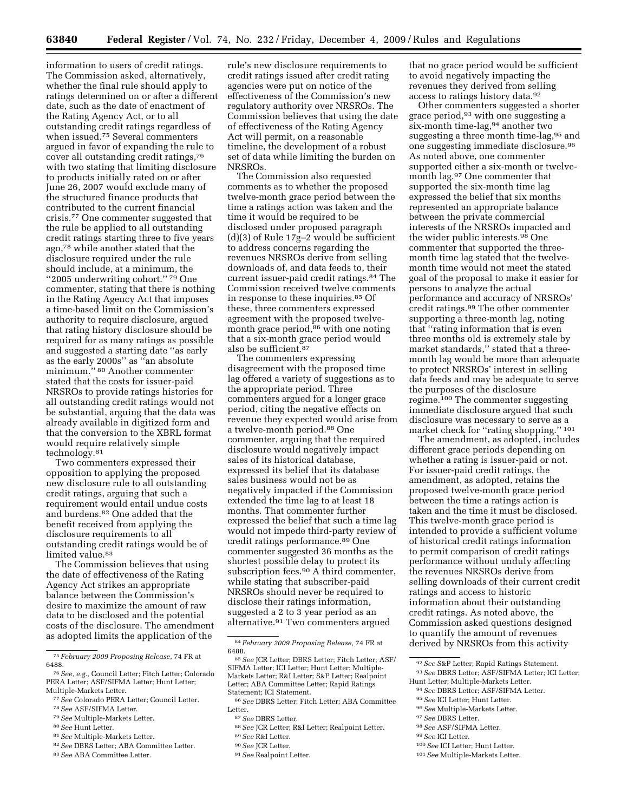information to users of credit ratings. The Commission asked, alternatively, whether the final rule should apply to ratings determined on or after a different date, such as the date of enactment of the Rating Agency Act, or to all outstanding credit ratings regardless of when issued.75 Several commenters argued in favor of expanding the rule to cover all outstanding credit ratings,76 with two stating that limiting disclosure to products initially rated on or after June 26, 2007 would exclude many of the structured finance products that contributed to the current financial crisis.77 One commenter suggested that the rule be applied to all outstanding credit ratings starting three to five years ago,78 while another stated that the disclosure required under the rule should include, at a minimum, the ''2005 underwriting cohort.'' 79 One commenter, stating that there is nothing in the Rating Agency Act that imposes a time-based limit on the Commission's authority to require disclosure, argued that rating history disclosure should be required for as many ratings as possible and suggested a starting date ''as early as the early 2000s'' as ''an absolute minimum.'' 80 Another commenter stated that the costs for issuer-paid NRSROs to provide ratings histories for all outstanding credit ratings would not be substantial, arguing that the data was already available in digitized form and that the conversion to the XBRL format would require relatively simple technology.81

Two commenters expressed their opposition to applying the proposed new disclosure rule to all outstanding credit ratings, arguing that such a requirement would entail undue costs and burdens.82 One added that the benefit received from applying the disclosure requirements to all outstanding credit ratings would be of limited value.<sup>83</sup>

The Commission believes that using the date of effectiveness of the Rating Agency Act strikes an appropriate balance between the Commission's desire to maximize the amount of raw data to be disclosed and the potential costs of the disclosure. The amendment as adopted limits the application of the

- 79 *See* Multiple-Markets Letter.
- 80 *See* Hunt Letter.
- 81 *See* Multiple-Markets Letter.
- 82 *See* DBRS Letter; ABA Committee Letter.
- 83 *See* ABA Committee Letter.

rule's new disclosure requirements to credit ratings issued after credit rating agencies were put on notice of the effectiveness of the Commission's new regulatory authority over NRSROs. The Commission believes that using the date of effectiveness of the Rating Agency Act will permit, on a reasonable timeline, the development of a robust set of data while limiting the burden on NRSROs.

The Commission also requested comments as to whether the proposed twelve-month grace period between the time a ratings action was taken and the time it would be required to be disclosed under proposed paragraph (d)(3) of Rule 17g–2 would be sufficient to address concerns regarding the revenues NRSROs derive from selling downloads of, and data feeds to, their current issuer-paid credit ratings.84 The Commission received twelve comments in response to these inquiries.85 Of these, three commenters expressed agreement with the proposed twelvemonth grace period, $86$  with one noting that a six-month grace period would also be sufficient.87

The commenters expressing disagreement with the proposed time lag offered a variety of suggestions as to the appropriate period. Three commenters argued for a longer grace period, citing the negative effects on revenue they expected would arise from a twelve-month period.88 One commenter, arguing that the required disclosure would negatively impact sales of its historical database, expressed its belief that its database sales business would not be as negatively impacted if the Commission extended the time lag to at least 18 months. That commenter further expressed the belief that such a time lag would not impede third-party review of credit ratings performance.89 One commenter suggested 36 months as the shortest possible delay to protect its subscription fees.<sup>90</sup> A third commenter, while stating that subscriber-paid NRSROs should never be required to disclose their ratings information, suggested a 2 to 3 year period as an alternative.91 Two commenters argued

89 *See* R&I Letter.

that no grace period would be sufficient to avoid negatively impacting the revenues they derived from selling access to ratings history data.92

Other commenters suggested a shorter grace period,93 with one suggesting a six-month time-lag,94 another two suggesting a three month time-lag, 95 and one suggesting immediate disclosure.96 As noted above, one commenter supported either a six-month or twelvemonth lag.97 One commenter that supported the six-month time lag expressed the belief that six months represented an appropriate balance between the private commercial interests of the NRSROs impacted and the wider public interests.98 One commenter that supported the threemonth time lag stated that the twelvemonth time would not meet the stated goal of the proposal to make it easier for persons to analyze the actual performance and accuracy of NRSROs' credit ratings.99 The other commenter supporting a three-month lag, noting that ''rating information that is even three months old is extremely stale by market standards,'' stated that a threemonth lag would be more than adequate to protect NRSROs' interest in selling data feeds and may be adequate to serve the purposes of the disclosure regime.100 The commenter suggesting immediate disclosure argued that such disclosure was necessary to serve as a market check for "rating shopping." 101

The amendment, as adopted, includes different grace periods depending on whether a rating is issuer-paid or not. For issuer-paid credit ratings, the amendment, as adopted, retains the proposed twelve-month grace period between the time a ratings action is taken and the time it must be disclosed. This twelve-month grace period is intended to provide a sufficient volume of historical credit ratings information to permit comparison of credit ratings performance without unduly affecting the revenues NRSROs derive from selling downloads of their current credit ratings and access to historic information about their outstanding credit ratings. As noted above, the Commission asked questions designed to quantify the amount of revenues derived by NRSROs from this activity

- 98 *See* ASF/SIFMA Letter.
- 99 *See* ICI Letter.
- 100 *See* ICI Letter; Hunt Letter.
- 101 *See* Multiple-Markets Letter.

<sup>75</sup> *February 2009 Proposing Release,* 74 FR at 6488.

<sup>76</sup> *See, e.g.,* Council Letter; Fitch Letter; Colorado PERA Letter; ASF/SIFMA Letter; Hunt Letter; Multiple-Markets Letter.

<sup>77</sup> *See* Colorado PERA Letter; Council Letter.

<sup>78</sup> *See* ASF/SIFMA Letter.

<sup>84</sup> *February 2009 Proposing Release,* 74 FR at

<sup>6488. 85</sup> *See* JCR Letter; DBRS Letter; Fitch Letter; ASF/ SIFMA Letter; ICI Letter; Hunt Letter; Multiple-Markets Letter; R&I Letter; S&P Letter; Realpoint Letter; ABA Committee Letter; Rapid Ratings Statement; ICI Statement.

<sup>86</sup> *See* DBRS Letter; Fitch Letter; ABA Committee Letter.

<sup>87</sup> *See* DBRS Letter.

<sup>88</sup> *See* JCR Letter; R&I Letter; Realpoint Letter.

<sup>90</sup> *See* JCR Letter.

<sup>91</sup> *See* Realpoint Letter.

<sup>92</sup> *See* S&P Letter; Rapid Ratings Statement. 93 *See* DBRS Letter; ASF/SIFMA Letter; ICI Letter; Hunt Letter; Multiple-Markets Letter.

<sup>94</sup> *See* DBRS Letter; ASF/SIFMA Letter.

<sup>95</sup> *See* ICI Letter; Hunt Letter.

<sup>96</sup> *See* Multiple-Markets Letter.

<sup>97</sup> *See* DBRS Letter.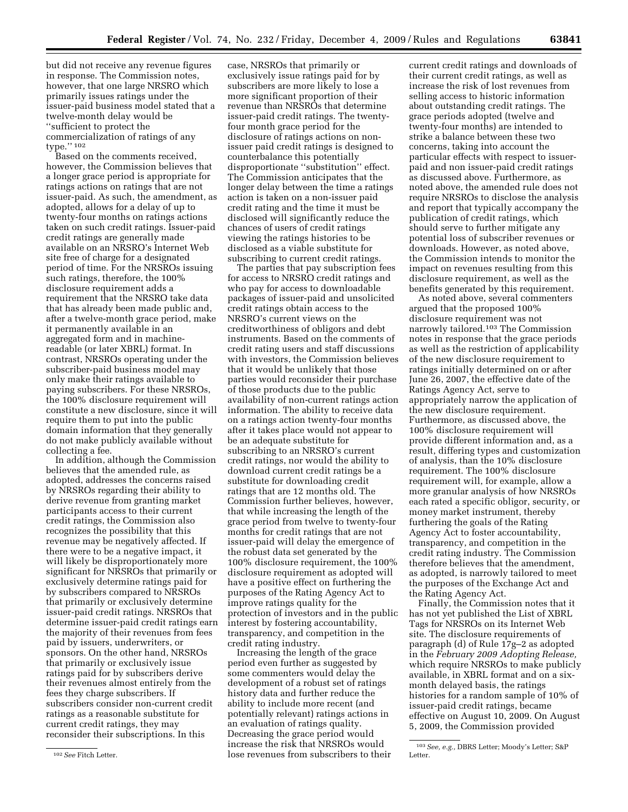but did not receive any revenue figures in response. The Commission notes, however, that one large NRSRO which primarily issues ratings under the issuer-paid business model stated that a twelve-month delay would be ''sufficient to protect the commercialization of ratings of any type.'' 102

Based on the comments received, however, the Commission believes that a longer grace period is appropriate for ratings actions on ratings that are not issuer-paid. As such, the amendment, as adopted, allows for a delay of up to twenty-four months on ratings actions taken on such credit ratings. Issuer-paid credit ratings are generally made available on an NRSRO's Internet Web site free of charge for a designated period of time. For the NRSROs issuing such ratings, therefore, the 100% disclosure requirement adds a requirement that the NRSRO take data that has already been made public and, after a twelve-month grace period, make it permanently available in an aggregated form and in machinereadable (or later XBRL) format. In contrast, NRSROs operating under the subscriber-paid business model may only make their ratings available to paying subscribers. For these NRSROs, the 100% disclosure requirement will constitute a new disclosure, since it will require them to put into the public domain information that they generally do not make publicly available without collecting a fee.

In addition, although the Commission believes that the amended rule, as adopted, addresses the concerns raised by NRSROs regarding their ability to derive revenue from granting market participants access to their current credit ratings, the Commission also recognizes the possibility that this revenue may be negatively affected. If there were to be a negative impact, it will likely be disproportionately more significant for NRSROs that primarily or exclusively determine ratings paid for by subscribers compared to NRSROs that primarily or exclusively determine issuer-paid credit ratings. NRSROs that determine issuer-paid credit ratings earn the majority of their revenues from fees paid by issuers, underwriters, or sponsors. On the other hand, NRSROs that primarily or exclusively issue ratings paid for by subscribers derive their revenues almost entirely from the fees they charge subscribers. If subscribers consider non-current credit ratings as a reasonable substitute for current credit ratings, they may reconsider their subscriptions. In this

case, NRSROs that primarily or exclusively issue ratings paid for by subscribers are more likely to lose a more significant proportion of their revenue than NRSROs that determine issuer-paid credit ratings. The twentyfour month grace period for the disclosure of ratings actions on nonissuer paid credit ratings is designed to counterbalance this potentially disproportionate ''substitution'' effect. The Commission anticipates that the longer delay between the time a ratings action is taken on a non-issuer paid credit rating and the time it must be disclosed will significantly reduce the chances of users of credit ratings viewing the ratings histories to be disclosed as a viable substitute for subscribing to current credit ratings.

The parties that pay subscription fees for access to NRSRO credit ratings and who pay for access to downloadable packages of issuer-paid and unsolicited credit ratings obtain access to the NRSRO's current views on the creditworthiness of obligors and debt instruments. Based on the comments of credit rating users and staff discussions with investors, the Commission believes that it would be unlikely that those parties would reconsider their purchase of those products due to the public availability of non-current ratings action information. The ability to receive data on a ratings action twenty-four months after it takes place would not appear to be an adequate substitute for subscribing to an NRSRO's current credit ratings, nor would the ability to download current credit ratings be a substitute for downloading credit ratings that are 12 months old. The Commission further believes, however, that while increasing the length of the grace period from twelve to twenty-four months for credit ratings that are not issuer-paid will delay the emergence of the robust data set generated by the 100% disclosure requirement, the 100% disclosure requirement as adopted will have a positive effect on furthering the purposes of the Rating Agency Act to improve ratings quality for the protection of investors and in the public interest by fostering accountability, transparency, and competition in the credit rating industry.

Increasing the length of the grace period even further as suggested by some commenters would delay the development of a robust set of ratings history data and further reduce the ability to include more recent (and potentially relevant) ratings actions in an evaluation of ratings quality. Decreasing the grace period would increase the risk that NRSROs would lose revenues from subscribers to their

current credit ratings and downloads of their current credit ratings, as well as increase the risk of lost revenues from selling access to historic information about outstanding credit ratings. The grace periods adopted (twelve and twenty-four months) are intended to strike a balance between these two concerns, taking into account the particular effects with respect to issuerpaid and non issuer-paid credit ratings as discussed above. Furthermore, as noted above, the amended rule does not require NRSROs to disclose the analysis and report that typically accompany the publication of credit ratings, which should serve to further mitigate any potential loss of subscriber revenues or downloads. However, as noted above, the Commission intends to monitor the impact on revenues resulting from this disclosure requirement, as well as the benefits generated by this requirement.

As noted above, several commenters argued that the proposed 100% disclosure requirement was not narrowly tailored.103 The Commission notes in response that the grace periods as well as the restriction of applicability of the new disclosure requirement to ratings initially determined on or after June 26, 2007, the effective date of the Ratings Agency Act, serve to appropriately narrow the application of the new disclosure requirement. Furthermore, as discussed above, the 100% disclosure requirement will provide different information and, as a result, differing types and customization of analysis, than the 10% disclosure requirement. The 100% disclosure requirement will, for example, allow a more granular analysis of how NRSROs each rated a specific obligor, security, or money market instrument, thereby furthering the goals of the Rating Agency Act to foster accountability, transparency, and competition in the credit rating industry. The Commission therefore believes that the amendment, as adopted, is narrowly tailored to meet the purposes of the Exchange Act and the Rating Agency Act.

Finally, the Commission notes that it has not yet published the List of XBRL Tags for NRSROs on its Internet Web site. The disclosure requirements of paragraph (d) of Rule 17g–2 as adopted in the *February 2009 Adopting Release,*  which require NRSROs to make publicly available, in XBRL format and on a sixmonth delayed basis, the ratings histories for a random sample of 10% of issuer-paid credit ratings, became effective on August 10, 2009. On August 5, 2009, the Commission provided

<sup>102</sup> *See* Fitch Letter.

<sup>103</sup> *See, e.g.,* DBRS Letter; Moody's Letter; S&P Letter.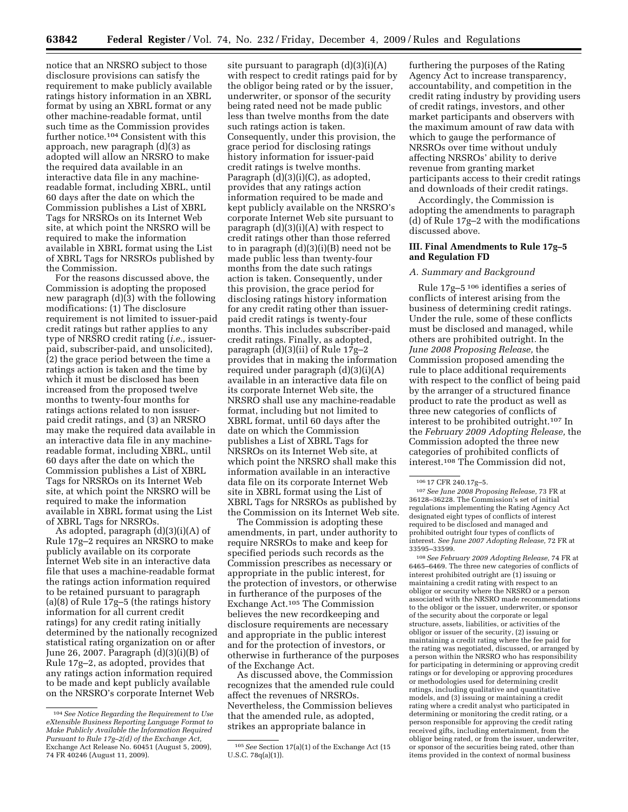notice that an NRSRO subject to those disclosure provisions can satisfy the requirement to make publicly available ratings history information in an XBRL format by using an XBRL format or any other machine-readable format, until such time as the Commission provides further notice.104 Consistent with this approach, new paragraph (d)(3) as adopted will allow an NRSRO to make the required data available in an interactive data file in any machinereadable format, including XBRL, until 60 days after the date on which the Commission publishes a List of XBRL Tags for NRSROs on its Internet Web site, at which point the NRSRO will be required to make the information available in XBRL format using the List of XBRL Tags for NRSROs published by the Commission.

For the reasons discussed above, the Commission is adopting the proposed new paragraph  $(d)(3)$  with the following modifications: (1) The disclosure requirement is not limited to issuer-paid credit ratings but rather applies to any type of NRSRO credit rating (*i.e.,* issuerpaid, subscriber-paid, and unsolicited), (2) the grace period between the time a ratings action is taken and the time by which it must be disclosed has been increased from the proposed twelve months to twenty-four months for ratings actions related to non issuerpaid credit ratings, and (3) an NRSRO may make the required data available in an interactive data file in any machinereadable format, including XBRL, until 60 days after the date on which the Commission publishes a List of XBRL Tags for NRSROs on its Internet Web site, at which point the NRSRO will be required to make the information available in XBRL format using the List of XBRL Tags for NRSROs.

As adopted, paragraph (d)(3)(i)(A) of Rule 17g–2 requires an NRSRO to make publicly available on its corporate Internet Web site in an interactive data file that uses a machine-readable format the ratings action information required to be retained pursuant to paragraph (a)(8) of Rule 17g–5 (the ratings history information for all current credit ratings) for any credit rating initially determined by the nationally recognized statistical rating organization on or after June 26, 2007. Paragraph (d)(3)(i)(B) of Rule 17g–2, as adopted, provides that any ratings action information required to be made and kept publicly available on the NRSRO's corporate Internet Web

site pursuant to paragraph  $(d)(3)(i)(A)$ with respect to credit ratings paid for by the obligor being rated or by the issuer, underwriter, or sponsor of the security being rated need not be made public less than twelve months from the date such ratings action is taken. Consequently, under this provision, the grace period for disclosing ratings history information for issuer-paid credit ratings is twelve months. Paragraph (d)(3)(i)(C), as adopted, provides that any ratings action information required to be made and kept publicly available on the NRSRO's corporate Internet Web site pursuant to paragraph (d)(3)(i)(A) with respect to credit ratings other than those referred to in paragraph (d)(3)(i)(B) need not be made public less than twenty-four months from the date such ratings action is taken. Consequently, under this provision, the grace period for disclosing ratings history information for any credit rating other than issuerpaid credit ratings is twenty-four months. This includes subscriber-paid credit ratings. Finally, as adopted, paragraph (d)(3)(ii) of Rule 17g–2 provides that in making the information required under paragraph (d)(3)(i)(A) available in an interactive data file on its corporate Internet Web site, the NRSRO shall use any machine-readable format, including but not limited to XBRL format, until 60 days after the date on which the Commission publishes a List of XBRL Tags for NRSROs on its Internet Web site, at which point the NRSRO shall make this information available in an interactive data file on its corporate Internet Web site in XBRL format using the List of XBRL Tags for NRSROs as published by the Commission on its Internet Web site.

The Commission is adopting these amendments, in part, under authority to require NRSROs to make and keep for specified periods such records as the Commission prescribes as necessary or appropriate in the public interest, for the protection of investors, or otherwise in furtherance of the purposes of the Exchange Act.105 The Commission believes the new recordkeeping and disclosure requirements are necessary and appropriate in the public interest and for the protection of investors, or otherwise in furtherance of the purposes of the Exchange Act.

As discussed above, the Commission recognizes that the amended rule could affect the revenues of NRSROs. Nevertheless, the Commission believes that the amended rule, as adopted, strikes an appropriate balance in

furthering the purposes of the Rating Agency Act to increase transparency, accountability, and competition in the credit rating industry by providing users of credit ratings, investors, and other market participants and observers with the maximum amount of raw data with which to gauge the performance of NRSROs over time without unduly affecting NRSROs' ability to derive revenue from granting market participants access to their credit ratings and downloads of their credit ratings.

Accordingly, the Commission is adopting the amendments to paragraph (d) of Rule 17g–2 with the modifications discussed above.

# **III. Final Amendments to Rule 17g–5 and Regulation FD**

#### *A. Summary and Background*

Rule 17g–5 106 identifies a series of conflicts of interest arising from the business of determining credit ratings. Under the rule, some of these conflicts must be disclosed and managed, while others are prohibited outright. In the *June 2008 Proposing Release,* the Commission proposed amending the rule to place additional requirements with respect to the conflict of being paid by the arranger of a structured finance product to rate the product as well as three new categories of conflicts of interest to be prohibited outright.107 In the *February 2009 Adopting Release,* the Commission adopted the three new categories of prohibited conflicts of interest.108 The Commission did not,

107 *See June 2008 Proposing Release,* 73 FR at 36128–36228. The Commission's set of initial regulations implementing the Rating Agency Act designated eight types of conflicts of interest required to be disclosed and managed and prohibited outright four types of conflicts of interest. *See June 2007 Adopting Release,* 72 FR at 33595–33599.

108 *See February 2009 Adopting Release,* 74 FR at 6465–6469. The three new categories of conflicts of interest prohibited outright are (1) issuing or maintaining a credit rating with respect to an obligor or security where the NRSRO or a person associated with the NRSRO made recommendations to the obligor or the issuer, underwriter, or sponsor of the security about the corporate or legal structure, assets, liabilities, or activities of the obligor or issuer of the security, (2) issuing or maintaining a credit rating where the fee paid for the rating was negotiated, discussed, or arranged by a person within the NRSRO who has responsibility for participating in determining or approving credit ratings or for developing or approving procedures or methodologies used for determining credit ratings, including qualitative and quantitative models, and (3) issuing or maintaining a credit rating where a credit analyst who participated in determining or monitoring the credit rating, or a person responsible for approving the credit rating received gifts, including entertainment, from the obligor being rated, or from the issuer, underwriter, or sponsor of the securities being rated, other than items provided in the context of normal business

<sup>104</sup> *See Notice Regarding the Requirement to Use eXtensible Business Reporting Language Format to Make Publicly Available the Information Required Pursuant to Rule 17g–2(d) of the Exchange Act,*  Exchange Act Release No. 60451 (August 5, 2009), 74 FR 40246 (August 11, 2009).

<sup>105</sup> *See* Section 17(a)(1) of the Exchange Act (15 U.S.C. 78q(a)(1)).

<sup>106 17</sup> CFR 240.17g–5.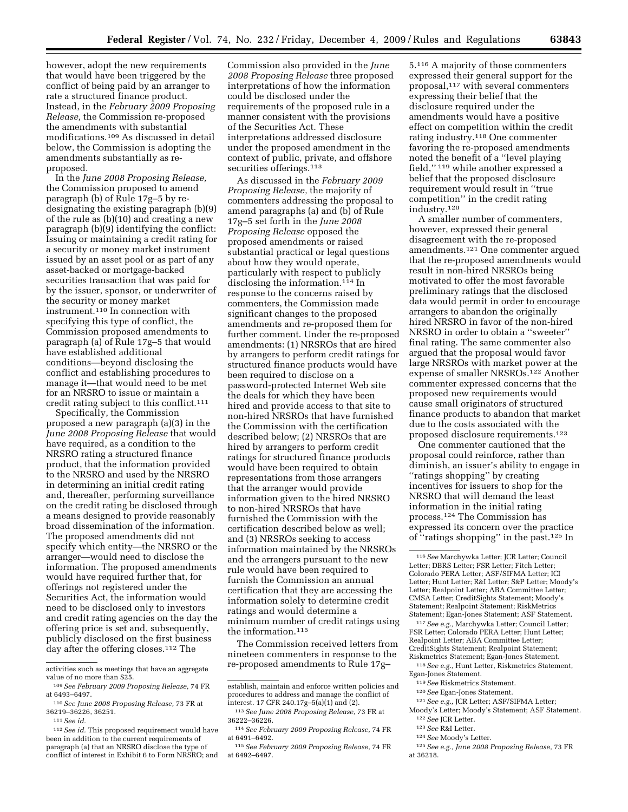however, adopt the new requirements that would have been triggered by the conflict of being paid by an arranger to rate a structured finance product. Instead, in the *February 2009 Proposing Release,* the Commission re-proposed the amendments with substantial modifications.109 As discussed in detail below, the Commission is adopting the amendments substantially as reproposed.

In the *June 2008 Proposing Release,*  the Commission proposed to amend paragraph (b) of Rule 17g–5 by redesignating the existing paragraph (b)(9) of the rule as (b)(10) and creating a new paragraph (b)(9) identifying the conflict: Issuing or maintaining a credit rating for a security or money market instrument issued by an asset pool or as part of any asset-backed or mortgage-backed securities transaction that was paid for by the issuer, sponsor, or underwriter of the security or money market instrument.110 In connection with specifying this type of conflict, the Commission proposed amendments to paragraph (a) of Rule 17g–5 that would have established additional conditions—beyond disclosing the conflict and establishing procedures to manage it—that would need to be met for an NRSRO to issue or maintain a credit rating subject to this conflict.111

Specifically, the Commission proposed a new paragraph (a)(3) in the *June 2008 Proposing Release* that would have required, as a condition to the NRSRO rating a structured finance product, that the information provided to the NRSRO and used by the NRSRO in determining an initial credit rating and, thereafter, performing surveillance on the credit rating be disclosed through a means designed to provide reasonably broad dissemination of the information. The proposed amendments did not specify which entity—the NRSRO or the arranger—would need to disclose the information. The proposed amendments would have required further that, for offerings not registered under the Securities Act, the information would need to be disclosed only to investors and credit rating agencies on the day the offering price is set and, subsequently, publicly disclosed on the first business day after the offering closes.112 The

Commission also provided in the *June 2008 Proposing Release* three proposed interpretations of how the information could be disclosed under the requirements of the proposed rule in a manner consistent with the provisions of the Securities Act. These interpretations addressed disclosure under the proposed amendment in the context of public, private, and offshore securities offerings.<sup>113</sup>

As discussed in the *February 2009 Proposing Release,* the majority of commenters addressing the proposal to amend paragraphs (a) and (b) of Rule 17g–5 set forth in the *June 2008 Proposing Release* opposed the proposed amendments or raised substantial practical or legal questions about how they would operate, particularly with respect to publicly disclosing the information.114 In response to the concerns raised by commenters, the Commission made significant changes to the proposed amendments and re-proposed them for further comment. Under the re-proposed amendments: (1) NRSROs that are hired by arrangers to perform credit ratings for structured finance products would have been required to disclose on a password-protected Internet Web site the deals for which they have been hired and provide access to that site to non-hired NRSROs that have furnished the Commission with the certification described below; (2) NRSROs that are hired by arrangers to perform credit ratings for structured finance products would have been required to obtain representations from those arrangers that the arranger would provide information given to the hired NRSRO to non-hired NRSROs that have furnished the Commission with the certification described below as well; and (3) NRSROs seeking to access information maintained by the NRSROs and the arrangers pursuant to the new rule would have been required to furnish the Commission an annual certification that they are accessing the information solely to determine credit ratings and would determine a minimum number of credit ratings using the information.<sup>115</sup>

The Commission received letters from nineteen commenters in response to the re-proposed amendments to Rule 17g–

5.116 A majority of those commenters expressed their general support for the proposal,117 with several commenters expressing their belief that the disclosure required under the amendments would have a positive effect on competition within the credit rating industry.118 One commenter favoring the re-proposed amendments noted the benefit of a ''level playing field,'' 119 while another expressed a belief that the proposed disclosure requirement would result in ''true competition'' in the credit rating industry.120

A smaller number of commenters, however, expressed their general disagreement with the re-proposed amendments.121 One commenter argued that the re-proposed amendments would result in non-hired NRSROs being motivated to offer the most favorable preliminary ratings that the disclosed data would permit in order to encourage arrangers to abandon the originally hired NRSRO in favor of the non-hired NRSRO in order to obtain a ''sweeter'' final rating. The same commenter also argued that the proposal would favor large NRSROs with market power at the expense of smaller NRSROs.122 Another commenter expressed concerns that the proposed new requirements would cause small originators of structured finance products to abandon that market due to the costs associated with the proposed disclosure requirements.123

One commenter cautioned that the proposal could reinforce, rather than diminish, an issuer's ability to engage in ''ratings shopping'' by creating incentives for issuers to shop for the NRSRO that will demand the least information in the initial rating process.124 The Commission has expressed its concern over the practice of ''ratings shopping'' in the past.125 In

123 *See* R&I Letter.

125 *See e.g., June 2008 Proposing Release,* 73 FR at 36218.

activities such as meetings that have an aggregate value of no more than \$25.

<sup>109</sup> *See February 2009 Proposing Release,* 74 FR at 6493–6497.

<sup>110</sup> *See June 2008 Proposing Release,* 73 FR at 36219–36226, 36251.

<sup>111</sup> *See id.* 

<sup>112</sup> *See id.* This proposed requirement would have been in addition to the current requirements of paragraph (a) that an NRSRO disclose the type of conflict of interest in Exhibit 6 to Form NRSRO; and

establish, maintain and enforce written policies and procedures to address and manage the conflict of interest. 17 CFR 240.17g–5(a)(1) and (2).

<sup>113</sup> *See June 2008 Proposing Release,* 73 FR at 36222–36226.

<sup>114</sup> *See February 2009 Proposing Release,* 74 FR at 6491–6492.

<sup>115</sup> *See February 2009 Proposing Release,* 74 FR at 6492–6497.

<sup>116</sup> *See* Marchywka Letter; JCR Letter; Council Letter; DBRS Letter; FSR Letter; Fitch Letter; Colorado PERA Letter; ASF/SIFMA Letter; ICI Letter; Hunt Letter; R&I Letter; S&P Letter; Moody's Letter; Realpoint Letter; ABA Committee Letter; CMSA Letter; CreditSights Statement; Moody's Statement; Realpoint Statement; RiskMetrics Statement; Egan-Jones Statement; ASF Statement.

<sup>117</sup> *See e.g.,* Marchywka Letter; Council Letter; FSR Letter; Colorado PERA Letter; Hunt Letter; Realpoint Letter; ABA Committee Letter; CreditSights Statement; Realpoint Statement; Riskmetrics Statement; Egan-Jones Statement.

<sup>118</sup> *See e.g.,* Hunt Letter, Riskmetrics Statement, Egan-Jones Statement.

<sup>119</sup> *See* Riskmetrics Statement.

<sup>120</sup> *See* Egan-Jones Statement.

<sup>121</sup> *See e.g.,* JCR Letter; ASF/SIFMA Letter;

Moody's Letter; Moody's Statement; ASF Statement. 122 *See* JCR Letter.

<sup>124</sup> *See* Moody's Letter.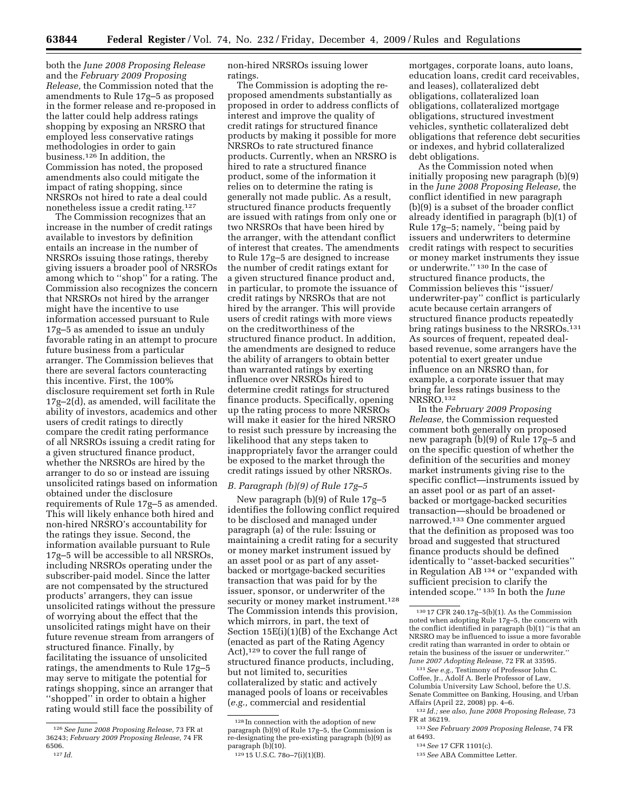both the *June 2008 Proposing Release*  and the *February 2009 Proposing Release,* the Commission noted that the amendments to Rule 17g–5 as proposed in the former release and re-proposed in the latter could help address ratings shopping by exposing an NRSRO that employed less conservative ratings methodologies in order to gain business.126 In addition, the Commission has noted, the proposed amendments also could mitigate the impact of rating shopping, since NRSROs not hired to rate a deal could nonetheless issue a credit rating.127

The Commission recognizes that an increase in the number of credit ratings available to investors by definition entails an increase in the number of NRSROs issuing those ratings, thereby giving issuers a broader pool of NRSROs among which to ''shop'' for a rating. The Commission also recognizes the concern that NRSROs not hired by the arranger might have the incentive to use information accessed pursuant to Rule 17g–5 as amended to issue an unduly favorable rating in an attempt to procure future business from a particular arranger. The Commission believes that there are several factors counteracting this incentive. First, the 100% disclosure requirement set forth in Rule 17g–2(d), as amended, will facilitate the ability of investors, academics and other users of credit ratings to directly compare the credit rating performance of all NRSROs issuing a credit rating for a given structured finance product, whether the NRSROs are hired by the arranger to do so or instead are issuing unsolicited ratings based on information obtained under the disclosure requirements of Rule 17g–5 as amended. This will likely enhance both hired and non-hired NRSRO's accountability for the ratings they issue. Second, the information available pursuant to Rule 17g–5 will be accessible to all NRSROs, including NRSROs operating under the subscriber-paid model. Since the latter are not compensated by the structured products' arrangers, they can issue unsolicited ratings without the pressure of worrying about the effect that the unsolicited ratings might have on their future revenue stream from arrangers of structured finance. Finally, by facilitating the issuance of unsolicited ratings, the amendments to Rule 17g–5 may serve to mitigate the potential for ratings shopping, since an arranger that ''shopped'' in order to obtain a higher rating would still face the possibility of

non-hired NRSROs issuing lower ratings.

The Commission is adopting the reproposed amendments substantially as proposed in order to address conflicts of interest and improve the quality of credit ratings for structured finance products by making it possible for more NRSROs to rate structured finance products. Currently, when an NRSRO is hired to rate a structured finance product, some of the information it relies on to determine the rating is generally not made public. As a result, structured finance products frequently are issued with ratings from only one or two NRSROs that have been hired by the arranger, with the attendant conflict of interest that creates. The amendments to Rule 17g–5 are designed to increase the number of credit ratings extant for a given structured finance product and, in particular, to promote the issuance of credit ratings by NRSROs that are not hired by the arranger. This will provide users of credit ratings with more views on the creditworthiness of the structured finance product. In addition, the amendments are designed to reduce the ability of arrangers to obtain better than warranted ratings by exerting influence over NRSROs hired to determine credit ratings for structured finance products. Specifically, opening up the rating process to more NRSROs will make it easier for the hired NRSRO to resist such pressure by increasing the likelihood that any steps taken to inappropriately favor the arranger could be exposed to the market through the credit ratings issued by other NRSROs.

#### *B. Paragraph (b)(9) of Rule 17g–5*

New paragraph (b)(9) of Rule 17g–5 identifies the following conflict required to be disclosed and managed under paragraph (a) of the rule: Issuing or maintaining a credit rating for a security or money market instrument issued by an asset pool or as part of any assetbacked or mortgage-backed securities transaction that was paid for by the issuer, sponsor, or underwriter of the security or money market instrument.<sup>128</sup> The Commission intends this provision, which mirrors, in part, the text of Section 15E(i)(1)(B) of the Exchange Act (enacted as part of the Rating Agency Act),<sup>129</sup> to cover the full range of structured finance products, including, but not limited to, securities collateralized by static and actively managed pools of loans or receivables (*e.g.,* commercial and residential

mortgages, corporate loans, auto loans, education loans, credit card receivables, and leases), collateralized debt obligations, collateralized loan obligations, collateralized mortgage obligations, structured investment vehicles, synthetic collateralized debt obligations that reference debt securities or indexes, and hybrid collateralized debt obligations.

As the Commission noted when initially proposing new paragraph (b)(9) in the *June 2008 Proposing Release,* the conflict identified in new paragraph (b)(9) is a subset of the broader conflict already identified in paragraph (b)(1) of Rule 17g–5; namely, ''being paid by issuers and underwriters to determine credit ratings with respect to securities or money market instruments they issue or underwrite.'' 130 In the case of structured finance products, the Commission believes this ''issuer/ underwriter-pay'' conflict is particularly acute because certain arrangers of structured finance products repeatedly bring ratings business to the NRSROs.<sup>131</sup> As sources of frequent, repeated dealbased revenue, some arrangers have the potential to exert greater undue influence on an NRSRO than, for example, a corporate issuer that may bring far less ratings business to the NRSRO.132

In the *February 2009 Proposing Release,* the Commission requested comment both generally on proposed new paragraph (b)(9) of Rule 17g–5 and on the specific question of whether the definition of the securities and money market instruments giving rise to the specific conflict—instruments issued by an asset pool or as part of an assetbacked or mortgage-backed securities transaction—should be broadened or narrowed.133 One commenter argued that the definition as proposed was too broad and suggested that structured finance products should be defined identically to ''asset-backed securities'' in Regulation AB 134 or ''expanded with sufficient precision to clarify the intended scope.'' 135 In both the *June* 

131 *See e.g.,* Testimony of Professor John C. Coffee, Jr., Adolf A. Berle Professor of Law, Columbia University Law School, before the U.S. Senate Committee on Banking, Housing, and Urban Affairs (April 22, 2008) pp. 4–6.

<sup>126</sup> *See June 2008 Proposing Release,* 73 FR at 36243; *February 2009 Proposing Release,* 74 FR 6506. 127 *Id.* 

<sup>128</sup> In connection with the adoption of new paragraph (b)(9) of Rule 17g–5, the Commission is re-designating the pre-existing paragraph (b)(9) as

<sup>129 15</sup> U.S.C. 78o-7(i)(1)(B).

<sup>130 17</sup> CFR 240.17g–5(b)(1). As the Commission noted when adopting Rule 17g–5, the concern with the conflict identified in paragraph (b)(1) ''is that an NRSRO may be influenced to issue a more favorable credit rating than warranted in order to obtain or retain the business of the issuer or underwriter.' *June 2007 Adopting Release,* 72 FR at 33595.

<sup>132</sup> *Id.; see also, June 2008 Proposing Release,* 73 FR at 36219.

<sup>133</sup> *See February 2009 Proposing Release,* 74 FR at 6493.

<sup>134</sup> *See* 17 CFR 1101(c).

<sup>135</sup> *See* ABA Committee Letter.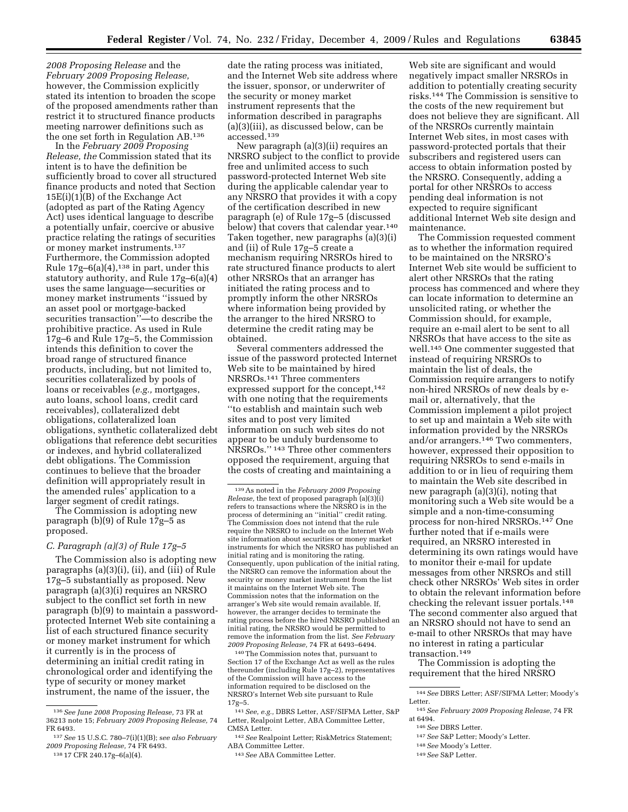*2008 Proposing Release* and the *February 2009 Proposing Release,*  however, the Commission explicitly stated its intention to broaden the scope of the proposed amendments rather than restrict it to structured finance products meeting narrower definitions such as the one set forth in Regulation AB.136

In the *February 2009 Proposing Release, the* Commission stated that its intent is to have the definition be sufficiently broad to cover all structured finance products and noted that Section 15E(i)(1)(B) of the Exchange Act (adopted as part of the Rating Agency Act) uses identical language to describe a potentially unfair, coercive or abusive practice relating the ratings of securities or money market instruments.137 Furthermore, the Commission adopted Rule  $17g-6(a)(4)$ ,<sup>138</sup> in part, under this statutory authority, and Rule 17g–6(a)(4) uses the same language—securities or money market instruments ''issued by an asset pool or mortgage-backed securities transaction''—to describe the prohibitive practice. As used in Rule 17g–6 and Rule 17g–5, the Commission intends this definition to cover the broad range of structured finance products, including, but not limited to, securities collateralized by pools of loans or receivables (*e.g.,* mortgages, auto loans, school loans, credit card receivables), collateralized debt obligations, collateralized loan obligations, synthetic collateralized debt obligations that reference debt securities or indexes, and hybrid collateralized debt obligations. The Commission continues to believe that the broader definition will appropriately result in the amended rules' application to a larger segment of credit ratings.

The Commission is adopting new paragraph (b)(9) of Rule 17g–5 as proposed.

# *C. Paragraph (a)(3) of Rule 17g–5*

The Commission also is adopting new paragraphs (a)(3)(i), (ii), and (iii) of Rule 17g–5 substantially as proposed. New paragraph (a)(3)(i) requires an NRSRO subject to the conflict set forth in new paragraph (b)(9) to maintain a passwordprotected Internet Web site containing a list of each structured finance security or money market instrument for which it currently is in the process of determining an initial credit rating in chronological order and identifying the type of security or money market instrument, the name of the issuer, the

date the rating process was initiated, and the Internet Web site address where the issuer, sponsor, or underwriter of the security or money market instrument represents that the information described in paragraphs (a)(3)(iii), as discussed below, can be accessed.139

New paragraph (a)(3)(ii) requires an NRSRO subject to the conflict to provide free and unlimited access to such password-protected Internet Web site during the applicable calendar year to any NRSRO that provides it with a copy of the certification described in new paragraph (e) of Rule 17g–5 (discussed below) that covers that calendar year.140 Taken together, new paragraphs (a)(3)(i) and (ii) of Rule 17g–5 create a mechanism requiring NRSROs hired to rate structured finance products to alert other NRSROs that an arranger has initiated the rating process and to promptly inform the other NRSROs where information being provided by the arranger to the hired NRSRO to determine the credit rating may be obtained.

Several commenters addressed the issue of the password protected Internet Web site to be maintained by hired NRSROs.141 Three commenters expressed support for the concept,<sup>142</sup> with one noting that the requirements ''to establish and maintain such web sites and to post very limited information on such web sites do not appear to be unduly burdensome to NRSROs.'' 143 Three other commenters opposed the requirement, arguing that the costs of creating and maintaining a

140 The Commission notes that, pursuant to Section 17 of the Exchange Act as well as the rules thereunder (including Rule 17g–2), representatives of the Commission will have access to the information required to be disclosed on the NRSRO's Internet Web site pursuant to Rule 17g–5.

142 *See* Realpoint Letter; RiskMetrics Statement; ABA Committee Letter.

143 *See* ABA Committee Letter.

Web site are significant and would negatively impact smaller NRSROs in addition to potentially creating security risks.144 The Commission is sensitive to the costs of the new requirement but does not believe they are significant. All of the NRSROs currently maintain Internet Web sites, in most cases with password-protected portals that their subscribers and registered users can access to obtain information posted by the NRSRO. Consequently, adding a portal for other NRSROs to access pending deal information is not expected to require significant additional Internet Web site design and maintenance.

The Commission requested comment as to whether the information required to be maintained on the NRSRO's Internet Web site would be sufficient to alert other NRSROs that the rating process has commenced and where they can locate information to determine an unsolicited rating, or whether the Commission should, for example, require an e-mail alert to be sent to all NRSROs that have access to the site as well.145 One commenter suggested that instead of requiring NRSROs to maintain the list of deals, the Commission require arrangers to notify non-hired NRSROs of new deals by email or, alternatively, that the Commission implement a pilot project to set up and maintain a Web site with information provided by the NRSROs and/or arrangers.146 Two commenters, however, expressed their opposition to requiring NRSROs to send e-mails in addition to or in lieu of requiring them to maintain the Web site described in new paragraph (a)(3)(i), noting that monitoring such a Web site would be a simple and a non-time-consuming process for non-hired NRSROs.147 One further noted that if e-mails were required, an NRSRO interested in determining its own ratings would have to monitor their e-mail for update messages from other NRSROs and still check other NRSROs' Web sites in order to obtain the relevant information before checking the relevant issuer portals.148 The second commenter also argued that an NRSRO should not have to send an e-mail to other NRSROs that may have no interest in rating a particular transaction.149

The Commission is adopting the requirement that the hired NRSRO

- 
- 147 *See* S&P Letter; Moody's Letter.
- 148 *See* Moody's Letter.
- 149 *See* S&P Letter.

<sup>136</sup> *See June 2008 Proposing Release,* 73 FR at 36213 note 15; *February 2009 Proposing Release,* 74 FR 6493.

<sup>137</sup> *See* 15 U.S.C. 780–7(i)(1)(B); s*ee also February 2009 Proposing Release,* 74 FR 6493. 138 17 CFR 240.17g–6(a)(4).

<sup>139</sup> As noted in the *February 2009 Proposing Release,* the text of proposed paragraph (a)(3)(i) refers to transactions where the NRSRO is in the process of determining an ''initial'' credit rating. The Commission does not intend that the rule require the NRSRO to include on the Internet Web site information about securities or money market instruments for which the NRSRO has published an initial rating and is monitoring the rating. Consequently, upon publication of the initial rating, the NRSRO can remove the information about the security or money market instrument from the list it maintains on the Internet Web site. The Commission notes that the information on the arranger's Web site would remain available. If, however, the arranger decides to terminate the rating process before the hired NRSRO published an initial rating, the NRSRO would be permitted to remove the information from the list. *See February 2009 Proposing Release,* 74 FR at 6493–6494.

<sup>141</sup> *See, e.g.,* DBRS Letter, ASF/SIFMA Letter, S&P Letter, Realpoint Letter, ABA Committee Letter, CMSA Letter.

<sup>144</sup> *See* DBRS Letter; ASF/SIFMA Letter; Moody's Letter. 145 *See February 2009 Proposing Release,* 74 FR

at 6494. 146 *See* DBRS Letter.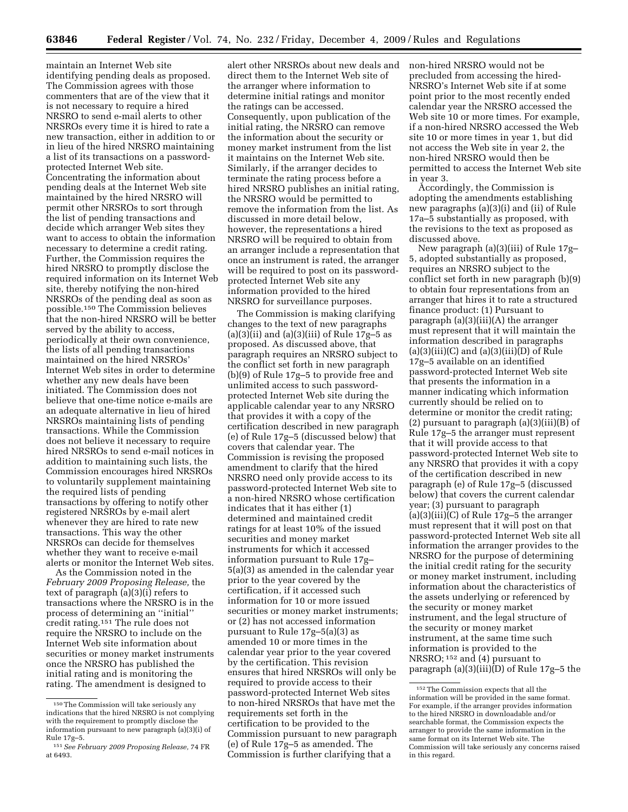maintain an Internet Web site identifying pending deals as proposed. The Commission agrees with those commenters that are of the view that it is not necessary to require a hired NRSRO to send e-mail alerts to other NRSROs every time it is hired to rate a new transaction, either in addition to or in lieu of the hired NRSRO maintaining a list of its transactions on a passwordprotected Internet Web site. Concentrating the information about pending deals at the Internet Web site maintained by the hired NRSRO will permit other NRSROs to sort through the list of pending transactions and decide which arranger Web sites they want to access to obtain the information necessary to determine a credit rating. Further, the Commission requires the hired NRSRO to promptly disclose the required information on its Internet Web site, thereby notifying the non-hired NRSROs of the pending deal as soon as possible.150 The Commission believes that the non-hired NRSRO will be better served by the ability to access, periodically at their own convenience, the lists of all pending transactions maintained on the hired NRSROs' Internet Web sites in order to determine whether any new deals have been initiated. The Commission does not believe that one-time notice e-mails are an adequate alternative in lieu of hired NRSROs maintaining lists of pending transactions. While the Commission does not believe it necessary to require hired NRSROs to send e-mail notices in addition to maintaining such lists, the Commission encourages hired NRSROs to voluntarily supplement maintaining the required lists of pending transactions by offering to notify other registered NRSROs by e-mail alert whenever they are hired to rate new transactions. This way the other NRSROs can decide for themselves whether they want to receive e-mail alerts or monitor the Internet Web sites.

As the Commission noted in the *February 2009 Proposing Release,* the text of paragraph (a)(3)(i) refers to transactions where the NRSRO is in the process of determining an ''initial'' credit rating.151 The rule does not require the NRSRO to include on the Internet Web site information about securities or money market instruments once the NRSRO has published the initial rating and is monitoring the rating. The amendment is designed to

alert other NRSROs about new deals and direct them to the Internet Web site of the arranger where information to determine initial ratings and monitor the ratings can be accessed. Consequently, upon publication of the initial rating, the NRSRO can remove the information about the security or money market instrument from the list it maintains on the Internet Web site. Similarly, if the arranger decides to terminate the rating process before a hired NRSRO publishes an initial rating, the NRSRO would be permitted to remove the information from the list. As discussed in more detail below, however, the representations a hired NRSRO will be required to obtain from an arranger include a representation that once an instrument is rated, the arranger will be required to post on its passwordprotected Internet Web site any information provided to the hired NRSRO for surveillance purposes.

The Commission is making clarifying changes to the text of new paragraphs  $(a)(3)(ii)$  and  $(a)(3)(iii)$  of Rule 17g–5 as proposed. As discussed above, that paragraph requires an NRSRO subject to the conflict set forth in new paragraph (b)(9) of Rule 17g–5 to provide free and unlimited access to such passwordprotected Internet Web site during the applicable calendar year to any NRSRO that provides it with a copy of the certification described in new paragraph (e) of Rule 17g–5 (discussed below) that covers that calendar year. The Commission is revising the proposed amendment to clarify that the hired NRSRO need only provide access to its password-protected Internet Web site to a non-hired NRSRO whose certification indicates that it has either (1) determined and maintained credit ratings for at least 10% of the issued securities and money market instruments for which it accessed information pursuant to Rule 17g– 5(a)(3) as amended in the calendar year prior to the year covered by the certification, if it accessed such information for 10 or more issued securities or money market instruments; or (2) has not accessed information pursuant to Rule 17g–5(a)(3) as amended 10 or more times in the calendar year prior to the year covered by the certification. This revision ensures that hired NRSROs will only be required to provide access to their password-protected Internet Web sites to non-hired NRSROs that have met the requirements set forth in the certification to be provided to the Commission pursuant to new paragraph (e) of Rule 17g–5 as amended. The Commission is further clarifying that a

non-hired NRSRO would not be precluded from accessing the hired-NRSRO's Internet Web site if at some point prior to the most recently ended calendar year the NRSRO accessed the Web site 10 or more times. For example, if a non-hired NRSRO accessed the Web site 10 or more times in year 1, but did not access the Web site in year 2, the non-hired NRSRO would then be permitted to access the Internet Web site in year 3.

Accordingly, the Commission is adopting the amendments establishing new paragraphs (a)(3)(i) and (ii) of Rule 17a–5 substantially as proposed, with the revisions to the text as proposed as discussed above.

New paragraph (a)(3)(iii) of Rule 17g– 5, adopted substantially as proposed, requires an NRSRO subject to the conflict set forth in new paragraph (b)(9) to obtain four representations from an arranger that hires it to rate a structured finance product: (1) Pursuant to paragraph (a)(3)(iii)(A) the arranger must represent that it will maintain the information described in paragraphs  $(a)(3)(iii)(C)$  and  $(a)(3)(iii)(D)$  of Rule 17g–5 available on an identified password-protected Internet Web site that presents the information in a manner indicating which information currently should be relied on to determine or monitor the credit rating; (2) pursuant to paragraph (a)(3)(iii)(B) of Rule 17g–5 the arranger must represent that it will provide access to that password-protected Internet Web site to any NRSRO that provides it with a copy of the certification described in new paragraph (e) of Rule 17g–5 (discussed below) that covers the current calendar year; (3) pursuant to paragraph (a)(3)(iii)(C) of Rule 17g–5 the arranger must represent that it will post on that password-protected Internet Web site all information the arranger provides to the NRSRO for the purpose of determining the initial credit rating for the security or money market instrument, including information about the characteristics of the assets underlying or referenced by the security or money market instrument, and the legal structure of the security or money market instrument, at the same time such information is provided to the NRSRO; 152 and (4) pursuant to paragraph (a)(3)(iii)(D) of Rule 17g–5 the

<sup>150</sup> The Commission will take seriously any indications that the hired NRSRO is not complying with the requirement to promptly disclose the information pursuant to new paragraph (a)(3)(i) of Rule 17g–5.

<sup>151</sup> *See February 2009 Proposing Release,* 74 FR at 6493.

<sup>152</sup> The Commission expects that all the information will be provided in the same format. For example, if the arranger provides information to the hired NRSRO in downloadable and/or searchable format, the Commission expects the arranger to provide the same information in the same format on its Internet Web site. The Commission will take seriously any concerns raised in this regard.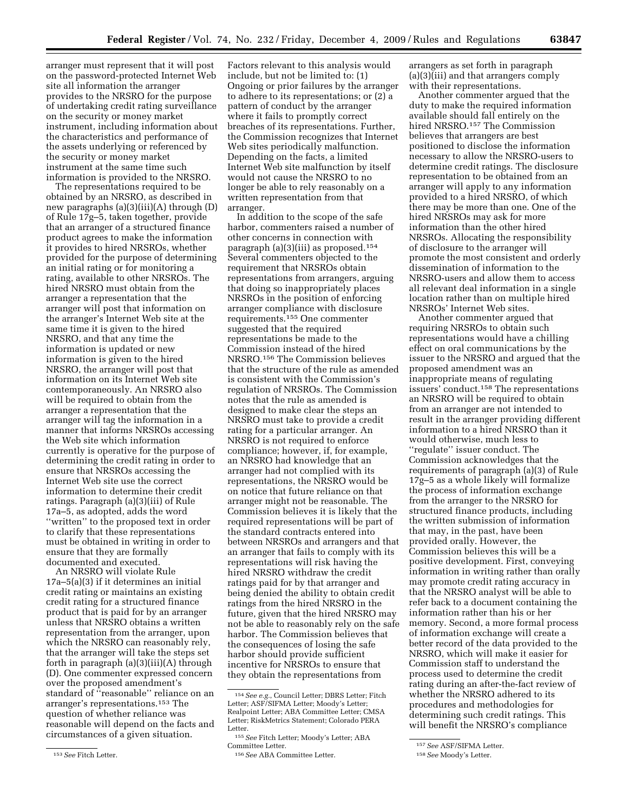arranger must represent that it will post on the password-protected Internet Web site all information the arranger provides to the NRSRO for the purpose of undertaking credit rating surveillance on the security or money market instrument, including information about the characteristics and performance of the assets underlying or referenced by the security or money market instrument at the same time such information is provided to the NRSRO.

The representations required to be obtained by an NRSRO, as described in new paragraphs (a)(3)(iii)(A) through (D) of Rule 17g–5, taken together, provide that an arranger of a structured finance product agrees to make the information it provides to hired NRSROs, whether provided for the purpose of determining an initial rating or for monitoring a rating, available to other NRSROs. The hired NRSRO must obtain from the arranger a representation that the arranger will post that information on the arranger's Internet Web site at the same time it is given to the hired NRSRO, and that any time the information is updated or new information is given to the hired NRSRO, the arranger will post that information on its Internet Web site contemporaneously. An NRSRO also will be required to obtain from the arranger a representation that the arranger will tag the information in a manner that informs NRSROs accessing the Web site which information currently is operative for the purpose of determining the credit rating in order to ensure that NRSROs accessing the Internet Web site use the correct information to determine their credit ratings. Paragraph (a)(3)(iii) of Rule 17a–5, as adopted, adds the word ''written'' to the proposed text in order to clarify that these representations must be obtained in writing in order to ensure that they are formally documented and executed.

An NRSRO will violate Rule 17a–5(a)(3) if it determines an initial credit rating or maintains an existing credit rating for a structured finance product that is paid for by an arranger unless that NRSRO obtains a written representation from the arranger, upon which the NRSRO can reasonably rely, that the arranger will take the steps set forth in paragraph (a)(3)(iii)(A) through (D). One commenter expressed concern over the proposed amendment's standard of ''reasonable'' reliance on an arranger's representations.153 The question of whether reliance was reasonable will depend on the facts and circumstances of a given situation.

Factors relevant to this analysis would include, but not be limited to: (1) Ongoing or prior failures by the arranger to adhere to its representations; or (2) a pattern of conduct by the arranger where it fails to promptly correct breaches of its representations. Further, the Commission recognizes that Internet Web sites periodically malfunction. Depending on the facts, a limited Internet Web site malfunction by itself would not cause the NRSRO to no longer be able to rely reasonably on a written representation from that arranger.

In addition to the scope of the safe harbor, commenters raised a number of other concerns in connection with paragraph (a)(3)(iii) as proposed.154 Several commenters objected to the requirement that NRSROs obtain representations from arrangers, arguing that doing so inappropriately places NRSROs in the position of enforcing arranger compliance with disclosure requirements.155 One commenter suggested that the required representations be made to the Commission instead of the hired NRSRO.156 The Commission believes that the structure of the rule as amended is consistent with the Commission's regulation of NRSROs. The Commission notes that the rule as amended is designed to make clear the steps an NRSRO must take to provide a credit rating for a particular arranger. An NRSRO is not required to enforce compliance; however, if, for example, an NRSRO had knowledge that an arranger had not complied with its representations, the NRSRO would be on notice that future reliance on that arranger might not be reasonable. The Commission believes it is likely that the required representations will be part of the standard contracts entered into between NRSROs and arrangers and that an arranger that fails to comply with its representations will risk having the hired NRSRO withdraw the credit ratings paid for by that arranger and being denied the ability to obtain credit ratings from the hired NRSRO in the future, given that the hired NRSRO may not be able to reasonably rely on the safe harbor. The Commission believes that the consequences of losing the safe harbor should provide sufficient incentive for NRSROs to ensure that they obtain the representations from

arrangers as set forth in paragraph (a)(3)(iii) and that arrangers comply with their representations.

Another commenter argued that the duty to make the required information available should fall entirely on the hired NRSRO.157 The Commission believes that arrangers are best positioned to disclose the information necessary to allow the NRSRO-users to determine credit ratings. The disclosure representation to be obtained from an arranger will apply to any information provided to a hired NRSRO, of which there may be more than one. One of the hired NRSROs may ask for more information than the other hired NRSROs. Allocating the responsibility of disclosure to the arranger will promote the most consistent and orderly dissemination of information to the NRSRO-users and allow them to access all relevant deal information in a single location rather than on multiple hired NRSROs' Internet Web sites.

Another commenter argued that requiring NRSROs to obtain such representations would have a chilling effect on oral communications by the issuer to the NRSRO and argued that the proposed amendment was an inappropriate means of regulating issuers' conduct.158 The representations an NRSRO will be required to obtain from an arranger are not intended to result in the arranger providing different information to a hired NRSRO than it would otherwise, much less to ''regulate'' issuer conduct. The Commission acknowledges that the requirements of paragraph (a)(3) of Rule 17g–5 as a whole likely will formalize the process of information exchange from the arranger to the NRSRO for structured finance products, including the written submission of information that may, in the past, have been provided orally. However, the Commission believes this will be a positive development. First, conveying information in writing rather than orally may promote credit rating accuracy in that the NRSRO analyst will be able to refer back to a document containing the information rather than his or her memory. Second, a more formal process of information exchange will create a better record of the data provided to the NRSRO, which will make it easier for Commission staff to understand the process used to determine the credit rating during an after-the-fact review of whether the NRSRO adhered to its procedures and methodologies for determining such credit ratings. This will benefit the NRSRO's compliance

<sup>153</sup> *See* Fitch Letter.

<sup>154</sup> *See e.g.*, Council Letter; DBRS Letter; Fitch Letter; ASF/SIFMA Letter; Moody's Letter; Realpoint Letter; ABA Committee Letter; CMSA Letter; RiskMetrics Statement; Colorado PERA Letter.

<sup>155</sup> *See* Fitch Letter; Moody's Letter; ABA Committee Letter.

<sup>156</sup> *See* ABA Committee Letter.

<sup>157</sup> *See* ASF/SIFMA Letter.

<sup>158</sup> *See* Moody's Letter.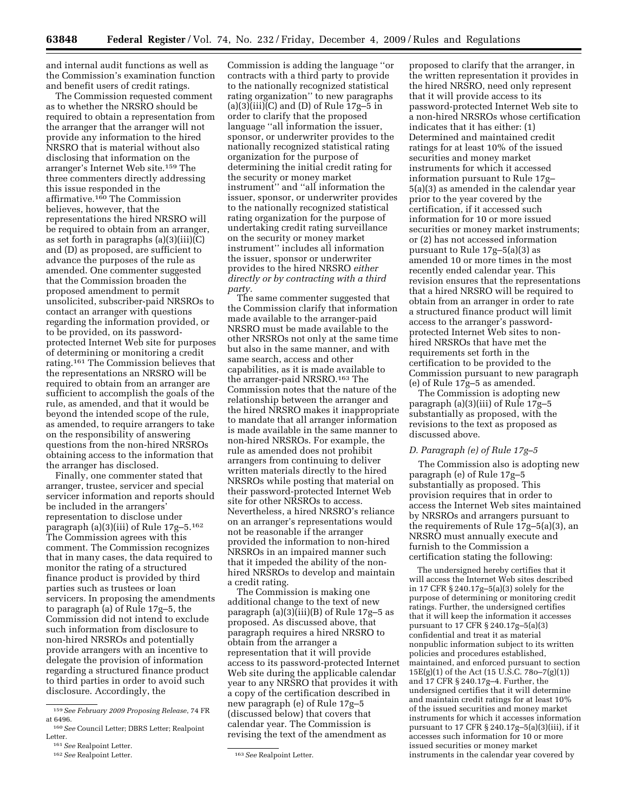and internal audit functions as well as the Commission's examination function and benefit users of credit ratings.

The Commission requested comment as to whether the NRSRO should be required to obtain a representation from the arranger that the arranger will not provide any information to the hired NRSRO that is material without also disclosing that information on the arranger's Internet Web site.159 The three commenters directly addressing this issue responded in the affirmative.160 The Commission believes, however, that the representations the hired NRSRO will be required to obtain from an arranger, as set forth in paragraphs  $(a)(3)(iii)(C)$ and (D) as proposed, are sufficient to advance the purposes of the rule as amended. One commenter suggested that the Commission broaden the proposed amendment to permit unsolicited, subscriber-paid NRSROs to contact an arranger with questions regarding the information provided, or to be provided, on its passwordprotected Internet Web site for purposes of determining or monitoring a credit rating.161 The Commission believes that the representations an NRSRO will be required to obtain from an arranger are sufficient to accomplish the goals of the rule, as amended, and that it would be beyond the intended scope of the rule, as amended, to require arrangers to take on the responsibility of answering questions from the non-hired NRSROs obtaining access to the information that the arranger has disclosed.

Finally, one commenter stated that arranger, trustee, servicer and special servicer information and reports should be included in the arrangers' representation to disclose under paragraph (a)(3)(iii) of Rule 17g–5.162 The Commission agrees with this comment. The Commission recognizes that in many cases, the data required to monitor the rating of a structured finance product is provided by third parties such as trustees or loan servicers. In proposing the amendments to paragraph (a) of Rule 17g–5, the Commission did not intend to exclude such information from disclosure to non-hired NRSROs and potentially provide arrangers with an incentive to delegate the provision of information regarding a structured finance product to third parties in order to avoid such disclosure. Accordingly, the

Commission is adding the language ''or contracts with a third party to provide to the nationally recognized statistical rating organization'' to new paragraphs (a)(3)(iii)(C) and (D) of Rule  $17g-5$  in order to clarify that the proposed language ''all information the issuer, sponsor, or underwriter provides to the nationally recognized statistical rating organization for the purpose of determining the initial credit rating for the security or money market instrument'' and ''all information the issuer, sponsor, or underwriter provides to the nationally recognized statistical rating organization for the purpose of undertaking credit rating surveillance on the security or money market instrument'' includes all information the issuer, sponsor or underwriter provides to the hired NRSRO *either directly or by contracting with a third party.* 

The same commenter suggested that the Commission clarify that information made available to the arranger-paid NRSRO must be made available to the other NRSROs not only at the same time but also in the same manner, and with same search, access and other capabilities, as it is made available to the arranger-paid NRSRO.163 The Commission notes that the nature of the relationship between the arranger and the hired NRSRO makes it inappropriate to mandate that all arranger information is made available in the same manner to non-hired NRSROs. For example, the rule as amended does not prohibit arrangers from continuing to deliver written materials directly to the hired NRSROs while posting that material on their password-protected Internet Web site for other NRSROs to access. Nevertheless, a hired NRSRO's reliance on an arranger's representations would not be reasonable if the arranger provided the information to non-hired NRSROs in an impaired manner such that it impeded the ability of the nonhired NRSROs to develop and maintain a credit rating.

The Commission is making one additional change to the text of new paragraph (a)(3)(iii)(B) of Rule 17g–5 as proposed. As discussed above, that paragraph requires a hired NRSRO to obtain from the arranger a representation that it will provide access to its password-protected Internet Web site during the applicable calendar year to any NRSRO that provides it with a copy of the certification described in new paragraph (e) of Rule 17g–5 (discussed below) that covers that calendar year. The Commission is revising the text of the amendment as

proposed to clarify that the arranger, in the written representation it provides in the hired NRSRO, need only represent that it will provide access to its password-protected Internet Web site to a non-hired NRSROs whose certification indicates that it has either: (1) Determined and maintained credit ratings for at least 10% of the issued securities and money market instruments for which it accessed information pursuant to Rule 17g– 5(a)(3) as amended in the calendar year prior to the year covered by the certification, if it accessed such information for 10 or more issued securities or money market instruments; or (2) has not accessed information pursuant to Rule 17g–5(a)(3) as amended 10 or more times in the most recently ended calendar year. This revision ensures that the representations that a hired NRSRO will be required to obtain from an arranger in order to rate a structured finance product will limit access to the arranger's passwordprotected Internet Web sites to nonhired NRSROs that have met the requirements set forth in the certification to be provided to the Commission pursuant to new paragraph (e) of Rule 17g–5 as amended.

The Commission is adopting new paragraph (a)(3)(iii) of Rule 17g–5 substantially as proposed, with the revisions to the text as proposed as discussed above.

# *D. Paragraph (e) of Rule 17g–5*

The Commission also is adopting new paragraph (e) of Rule 17g–5 substantially as proposed. This provision requires that in order to access the Internet Web sites maintained by NRSROs and arrangers pursuant to the requirements of Rule 17g–5(a)(3), an NRSRO must annually execute and furnish to the Commission a certification stating the following:

The undersigned hereby certifies that it will access the Internet Web sites described in 17 CFR § 240.17g–5(a)(3) solely for the purpose of determining or monitoring credit ratings. Further, the undersigned certifies that it will keep the information it accesses pursuant to 17 CFR § 240.17g–5(a)(3) confidential and treat it as material nonpublic information subject to its written policies and procedures established, maintained, and enforced pursuant to section  $15E(g)(1)$  of the Act (15 U.S.C. 780–7(g)(1)) and 17 CFR § 240.17g–4. Further, the undersigned certifies that it will determine and maintain credit ratings for at least 10% of the issued securities and money market instruments for which it accesses information pursuant to 17 CFR § 240.17g–5(a)(3)(iii), if it accesses such information for 10 or more issued securities or money market instruments in the calendar year covered by

<sup>159</sup> *See February 2009 Proposing Release*, 74 FR at 6496.

<sup>160</sup> *See* Council Letter; DBRS Letter; Realpoint Letter.

<sup>161</sup> *See* Realpoint Letter. 162 *See* Realpoint Letter.

<sup>163</sup> *See* Realpoint Letter.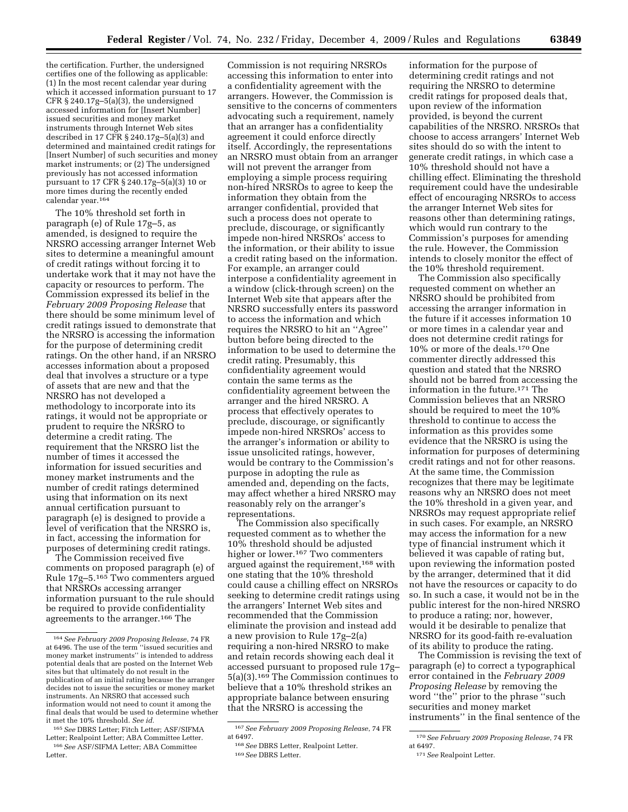the certification. Further, the undersigned certifies one of the following as applicable: (1) In the most recent calendar year during which it accessed information pursuant to 17 CFR § 240.17g–5(a)(3), the undersigned accessed information for [Insert Number] issued securities and money market instruments through Internet Web sites described in 17 CFR § 240.17g–5(a)(3) and determined and maintained credit ratings for [Insert Number] of such securities and money market instruments; or (2) The undersigned previously has not accessed information pursuant to 17 CFR § 240.17g–5(a)(3) 10 or more times during the recently ended calendar year.164

The 10% threshold set forth in paragraph (e) of Rule 17g–5, as amended, is designed to require the NRSRO accessing arranger Internet Web sites to determine a meaningful amount of credit ratings without forcing it to undertake work that it may not have the capacity or resources to perform. The Commission expressed its belief in the *February 2009 Proposing Release* that there should be some minimum level of credit ratings issued to demonstrate that the NRSRO is accessing the information for the purpose of determining credit ratings. On the other hand, if an NRSRO accesses information about a proposed deal that involves a structure or a type of assets that are new and that the NRSRO has not developed a methodology to incorporate into its ratings, it would not be appropriate or prudent to require the NRSRO to determine a credit rating. The requirement that the NRSRO list the number of times it accessed the information for issued securities and money market instruments and the number of credit ratings determined using that information on its next annual certification pursuant to paragraph (e) is designed to provide a level of verification that the NRSRO is, in fact, accessing the information for purposes of determining credit ratings.

The Commission received five comments on proposed paragraph (e) of Rule 17g–5.165 Two commenters argued that NRSROs accessing arranger information pursuant to the rule should be required to provide confidentiality agreements to the arranger.166 The

Commission is not requiring NRSROs accessing this information to enter into a confidentiality agreement with the arrangers. However, the Commission is sensitive to the concerns of commenters advocating such a requirement, namely that an arranger has a confidentiality agreement it could enforce directly itself. Accordingly, the representations an NRSRO must obtain from an arranger will not prevent the arranger from employing a simple process requiring non-hired NRSROs to agree to keep the information they obtain from the arranger confidential, provided that such a process does not operate to preclude, discourage, or significantly impede non-hired NRSROs' access to the information, or their ability to issue a credit rating based on the information. For example, an arranger could interpose a confidentiality agreement in a window (click-through screen) on the Internet Web site that appears after the NRSRO successfully enters its password to access the information and which requires the NRSRO to hit an ''Agree'' button before being directed to the information to be used to determine the credit rating. Presumably, this confidentiality agreement would contain the same terms as the confidentiality agreement between the arranger and the hired NRSRO. A process that effectively operates to preclude, discourage, or significantly impede non-hired NRSROs' access to the arranger's information or ability to issue unsolicited ratings, however, would be contrary to the Commission's purpose in adopting the rule as amended and, depending on the facts, may affect whether a hired NRSRO may reasonably rely on the arranger's representations.

The Commission also specifically requested comment as to whether the 10% threshold should be adjusted higher or lower.<sup>167</sup> Two commenters argued against the requirement,168 with one stating that the 10% threshold could cause a chilling effect on NRSROs seeking to determine credit ratings using the arrangers' Internet Web sites and recommended that the Commission eliminate the provision and instead add a new provision to Rule 17g–2(a) requiring a non-hired NRSRO to make and retain records showing each deal it accessed pursuant to proposed rule 17g– 5(a)(3).169 The Commission continues to believe that a 10% threshold strikes an appropriate balance between ensuring that the NRSRO is accessing the

information for the purpose of determining credit ratings and not requiring the NRSRO to determine credit ratings for proposed deals that, upon review of the information provided, is beyond the current capabilities of the NRSRO. NRSROs that choose to access arrangers' Internet Web sites should do so with the intent to generate credit ratings, in which case a 10% threshold should not have a chilling effect. Eliminating the threshold requirement could have the undesirable effect of encouraging NRSROs to access the arranger Internet Web sites for reasons other than determining ratings, which would run contrary to the Commission's purposes for amending the rule. However, the Commission intends to closely monitor the effect of the 10% threshold requirement.

The Commission also specifically requested comment on whether an NRSRO should be prohibited from accessing the arranger information in the future if it accesses information 10 or more times in a calendar year and does not determine credit ratings for 10% or more of the deals.170 One commenter directly addressed this question and stated that the NRSRO should not be barred from accessing the information in the future.171 The Commission believes that an NRSRO should be required to meet the 10% threshold to continue to access the information as this provides some evidence that the NRSRO is using the information for purposes of determining credit ratings and not for other reasons. At the same time, the Commission recognizes that there may be legitimate reasons why an NRSRO does not meet the 10% threshold in a given year, and NRSROs may request appropriate relief in such cases. For example, an NRSRO may access the information for a new type of financial instrument which it believed it was capable of rating but, upon reviewing the information posted by the arranger, determined that it did not have the resources or capacity to do so. In such a case, it would not be in the public interest for the non-hired NRSRO to produce a rating; nor, however, would it be desirable to penalize that NRSRO for its good-faith re-evaluation of its ability to produce the rating.

The Commission is revising the text of paragraph (e) to correct a typographical error contained in the *February 2009 Proposing Release* by removing the word ''the'' prior to the phrase ''such securities and money market instruments'' in the final sentence of the

<sup>164</sup> *See February 2009 Proposing Release*, 74 FR at 6496. The use of the term ''issued securities and money market instruments'' is intended to address potential deals that are posted on the Internet Web sites but that ultimately do not result in the publication of an initial rating because the arranger decides not to issue the securities or money market instruments. An NRSRO that accessed such information would not need to count it among the final deals that would be used to determine whether it met the 10% threshold. *See id.* 

<sup>165</sup> *See* DBRS Letter; Fitch Letter; ASF/SIFMA Letter; Realpoint Letter; ABA Committee Letter. 166 *See* ASF/SIFMA Letter; ABA Committee Letter.

<sup>167</sup> *See February 2009 Proposing Release*, 74 FR at 6497.

<sup>168</sup> *See* DBRS Letter, Realpoint Letter. 169 *See* DBRS Letter.

<sup>170</sup> *See February 2009 Proposing Release*, 74 FR at 6497.

<sup>171</sup> *See* Realpoint Letter.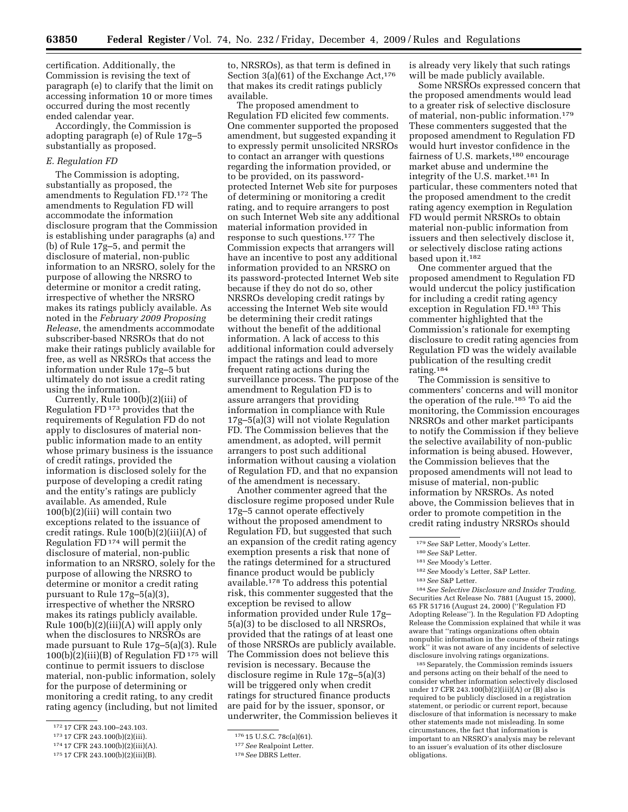certification. Additionally, the Commission is revising the text of paragraph (e) to clarify that the limit on accessing information 10 or more times occurred during the most recently ended calendar year.

Accordingly, the Commission is adopting paragraph (e) of Rule 17g–5 substantially as proposed.

#### *E. Regulation FD*

The Commission is adopting, substantially as proposed, the amendments to Regulation FD.172 The amendments to Regulation FD will accommodate the information disclosure program that the Commission is establishing under paragraphs (a) and (b) of Rule 17g–5, and permit the disclosure of material, non-public information to an NRSRO, solely for the purpose of allowing the NRSRO to determine or monitor a credit rating, irrespective of whether the NRSRO makes its ratings publicly available. As noted in the *February 2009 Proposing Release*, the amendments accommodate subscriber-based NRSROs that do not make their ratings publicly available for free, as well as NRSROs that access the information under Rule 17g–5 but ultimately do not issue a credit rating using the information.

Currently, Rule 100(b)(2)(iii) of Regulation FD 173 provides that the requirements of Regulation FD do not apply to disclosures of material nonpublic information made to an entity whose primary business is the issuance of credit ratings, provided the information is disclosed solely for the purpose of developing a credit rating and the entity's ratings are publicly available. As amended, Rule 100(b)(2)(iii) will contain two exceptions related to the issuance of credit ratings. Rule 100(b)(2)(iii)(A) of Regulation FD 174 will permit the disclosure of material, non-public information to an NRSRO, solely for the purpose of allowing the NRSRO to determine or monitor a credit rating pursuant to Rule 17g–5(a)(3), irrespective of whether the NRSRO makes its ratings publicly available. Rule  $100(b)(2)(iii)(A)$  will apply only when the disclosures to NRSROs are made pursuant to Rule 17g–5(a)(3). Rule  $100(b)(2)(iii)(B)$  of Regulation FD  $175$  will continue to permit issuers to disclose material, non-public information, solely for the purpose of determining or monitoring a credit rating, to any credit rating agency (including, but not limited

to, NRSROs), as that term is defined in Section 3(a)(61) of the Exchange Act,  $176$ that makes its credit ratings publicly available.

The proposed amendment to Regulation FD elicited few comments. One commenter supported the proposed amendment, but suggested expanding it to expressly permit unsolicited NRSROs to contact an arranger with questions regarding the information provided, or to be provided, on its passwordprotected Internet Web site for purposes of determining or monitoring a credit rating, and to require arrangers to post on such Internet Web site any additional material information provided in response to such questions.177 The Commission expects that arrangers will have an incentive to post any additional information provided to an NRSRO on its password-protected Internet Web site because if they do not do so, other NRSROs developing credit ratings by accessing the Internet Web site would be determining their credit ratings without the benefit of the additional information. A lack of access to this additional information could adversely impact the ratings and lead to more frequent rating actions during the surveillance process. The purpose of the amendment to Regulation FD is to assure arrangers that providing information in compliance with Rule 17g–5(a)(3) will not violate Regulation FD. The Commission believes that the amendment, as adopted, will permit arrangers to post such additional information without causing a violation of Regulation FD, and that no expansion of the amendment is necessary.

Another commenter agreed that the disclosure regime proposed under Rule 17g–5 cannot operate effectively without the proposed amendment to Regulation FD, but suggested that such an expansion of the credit rating agency exemption presents a risk that none of the ratings determined for a structured finance product would be publicly available.178 To address this potential risk, this commenter suggested that the exception be revised to allow information provided under Rule 17g– 5(a)(3) to be disclosed to all NRSROs, provided that the ratings of at least one of those NRSROs are publicly available. The Commission does not believe this revision is necessary. Because the disclosure regime in Rule 17g–5(a)(3) will be triggered only when credit ratings for structured finance products are paid for by the issuer, sponsor, or underwriter, the Commission believes it is already very likely that such ratings will be made publicly available.

Some NRSROs expressed concern that the proposed amendments would lead to a greater risk of selective disclosure of material, non-public information.179 These commenters suggested that the proposed amendment to Regulation FD would hurt investor confidence in the fairness of U.S. markets,180 encourage market abuse and undermine the integrity of the U.S. market.181 In particular, these commenters noted that the proposed amendment to the credit rating agency exemption in Regulation FD would permit NRSROs to obtain material non-public information from issuers and then selectively disclose it, or selectively disclose rating actions based upon it.182

One commenter argued that the proposed amendment to Regulation FD would undercut the policy justification for including a credit rating agency exception in Regulation FD.183 This commenter highlighted that the Commission's rationale for exempting disclosure to credit rating agencies from Regulation FD was the widely available publication of the resulting credit rating.184

The Commission is sensitive to commenters' concerns and will monitor the operation of the rule.185 To aid the monitoring, the Commission encourages NRSROs and other market participants to notify the Commission if they believe the selective availability of non-public information is being abused. However, the Commission believes that the proposed amendments will not lead to misuse of material, non-public information by NRSROs. As noted above, the Commission believes that in order to promote competition in the credit rating industry NRSROs should

184 *See Selective Disclosure and Insider Trading,*  Securities Act Release No. 7881 (August 15, 2000), 65 FR 51716 (August 24, 2000) (''Regulation FD Adopting Release''). In the Regulation FD Adopting Release the Commission explained that while it was aware that ''ratings organizations often obtain nonpublic information in the course of their ratings work'' it was not aware of any incidents of selective disclosure involving ratings organizations.

185 Separately, the Commission reminds issuers and persons acting on their behalf of the need to consider whether information selectively disclosed under 17 CFR 243.100(b)(2)(iii)(A) or (B) also is required to be publicly disclosed in a registration statement, or periodic or current report, because disclosure of that information is necessary to make other statements made not misleading. In some circumstances, the fact that information is important to an NRSRO's analysis may be relevant to an issuer's evaluation of its other disclosure obligations.

<sup>172 17</sup> CFR 243.100–243.103.

<sup>173 17</sup> CFR 243.100(b)(2)(iii).

174 17 CFR 243.100(b)(2)(iii)(A).

<sup>175 17</sup> CFR 243.100(b)(2)(iii)(B).

<sup>176 15</sup> U.S.C. 78c(a)(61).

<sup>177</sup> *See* Realpoint Letter.

<sup>178</sup> *See* DBRS Letter.

<sup>179</sup> *See* S&P Letter, Moody's Letter.

<sup>180</sup> *See* S&P Letter.

<sup>181</sup> *See* Moody's Letter.

<sup>182</sup> *See* Moody's Letter, S&P Letter.

<sup>183</sup> *See* S&P Letter.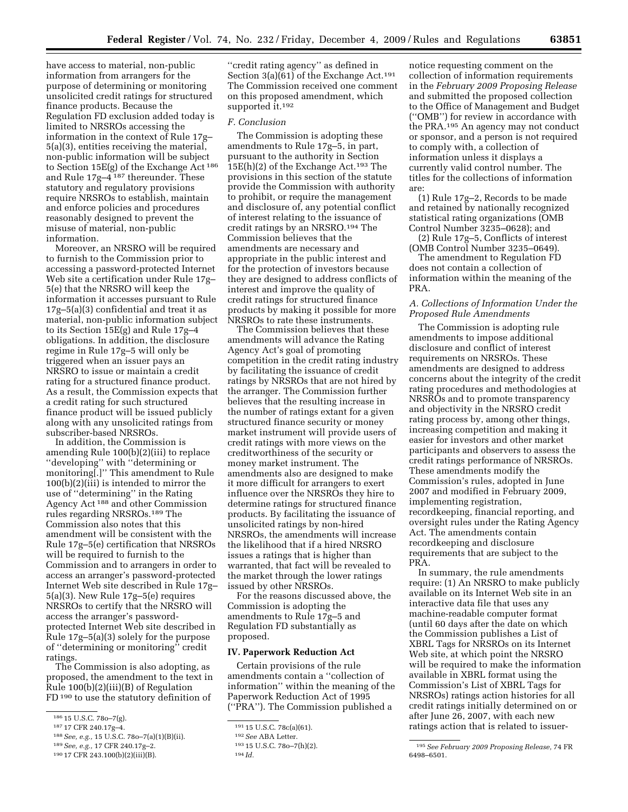have access to material, non-public information from arrangers for the purpose of determining or monitoring unsolicited credit ratings for structured finance products. Because the Regulation FD exclusion added today is limited to NRSROs accessing the information in the context of Rule 17g– 5(a)(3), entities receiving the material, non-public information will be subject to Section 15E(g) of the Exchange Act 186 and Rule 17g–4 187 thereunder. These statutory and regulatory provisions require NRSROs to establish, maintain and enforce policies and procedures reasonably designed to prevent the misuse of material, non-public information.

Moreover, an NRSRO will be required to furnish to the Commission prior to accessing a password-protected Internet Web site a certification under Rule 17g– 5(e) that the NRSRO will keep the information it accesses pursuant to Rule 17g–5(a)(3) confidential and treat it as material, non-public information subject to its Section 15E(g) and Rule 17g–4 obligations. In addition, the disclosure regime in Rule 17g–5 will only be triggered when an issuer pays an NRSRO to issue or maintain a credit rating for a structured finance product. As a result, the Commission expects that a credit rating for such structured finance product will be issued publicly along with any unsolicited ratings from subscriber-based NRSROs.

In addition, the Commission is amending Rule 100(b)(2)(iii) to replace ''developing'' with ''determining or monitoring[.]'' This amendment to Rule 100(b)(2)(iii) is intended to mirror the use of ''determining'' in the Rating Agency Act 188 and other Commission rules regarding NRSROs.189 The Commission also notes that this amendment will be consistent with the Rule 17g–5(e) certification that NRSROs will be required to furnish to the Commission and to arrangers in order to access an arranger's password-protected Internet Web site described in Rule 17g– 5(a)(3). New Rule 17g–5(e) requires NRSROs to certify that the NRSRO will access the arranger's passwordprotected Internet Web site described in Rule 17g–5(a)(3) solely for the purpose of ''determining or monitoring'' credit ratings.

The Commission is also adopting, as proposed, the amendment to the text in Rule 100(b)(2)(iii)(B) of Regulation FD<sup>190</sup> to use the statutory definition of

- 187 17 CFR 240.17g–4.
- 188 *See, e.g.,* 15 U.S.C. 78o–7(a)(1)(B)(ii).

''credit rating agency'' as defined in Section 3(a)(61) of the Exchange Act.<sup>191</sup> The Commission received one comment on this proposed amendment, which supported it.192

#### *F. Conclusion*

The Commission is adopting these amendments to Rule 17g–5, in part, pursuant to the authority in Section 15E(h)(2) of the Exchange Act.193 The provisions in this section of the statute provide the Commission with authority to prohibit, or require the management and disclosure of, any potential conflict of interest relating to the issuance of credit ratings by an NRSRO.194 The Commission believes that the amendments are necessary and appropriate in the public interest and for the protection of investors because they are designed to address conflicts of interest and improve the quality of credit ratings for structured finance products by making it possible for more NRSROs to rate these instruments.

The Commission believes that these amendments will advance the Rating Agency Act's goal of promoting competition in the credit rating industry by facilitating the issuance of credit ratings by NRSROs that are not hired by the arranger. The Commission further believes that the resulting increase in the number of ratings extant for a given structured finance security or money market instrument will provide users of credit ratings with more views on the creditworthiness of the security or money market instrument. The amendments also are designed to make it more difficult for arrangers to exert influence over the NRSROs they hire to determine ratings for structured finance products. By facilitating the issuance of unsolicited ratings by non-hired NRSROs, the amendments will increase the likelihood that if a hired NRSRO issues a ratings that is higher than warranted, that fact will be revealed to the market through the lower ratings issued by other NRSROs.

For the reasons discussed above, the Commission is adopting the amendments to Rule 17g–5 and Regulation FD substantially as proposed.

# **IV. Paperwork Reduction Act**

Certain provisions of the rule amendments contain a ''collection of information'' within the meaning of the Paperwork Reduction Act of 1995 (''PRA''). The Commission published a

notice requesting comment on the collection of information requirements in the *February 2009 Proposing Release*  and submitted the proposed collection to the Office of Management and Budget (''OMB'') for review in accordance with the PRA.195 An agency may not conduct or sponsor, and a person is not required to comply with, a collection of information unless it displays a currently valid control number. The titles for the collections of information are:

(1) Rule 17g–2, Records to be made and retained by nationally recognized statistical rating organizations (OMB Control Number 3235–0628); and

(2) Rule 17g–5, Conflicts of interest (OMB Control Number 3235–0649).

The amendment to Regulation FD does not contain a collection of information within the meaning of the PRA.

# *A. Collections of Information Under the Proposed Rule Amendments*

The Commission is adopting rule amendments to impose additional disclosure and conflict of interest requirements on NRSROs. These amendments are designed to address concerns about the integrity of the credit rating procedures and methodologies at NRSROs and to promote transparency and objectivity in the NRSRO credit rating process by, among other things, increasing competition and making it easier for investors and other market participants and observers to assess the credit ratings performance of NRSROs. These amendments modify the Commission's rules, adopted in June 2007 and modified in February 2009, implementing registration, recordkeeping, financial reporting, and oversight rules under the Rating Agency Act. The amendments contain recordkeeping and disclosure requirements that are subject to the PRA.

In summary, the rule amendments require: (1) An NRSRO to make publicly available on its Internet Web site in an interactive data file that uses any machine-readable computer format (until 60 days after the date on which the Commission publishes a List of XBRL Tags for NRSROs on its Internet Web site, at which point the NRSRO will be required to make the information available in XBRL format using the Commission's List of XBRL Tags for NRSROs) ratings action histories for all credit ratings initially determined on or after June 26, 2007, with each new ratings action that is related to issuer-

<sup>186 15</sup> U.S.C. 78o–7(g).

<sup>189</sup> *See, e.g.,* 17 CFR 240.17g–2.

<sup>190 17</sup> CFR 243.100(b)(2)(iii)(B).

<sup>191 15</sup> U.S.C. 78c(a)(61).

<sup>192</sup> *See* ABA Letter.

193 15 U.S.C. 78o–7(h)(2).

<sup>194</sup> *Id.* 

<sup>195</sup> *See February 2009 Proposing Release,* 74 FR 6498–6501.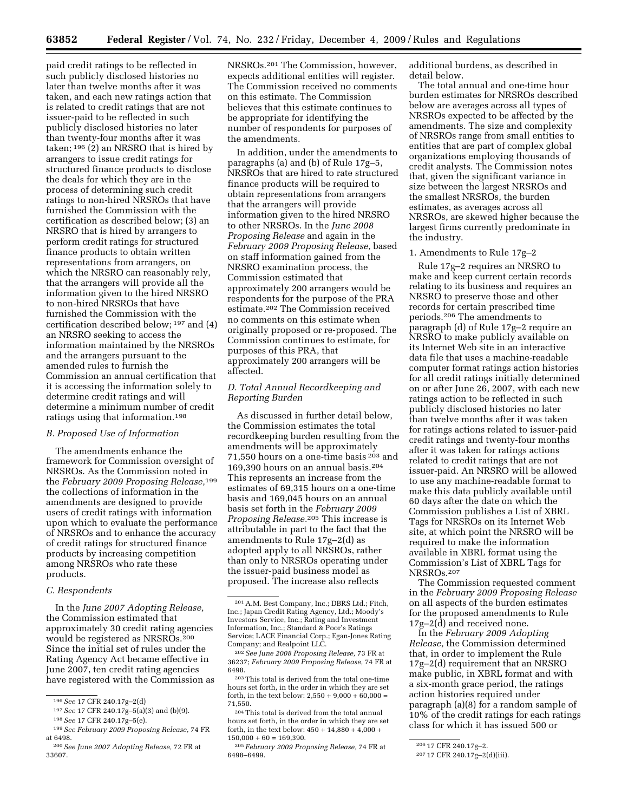paid credit ratings to be reflected in such publicly disclosed histories no later than twelve months after it was taken, and each new ratings action that is related to credit ratings that are not issuer-paid to be reflected in such publicly disclosed histories no later than twenty-four months after it was taken; 196 (2) an NRSRO that is hired by arrangers to issue credit ratings for structured finance products to disclose the deals for which they are in the process of determining such credit ratings to non-hired NRSROs that have furnished the Commission with the certification as described below; (3) an NRSRO that is hired by arrangers to perform credit ratings for structured finance products to obtain written representations from arrangers, on which the NRSRO can reasonably rely, that the arrangers will provide all the information given to the hired NRSRO to non-hired NRSROs that have furnished the Commission with the certification described below; 197 and (4) an NRSRO seeking to access the information maintained by the NRSROs and the arrangers pursuant to the amended rules to furnish the Commission an annual certification that it is accessing the information solely to determine credit ratings and will determine a minimum number of credit ratings using that information.198

# *B. Proposed Use of Information*

The amendments enhance the framework for Commission oversight of NRSROs. As the Commission noted in the *February 2009 Proposing Release,*199 the collections of information in the amendments are designed to provide users of credit ratings with information upon which to evaluate the performance of NRSROs and to enhance the accuracy of credit ratings for structured finance products by increasing competition among NRSROs who rate these products.

# *C. Respondents*

In the *June 2007 Adopting Release,*  the Commission estimated that approximately 30 credit rating agencies would be registered as NRSROs.200 Since the initial set of rules under the Rating Agency Act became effective in June 2007, ten credit rating agencies have registered with the Commission as

NRSROs.201 The Commission, however, expects additional entities will register. The Commission received no comments on this estimate. The Commission believes that this estimate continues to be appropriate for identifying the number of respondents for purposes of the amendments.

In addition, under the amendments to paragraphs (a) and (b) of Rule 17g–5, NRSROs that are hired to rate structured finance products will be required to obtain representations from arrangers that the arrangers will provide information given to the hired NRSRO to other NRSROs. In the *June 2008 Proposing Release* and again in the *February 2009 Proposing Release,* based on staff information gained from the NRSRO examination process, the Commission estimated that approximately 200 arrangers would be respondents for the purpose of the PRA estimate.202 The Commission received no comments on this estimate when originally proposed or re-proposed. The Commission continues to estimate, for purposes of this PRA, that approximately 200 arrangers will be affected.

# *D. Total Annual Recordkeeping and Reporting Burden*

As discussed in further detail below, the Commission estimates the total recordkeeping burden resulting from the amendments will be approximately 71,550 hours on a one-time basis 203 and 169,390 hours on an annual basis.204 This represents an increase from the estimates of 69,315 hours on a one-time basis and 169,045 hours on an annual basis set forth in the *February 2009 Proposing Release.*205 This increase is attributable in part to the fact that the amendments to Rule 17g–2(d) as adopted apply to all NRSROs, rather than only to NRSROs operating under the issuer-paid business model as proposed. The increase also reflects

additional burdens, as described in detail below.

The total annual and one-time hour burden estimates for NRSROs described below are averages across all types of NRSROs expected to be affected by the amendments. The size and complexity of NRSROs range from small entities to entities that are part of complex global organizations employing thousands of credit analysts. The Commission notes that, given the significant variance in size between the largest NRSROs and the smallest NRSROs, the burden estimates, as averages across all NRSROs, are skewed higher because the largest firms currently predominate in the industry.

#### 1. Amendments to Rule 17g–2

Rule 17g–2 requires an NRSRO to make and keep current certain records relating to its business and requires an NRSRO to preserve those and other records for certain prescribed time periods.206 The amendments to paragraph (d) of Rule 17g–2 require an NRSRO to make publicly available on its Internet Web site in an interactive data file that uses a machine-readable computer format ratings action histories for all credit ratings initially determined on or after June 26, 2007, with each new ratings action to be reflected in such publicly disclosed histories no later than twelve months after it was taken for ratings actions related to issuer-paid credit ratings and twenty-four months after it was taken for ratings actions related to credit ratings that are not issuer-paid. An NRSRO will be allowed to use any machine-readable format to make this data publicly available until 60 days after the date on which the Commission publishes a List of XBRL Tags for NRSROs on its Internet Web site, at which point the NRSRO will be required to make the information available in XBRL format using the Commission's List of XBRL Tags for NRSROs.207

The Commission requested comment in the *February 2009 Proposing Release*  on all aspects of the burden estimates for the proposed amendments to Rule 17g–2(d) and received none.

In the *February 2009 Adopting Release,* the Commission determined that, in order to implement the Rule 17g–2(d) requirement that an NRSRO make public, in XBRL format and with a six-month grace period, the ratings action histories required under paragraph (a)(8) for a random sample of 10% of the credit ratings for each ratings class for which it has issued 500 or

<sup>196</sup> *See* 17 CFR 240.17g–2(d)

<sup>197</sup> *See* 17 CFR 240.17g–5(a)(3) and (b)(9).

<sup>198</sup> *See* 17 CFR 240.17g–5(e).

<sup>199</sup> *See February 2009 Proposing Release,* 74 FR at 6498.

<sup>200</sup> *See June 2007 Adopting Release,* 72 FR at 33607.

<sup>201</sup> A.M. Best Company, Inc.; DBRS Ltd.; Fitch, Inc.; Japan Credit Rating Agency, Ltd.; Moody's Investors Service, Inc.; Rating and Investment Information, Inc.; Standard & Poor's Ratings Service; LACE Financial Corp.; Egan-Jones Rating Company; and Realpoint LLC.

<sup>202</sup> *See June 2008 Proposing Release,* 73 FR at 36237; *February 2009 Proposing Release,* 74 FR at 6498.

<sup>203</sup> This total is derived from the total one-time hours set forth, in the order in which they are set forth, in the text below:  $2,550 + 9,000 + 60,000 =$ 71,550.

<sup>204</sup> This total is derived from the total annual hours set forth, in the order in which they are set forth, in the text below: 450 + 14,880 + 4,000 +  $150,000 + 60 = 169,390.$ 

<sup>205</sup> *February 2009 Proposing Release,* 74 FR at 6498–6499.

<sup>206 17</sup> CFR 240.17g–2.

<sup>207 17</sup> CFR 240.17g–2(d)(iii).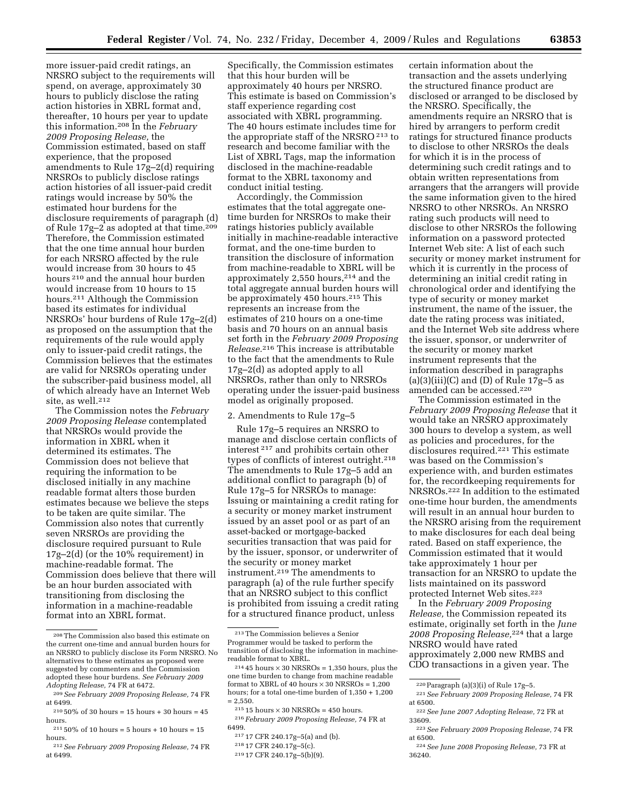more issuer-paid credit ratings, an NRSRO subject to the requirements will spend, on average, approximately 30 hours to publicly disclose the rating action histories in XBRL format and, thereafter, 10 hours per year to update this information.208 In the *February 2009 Proposing Release,* the Commission estimated, based on staff experience, that the proposed amendments to Rule 17g–2(d) requiring NRSROs to publicly disclose ratings action histories of all issuer-paid credit ratings would increase by 50% the estimated hour burdens for the disclosure requirements of paragraph (d) of Rule 17g–2 as adopted at that time.209 Therefore, the Commission estimated that the one time annual hour burden for each NRSRO affected by the rule would increase from 30 hours to 45 hours 210 and the annual hour burden would increase from 10 hours to 15 hours.211 Although the Commission based its estimates for individual NRSROs' hour burdens of Rule 17g–2(d) as proposed on the assumption that the requirements of the rule would apply only to issuer-paid credit ratings, the Commission believes that the estimates are valid for NRSROs operating under the subscriber-paid business model, all of which already have an Internet Web site, as well.212

The Commission notes the *February 2009 Proposing Release* contemplated that NRSROs would provide the information in XBRL when it determined its estimates. The Commission does not believe that requiring the information to be disclosed initially in any machine readable format alters those burden estimates because we believe the steps to be taken are quite similar. The Commission also notes that currently seven NRSROs are providing the disclosure required pursuant to Rule 17g–2(d) (or the 10% requirement) in machine-readable format. The Commission does believe that there will be an hour burden associated with transitioning from disclosing the information in a machine-readable format into an XBRL format.

212 *See February 2009 Proposing Release,* 74 FR at 6499.

Specifically, the Commission estimates that this hour burden will be approximately 40 hours per NRSRO. This estimate is based on Commission's staff experience regarding cost associated with XBRL programming. The 40 hours estimate includes time for the appropriate staff of the NRSRO 213 to research and become familiar with the List of XBRL Tags, map the information disclosed in the machine-readable format to the XBRL taxonomy and conduct initial testing.

Accordingly, the Commission estimates that the total aggregate onetime burden for NRSROs to make their ratings histories publicly available initially in machine-readable interactive format, and the one-time burden to transition the disclosure of information from machine-readable to XBRL will be approximately 2,550 hours,214 and the total aggregate annual burden hours will be approximately 450 hours.215 This represents an increase from the estimates of 210 hours on a one-time basis and 70 hours on an annual basis set forth in the *February 2009 Proposing Release.*216 This increase is attributable to the fact that the amendments to Rule 17g–2(d) as adopted apply to all NRSROs, rather than only to NRSROs operating under the issuer-paid business model as originally proposed.

### 2. Amendments to Rule 17g–5

Rule 17g–5 requires an NRSRO to manage and disclose certain conflicts of interest 217 and prohibits certain other types of conflicts of interest outright.218 The amendments to Rule 17g–5 add an additional conflict to paragraph (b) of Rule 17g–5 for NRSROs to manage: Issuing or maintaining a credit rating for a security or money market instrument issued by an asset pool or as part of an asset-backed or mortgage-backed securities transaction that was paid for by the issuer, sponsor, or underwriter of the security or money market instrument.219 The amendments to paragraph (a) of the rule further specify that an NRSRO subject to this conflict is prohibited from issuing a credit rating for a structured finance product, unless

218 17 CFR 240.17g–5(c).

219 17 CFR 240.17g–5(b)(9).

certain information about the transaction and the assets underlying the structured finance product are disclosed or arranged to be disclosed by the NRSRO. Specifically, the amendments require an NRSRO that is hired by arrangers to perform credit ratings for structured finance products to disclose to other NRSROs the deals for which it is in the process of determining such credit ratings and to obtain written representations from arrangers that the arrangers will provide the same information given to the hired NRSRO to other NRSROs. An NRSRO rating such products will need to disclose to other NRSROs the following information on a password protected Internet Web site: A list of each such security or money market instrument for which it is currently in the process of determining an initial credit rating in chronological order and identifying the type of security or money market instrument, the name of the issuer, the date the rating process was initiated, and the Internet Web site address where the issuer, sponsor, or underwriter of the security or money market instrument represents that the information described in paragraphs  $(a)(3)(iii)(C)$  and  $(D)$  of Rule 17g–5 as amended can be accessed.220

The Commission estimated in the *February 2009 Proposing Release* that it would take an NRSRO approximately 300 hours to develop a system, as well as policies and procedures, for the disclosures required.221 This estimate was based on the Commission's experience with, and burden estimates for, the recordkeeping requirements for NRSROs.222 In addition to the estimated one-time hour burden, the amendments will result in an annual hour burden to the NRSRO arising from the requirement to make disclosures for each deal being rated. Based on staff experience, the Commission estimated that it would take approximately 1 hour per transaction for an NRSRO to update the lists maintained on its password protected Internet Web sites.223

In the *February 2009 Proposing Release,* the Commission repeated its estimate, originally set forth in the *June 2008 Proposing Release,*224 that a large NRSRO would have rated approximately 2,000 new RMBS and CDO transactions in a given year. The

<sup>208</sup> The Commission also based this estimate on the current one-time and annual burden hours for an NRSRO to publicly disclose its Form NRSRO. No alternatives to these estimates as proposed were suggested by commenters and the Commission adopted these hour burdens. *See February 2009 Adopting Release,* 74 FR at 6472.

<sup>209</sup> *See February 2009 Proposing Release,* 74 FR at 6499.

 $210\,50\%$  of 30 hours = 15 hours + 30 hours = 45 hours.

 $^{211}\,50\%$  of 10 hours = 5 hours + 10 hours = 15 hours.

<sup>213</sup> The Commission believes a Senior Programmer would be tasked to perform the transition of disclosing the information in machinereadable format to XBRL.

 $21445$  hours  $\times 30$  NRSROs = 1,350 hours, plus the one time burden to change from machine readable format to XBRL of 40 hours  $\times$  30 NRSROs = 1,200 hours; for a total one-time burden of 1,350 + 1,200  $= 2,550.$ 

 $^{215}\,15$  hours  $\times\,30$  NRSROs = 450 hours. 216 *February 2009 Proposing Release,* 74 FR at 6499.

<sup>217 17</sup> CFR 240.17g–5(a) and (b).

<sup>220</sup> Paragraph (a)(3)(i) of Rule 17g–5.

<sup>221</sup> *See February 2009 Proposing Release,* 74 FR at 6500.

<sup>222</sup> *See June 2007 Adopting Release,* 72 FR at 33609.

<sup>223</sup> *See February 2009 Proposing Release,* 74 FR at 6500.

<sup>224</sup> *See June 2008 Proposing Release,* 73 FR at 36240.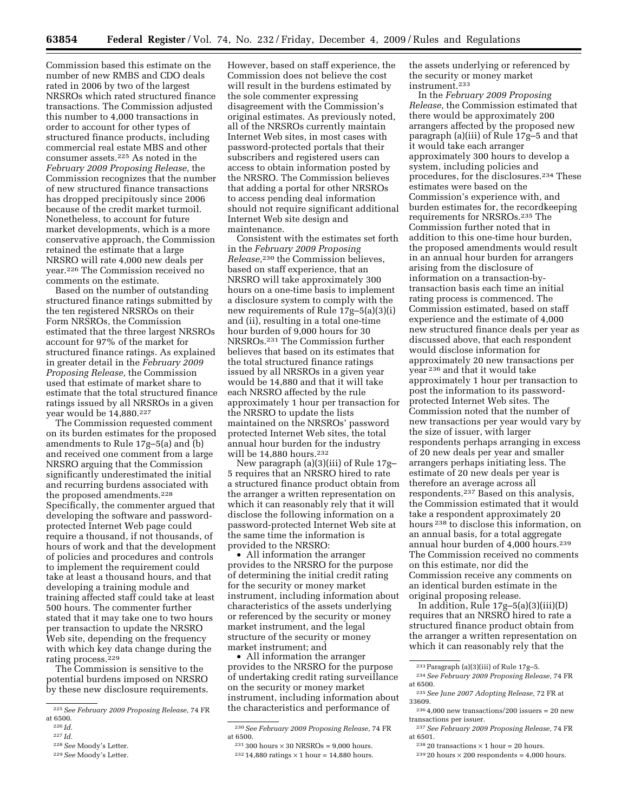Commission based this estimate on the number of new RMBS and CDO deals rated in 2006 by two of the largest NRSROs which rated structured finance transactions. The Commission adjusted this number to 4,000 transactions in order to account for other types of structured finance products, including commercial real estate MBS and other consumer assets.225 As noted in the *February 2009 Proposing Release,* the Commission recognizes that the number of new structured finance transactions has dropped precipitously since 2006 because of the credit market turmoil. Nonetheless, to account for future market developments, which is a more conservative approach, the Commission retained the estimate that a large NRSRO will rate 4,000 new deals per year.226 The Commission received no comments on the estimate.

Based on the number of outstanding structured finance ratings submitted by the ten registered NRSROs on their Form NRSROs, the Commission estimated that the three largest NRSROs account for 97% of the market for structured finance ratings. As explained in greater detail in the *February 2009 Proposing Release,* the Commission used that estimate of market share to estimate that the total structured finance ratings issued by all NRSROs in a given year would be 14,880.<sup>227</sup>

The Commission requested comment on its burden estimates for the proposed amendments to Rule 17g–5(a) and (b) and received one comment from a large NRSRO arguing that the Commission significantly underestimated the initial and recurring burdens associated with the proposed amendments.228 Specifically, the commenter argued that developing the software and passwordprotected Internet Web page could require a thousand, if not thousands, of hours of work and that the development of policies and procedures and controls to implement the requirement could take at least a thousand hours, and that developing a training module and training affected staff could take at least 500 hours. The commenter further stated that it may take one to two hours per transaction to update the NRSRO Web site, depending on the frequency with which key data change during the rating process.<sup>229</sup>

The Commission is sensitive to the potential burdens imposed on NRSRO by these new disclosure requirements.

However, based on staff experience, the Commission does not believe the cost will result in the burdens estimated by the sole commenter expressing disagreement with the Commission's original estimates. As previously noted, all of the NRSROs currently maintain Internet Web sites, in most cases with password-protected portals that their subscribers and registered users can access to obtain information posted by the NRSRO. The Commission believes that adding a portal for other NRSROs to access pending deal information should not require significant additional Internet Web site design and maintenance.

Consistent with the estimates set forth in the *February 2009 Proposing Release,*230 the Commission believes, based on staff experience, that an NRSRO will take approximately 300 hours on a one-time basis to implement a disclosure system to comply with the new requirements of Rule 17g–5(a)(3)(i) and (ii), resulting in a total one-time hour burden of 9,000 hours for 30 NRSROs.231 The Commission further believes that based on its estimates that the total structured finance ratings issued by all NRSROs in a given year would be 14,880 and that it will take each NRSRO affected by the rule approximately 1 hour per transaction for the NRSRO to update the lists maintained on the NRSROs' password protected Internet Web sites, the total annual hour burden for the industry will be 14,880 hours.<sup>232</sup>

New paragraph (a)(3)(iii) of Rule 17g– 5 requires that an NRSRO hired to rate a structured finance product obtain from the arranger a written representation on which it can reasonably rely that it will disclose the following information on a password-protected Internet Web site at the same time the information is provided to the NRSRO:

• All information the arranger provides to the NRSRO for the purpose of determining the initial credit rating for the security or money market instrument, including information about characteristics of the assets underlying or referenced by the security or money market instrument, and the legal structure of the security or money market instrument; and

• All information the arranger provides to the NRSRO for the purpose of undertaking credit rating surveillance on the security or money market instrument, including information about the characteristics and performance of

the assets underlying or referenced by the security or money market instrument.233

In the *February 2009 Proposing Release,* the Commission estimated that there would be approximately 200 arrangers affected by the proposed new paragraph (a)(iii) of Rule 17g–5 and that it would take each arranger approximately 300 hours to develop a system, including policies and procedures, for the disclosures.234 These estimates were based on the Commission's experience with, and burden estimates for, the recordkeeping requirements for NRSROs.235 The Commission further noted that in addition to this one-time hour burden, the proposed amendments would result in an annual hour burden for arrangers arising from the disclosure of information on a transaction-bytransaction basis each time an initial rating process is commenced. The Commission estimated, based on staff experience and the estimate of 4,000 new structured finance deals per year as discussed above, that each respondent would disclose information for approximately 20 new transactions per year 236 and that it would take approximately 1 hour per transaction to post the information to its passwordprotected Internet Web sites. The Commission noted that the number of new transactions per year would vary by the size of issuer, with larger respondents perhaps arranging in excess of 20 new deals per year and smaller arrangers perhaps initiating less. The estimate of 20 new deals per year is therefore an average across all respondents.237 Based on this analysis, the Commission estimated that it would take a respondent approximately 20 hours 238 to disclose this information, on an annual basis, for a total aggregate annual hour burden of 4,000 hours.239 The Commission received no comments on this estimate, nor did the Commission receive any comments on an identical burden estimate in the original proposing release.

In addition, Rule  $17g-5(a)(3)(iii)(D)$ requires that an NRSRO hired to rate a structured finance product obtain from the arranger a written representation on which it can reasonably rely that the

237 *See February 2009 Proposing Release,* 74 FR at 6501.

 $239 20$  hours  $\times 200$  respondents = 4,000 hours.

<sup>225</sup> *See February 2009 Proposing Release,* 74 FR at 6500.

<sup>226</sup> *Id.* 

<sup>227</sup> *Id.* 

<sup>228</sup> *See* Moody's Letter.

<sup>229</sup> *See* Moody's Letter.

<sup>230</sup> *See February 2009 Proposing Release,* 74 FR at 6500.

 $231300$  hours  $\times 30$  NRSROs = 9,000 hours.

 $232 14,880$  ratings  $\times$  1 hour = 14,880 hours.

<sup>233</sup> Paragraph (a)(3)(iii) of Rule 17g–5.

<sup>234</sup> *See February 2009 Proposing Release,* 74 FR at 6500.

<sup>235</sup> *See June 2007 Adopting Release,* 72 FR at 33609.

 $2364,000$  new transactions/200 issuers = 20 new transactions per issuer.

 $23820$  transactions  $\times$  1 hour = 20 hours.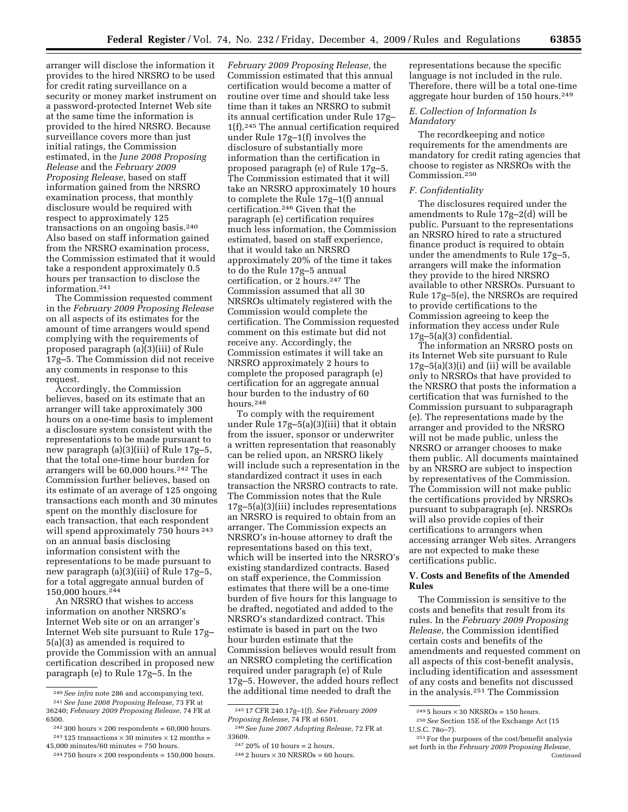arranger will disclose the information it provides to the hired NRSRO to be used for credit rating surveillance on a security or money market instrument on a password-protected Internet Web site at the same time the information is provided to the hired NRSRO. Because surveillance covers more than just initial ratings, the Commission estimated, in the *June 2008 Proposing Release* and the *February 2009 Proposing Release,* based on staff information gained from the NRSRO examination process, that monthly disclosure would be required with respect to approximately 125 transactions on an ongoing basis.240 Also based on staff information gained from the NRSRO examination process, the Commission estimated that it would take a respondent approximately 0.5 hours per transaction to disclose the information.241

The Commission requested comment in the *February 2009 Proposing Release*  on all aspects of its estimates for the amount of time arrangers would spend complying with the requirements of proposed paragraph (a)(3)(iii) of Rule 17g–5. The Commission did not receive any comments in response to this request.

Accordingly, the Commission believes, based on its estimate that an arranger will take approximately 300 hours on a one-time basis to implement a disclosure system consistent with the representations to be made pursuant to new paragraph (a)(3)(iii) of Rule 17g–5, that the total one-time hour burden for arrangers will be 60,000 hours.242 The Commission further believes, based on its estimate of an average of 125 ongoing transactions each month and 30 minutes spent on the monthly disclosure for each transaction, that each respondent will spend approximately 750 hours <sup>243</sup> on an annual basis disclosing information consistent with the representations to be made pursuant to new paragraph (a)(3)(iii) of Rule 17g–5, for a total aggregate annual burden of 150,000 hours.244

An NRSRO that wishes to access information on another NRSRO's Internet Web site or on an arranger's Internet Web site pursuant to Rule 17g– 5(a)(3) as amended is required to provide the Commission with an annual certification described in proposed new paragraph (e) to Rule 17g–5. In the

*February 2009 Proposing Release,* the Commission estimated that this annual certification would become a matter of routine over time and should take less time than it takes an NRSRO to submit its annual certification under Rule 17g– 1(f).245 The annual certification required under Rule 17g–1(f) involves the disclosure of substantially more information than the certification in proposed paragraph (e) of Rule 17g–5. The Commission estimated that it will take an NRSRO approximately 10 hours to complete the Rule 17g–1(f) annual certification.246 Given that the paragraph (e) certification requires much less information, the Commission estimated, based on staff experience, that it would take an NRSRO approximately 20% of the time it takes to do the Rule 17g–5 annual certification, or 2 hours.<sup>247</sup> The Commission assumed that all 30 NRSROs ultimately registered with the Commission would complete the certification. The Commission requested comment on this estimate but did not receive any. Accordingly, the Commission estimates it will take an NRSRO approximately 2 hours to complete the proposed paragraph (e) certification for an aggregate annual hour burden to the industry of 60 hours.248

To comply with the requirement under Rule 17g–5(a)(3)(iii) that it obtain from the issuer, sponsor or underwriter a written representation that reasonably can be relied upon, an NRSRO likely will include such a representation in the standardized contract it uses in each transaction the NRSRO contracts to rate. The Commission notes that the Rule 17g–5(a)(3)(iii) includes representations an NRSRO is required to obtain from an arranger. The Commission expects an NRSRO's in-house attorney to draft the representations based on this text, which will be inserted into the NRSRO's existing standardized contracts. Based on staff experience, the Commission estimates that there will be a one-time burden of five hours for this language to be drafted, negotiated and added to the NRSRO's standardized contract. This estimate is based in part on the two hour burden estimate that the Commission believes would result from an NRSRO completing the certification required under paragraph (e) of Rule 17g–5. However, the added hours reflect the additional time needed to draft the

representations because the specific language is not included in the rule. Therefore, there will be a total one-time aggregate hour burden of 150 hours.249

# *E. Collection of Information Is Mandatory*

The recordkeeping and notice requirements for the amendments are mandatory for credit rating agencies that choose to register as NRSROs with the Commission.250

#### *F. Confidentiality*

The disclosures required under the amendments to Rule 17g–2(d) will be public. Pursuant to the representations an NRSRO hired to rate a structured finance product is required to obtain under the amendments to Rule 17g–5, arrangers will make the information they provide to the hired NRSRO available to other NRSROs. Pursuant to Rule 17g–5(e), the NRSROs are required to provide certifications to the Commission agreeing to keep the information they access under Rule 17g–5(a)(3) confidential.

The information an NRSRO posts on its Internet Web site pursuant to Rule 17g–5(a)(3)(i) and (ii) will be available only to NRSROs that have provided to the NRSRO that posts the information a certification that was furnished to the Commission pursuant to subparagraph (e). The representations made by the arranger and provided to the NRSRO will not be made public, unless the NRSRO or arranger chooses to make them public. All documents maintained by an NRSRO are subject to inspection by representatives of the Commission. The Commission will not make public the certifications provided by NRSROs pursuant to subparagraph (e). NRSROs will also provide copies of their certifications to arrangers when accessing arranger Web sites. Arrangers are not expected to make these certifications public.

## **V. Costs and Benefits of the Amended Rules**

The Commission is sensitive to the costs and benefits that result from its rules. In the *February 2009 Proposing Release,* the Commission identified certain costs and benefits of the amendments and requested comment on all aspects of this cost-benefit analysis, including identification and assessment of any costs and benefits not discussed in the analysis.251 The Commission

<sup>240</sup> *See infra* note 286 and accompanying text. 241 *See June 2008 Proposing Release,* 73 FR at 36240; *February 2009 Proposing Release,* 74 FR at 6500.

 $242300$  hours  $\times 200$  respondents = 60,000 hours.  $^{243}$  125 transactions  $\times$  30 minutes  $\times$  12 months =  $45,000$  minutes/60 minutes = 750 hours.

 $244750$  hours  $\times 200$  respondents = 150,000 hours.

<sup>245 17</sup> CFR 240.17g–1(f). *See February 2009 Proposing Release,* 74 FR at 6501.

<sup>246</sup> *See June 2007 Adopting Release,* 72 FR at 33609.

<sup>247 20%</sup> of 10 hours = 2 hours.

 $248$  2 hours  $\times$  30 NRSROs = 60 hours.

 $2495$  hours  $\times 30$  NRSROs = 150 hours.

250 *See* Section 15E of the Exchange Act (15 U.S.C. 78o–7).

<sup>251</sup> For the purposes of the cost/benefit analysis set forth in the *February 2009 Proposing Release,*  Continued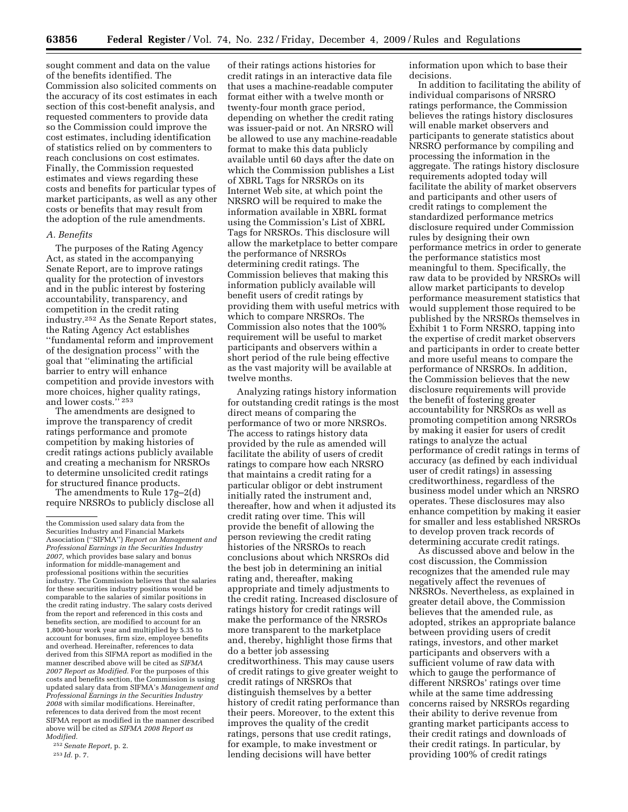sought comment and data on the value of the benefits identified. The Commission also solicited comments on the accuracy of its cost estimates in each section of this cost-benefit analysis, and requested commenters to provide data so the Commission could improve the cost estimates, including identification of statistics relied on by commenters to reach conclusions on cost estimates. Finally, the Commission requested estimates and views regarding these costs and benefits for particular types of market participants, as well as any other costs or benefits that may result from the adoption of the rule amendments.

#### *A. Benefits*

The purposes of the Rating Agency Act, as stated in the accompanying Senate Report, are to improve ratings quality for the protection of investors and in the public interest by fostering accountability, transparency, and competition in the credit rating industry.252 As the Senate Report states, the Rating Agency Act establishes ''fundamental reform and improvement of the designation process'' with the goal that ''eliminating the artificial barrier to entry will enhance competition and provide investors with more choices, higher quality ratings, and lower costs.'' 253

The amendments are designed to improve the transparency of credit ratings performance and promote competition by making histories of credit ratings actions publicly available and creating a mechanism for NRSROs to determine unsolicited credit ratings for structured finance products.

The amendments to Rule 17g–2(d) require NRSROs to publicly disclose all

252 *Senate Report,* p. 2. 253 *Id.* p. 7.

of their ratings actions histories for credit ratings in an interactive data file that uses a machine-readable computer format either with a twelve month or twenty-four month grace period, depending on whether the credit rating was issuer-paid or not. An NRSRO will be allowed to use any machine-readable format to make this data publicly available until 60 days after the date on which the Commission publishes a List of XBRL Tags for NRSROs on its Internet Web site, at which point the NRSRO will be required to make the information available in XBRL format using the Commission's List of XBRL Tags for NRSROs. This disclosure will allow the marketplace to better compare the performance of NRSROs determining credit ratings. The Commission believes that making this information publicly available will benefit users of credit ratings by providing them with useful metrics with which to compare NRSROs. The Commission also notes that the 100% requirement will be useful to market participants and observers within a short period of the rule being effective as the vast majority will be available at twelve months.

Analyzing ratings history information for outstanding credit ratings is the most direct means of comparing the performance of two or more NRSROs. The access to ratings history data provided by the rule as amended will facilitate the ability of users of credit ratings to compare how each NRSRO that maintains a credit rating for a particular obligor or debt instrument initially rated the instrument and, thereafter, how and when it adjusted its credit rating over time. This will provide the benefit of allowing the person reviewing the credit rating histories of the NRSROs to reach conclusions about which NRSROs did the best job in determining an initial rating and, thereafter, making appropriate and timely adjustments to the credit rating. Increased disclosure of ratings history for credit ratings will make the performance of the NRSROs more transparent to the marketplace and, thereby, highlight those firms that do a better job assessing creditworthiness. This may cause users of credit ratings to give greater weight to credit ratings of NRSROs that distinguish themselves by a better history of credit rating performance than their peers. Moreover, to the extent this improves the quality of the credit ratings, persons that use credit ratings, for example, to make investment or lending decisions will have better

information upon which to base their decisions.

In addition to facilitating the ability of individual comparisons of NRSRO ratings performance, the Commission believes the ratings history disclosures will enable market observers and participants to generate statistics about NRSRO performance by compiling and processing the information in the aggregate. The ratings history disclosure requirements adopted today will facilitate the ability of market observers and participants and other users of credit ratings to complement the standardized performance metrics disclosure required under Commission rules by designing their own performance metrics in order to generate the performance statistics most meaningful to them. Specifically, the raw data to be provided by NRSROs will allow market participants to develop performance measurement statistics that would supplement those required to be published by the NRSROs themselves in Exhibit 1 to Form NRSRO, tapping into the expertise of credit market observers and participants in order to create better and more useful means to compare the performance of NRSROs. In addition, the Commission believes that the new disclosure requirements will provide the benefit of fostering greater accountability for NRSROs as well as promoting competition among NRSROs by making it easier for users of credit ratings to analyze the actual performance of credit ratings in terms of accuracy (as defined by each individual user of credit ratings) in assessing creditworthiness, regardless of the business model under which an NRSRO operates. These disclosures may also enhance competition by making it easier for smaller and less established NRSROs to develop proven track records of determining accurate credit ratings.

As discussed above and below in the cost discussion, the Commission recognizes that the amended rule may negatively affect the revenues of NRSROs. Nevertheless, as explained in greater detail above, the Commission believes that the amended rule, as adopted, strikes an appropriate balance between providing users of credit ratings, investors, and other market participants and observers with a sufficient volume of raw data with which to gauge the performance of different NRSROs' ratings over time while at the same time addressing concerns raised by NRSROs regarding their ability to derive revenue from granting market participants access to their credit ratings and downloads of their credit ratings. In particular, by providing 100% of credit ratings

the Commission used salary data from the Securities Industry and Financial Markets Association (''SIFMA'') *Report on Management and Professional Earnings in the Securities Industry 2007,* which provides base salary and bonus information for middle-management and professional positions within the securities industry. The Commission believes that the salaries for these securities industry positions would be comparable to the salaries of similar positions in the credit rating industry. The salary costs derived from the report and referenced in this costs and benefits section, are modified to account for an 1,800-hour work year and multiplied by 5.35 to account for bonuses, firm size, employee benefits and overhead. Hereinafter, references to data derived from this SIFMA report as modified in the manner described above will be cited as *SIFMA 2007 Report as Modified.* For the purposes of this costs and benefits section, the Commission is using updated salary data from SIFMA's *Management and Professional Earnings in the Securities Industry 2008* with similar modifications. Hereinafter, references to data derived from the most recent SIFMA report as modified in the manner described above will be cited as *SIFMA 2008 Report as Modified.*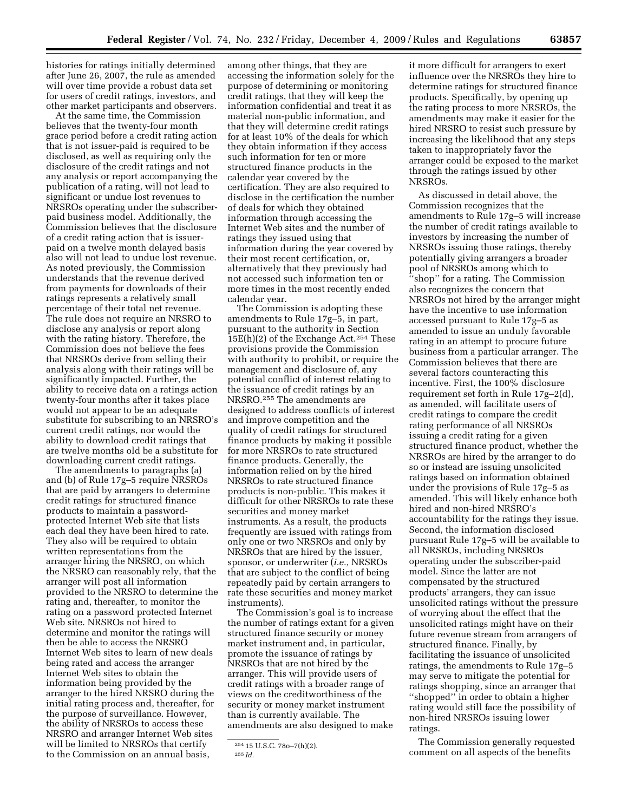histories for ratings initially determined after June 26, 2007, the rule as amended will over time provide a robust data set for users of credit ratings, investors, and other market participants and observers.

At the same time, the Commission believes that the twenty-four month grace period before a credit rating action that is not issuer-paid is required to be disclosed, as well as requiring only the disclosure of the credit ratings and not any analysis or report accompanying the publication of a rating, will not lead to significant or undue lost revenues to NRSROs operating under the subscriberpaid business model. Additionally, the Commission believes that the disclosure of a credit rating action that is issuerpaid on a twelve month delayed basis also will not lead to undue lost revenue. As noted previously, the Commission understands that the revenue derived from payments for downloads of their ratings represents a relatively small percentage of their total net revenue. The rule does not require an NRSRO to disclose any analysis or report along with the rating history. Therefore, the Commission does not believe the fees that NRSROs derive from selling their analysis along with their ratings will be significantly impacted. Further, the ability to receive data on a ratings action twenty-four months after it takes place would not appear to be an adequate substitute for subscribing to an NRSRO's current credit ratings, nor would the ability to download credit ratings that are twelve months old be a substitute for downloading current credit ratings.

The amendments to paragraphs (a) and (b) of Rule 17g–5 require NRSROs that are paid by arrangers to determine credit ratings for structured finance products to maintain a passwordprotected Internet Web site that lists each deal they have been hired to rate. They also will be required to obtain written representations from the arranger hiring the NRSRO, on which the NRSRO can reasonably rely, that the arranger will post all information provided to the NRSRO to determine the rating and, thereafter, to monitor the rating on a password protected Internet Web site. NRSROs not hired to determine and monitor the ratings will then be able to access the NRSRO Internet Web sites to learn of new deals being rated and access the arranger Internet Web sites to obtain the information being provided by the arranger to the hired NRSRO during the initial rating process and, thereafter, for the purpose of surveillance. However, the ability of NRSROs to access these NRSRO and arranger Internet Web sites will be limited to NRSROs that certify to the Commission on an annual basis,

among other things, that they are accessing the information solely for the purpose of determining or monitoring credit ratings, that they will keep the information confidential and treat it as material non-public information, and that they will determine credit ratings for at least 10% of the deals for which they obtain information if they access such information for ten or more structured finance products in the calendar year covered by the certification. They are also required to disclose in the certification the number of deals for which they obtained information through accessing the Internet Web sites and the number of ratings they issued using that information during the year covered by their most recent certification, or, alternatively that they previously had not accessed such information ten or more times in the most recently ended calendar year.

The Commission is adopting these amendments to Rule 17g–5, in part, pursuant to the authority in Section  $15E(h)(2)$  of the Exchange Act.<sup>254</sup> These provisions provide the Commission with authority to prohibit, or require the management and disclosure of, any potential conflict of interest relating to the issuance of credit ratings by an NRSRO.255 The amendments are designed to address conflicts of interest and improve competition and the quality of credit ratings for structured finance products by making it possible for more NRSROs to rate structured finance products. Generally, the information relied on by the hired NRSROs to rate structured finance products is non-public. This makes it difficult for other NRSROs to rate these securities and money market instruments. As a result, the products frequently are issued with ratings from only one or two NRSROs and only by NRSROs that are hired by the issuer, sponsor, or underwriter (*i.e.,* NRSROs that are subject to the conflict of being repeatedly paid by certain arrangers to rate these securities and money market instruments).

The Commission's goal is to increase the number of ratings extant for a given structured finance security or money market instrument and, in particular, promote the issuance of ratings by NRSROs that are not hired by the arranger. This will provide users of credit ratings with a broader range of views on the creditworthiness of the security or money market instrument than is currently available. The amendments are also designed to make

it more difficult for arrangers to exert influence over the NRSROs they hire to determine ratings for structured finance products. Specifically, by opening up the rating process to more NRSROs, the amendments may make it easier for the hired NRSRO to resist such pressure by increasing the likelihood that any steps taken to inappropriately favor the arranger could be exposed to the market through the ratings issued by other NRSROs.

As discussed in detail above, the Commission recognizes that the amendments to Rule 17g–5 will increase the number of credit ratings available to investors by increasing the number of NRSROs issuing those ratings, thereby potentially giving arrangers a broader pool of NRSROs among which to ''shop'' for a rating. The Commission also recognizes the concern that NRSROs not hired by the arranger might have the incentive to use information accessed pursuant to Rule 17g–5 as amended to issue an unduly favorable rating in an attempt to procure future business from a particular arranger. The Commission believes that there are several factors counteracting this incentive. First, the 100% disclosure requirement set forth in Rule 17g–2(d), as amended, will facilitate users of credit ratings to compare the credit rating performance of all NRSROs issuing a credit rating for a given structured finance product, whether the NRSROs are hired by the arranger to do so or instead are issuing unsolicited ratings based on information obtained under the provisions of Rule 17g–5 as amended. This will likely enhance both hired and non-hired NRSRO's accountability for the ratings they issue. Second, the information disclosed pursuant Rule 17g–5 will be available to all NRSROs, including NRSROs operating under the subscriber-paid model. Since the latter are not compensated by the structured products' arrangers, they can issue unsolicited ratings without the pressure of worrying about the effect that the unsolicited ratings might have on their future revenue stream from arrangers of structured finance. Finally, by facilitating the issuance of unsolicited ratings, the amendments to Rule 17g–5 may serve to mitigate the potential for ratings shopping, since an arranger that ''shopped'' in order to obtain a higher rating would still face the possibility of non-hired NRSROs issuing lower ratings.

The Commission generally requested comment on all aspects of the benefits

<sup>254 15</sup> U.S.C. 78o–7(h)(2).

<sup>255</sup> *Id.*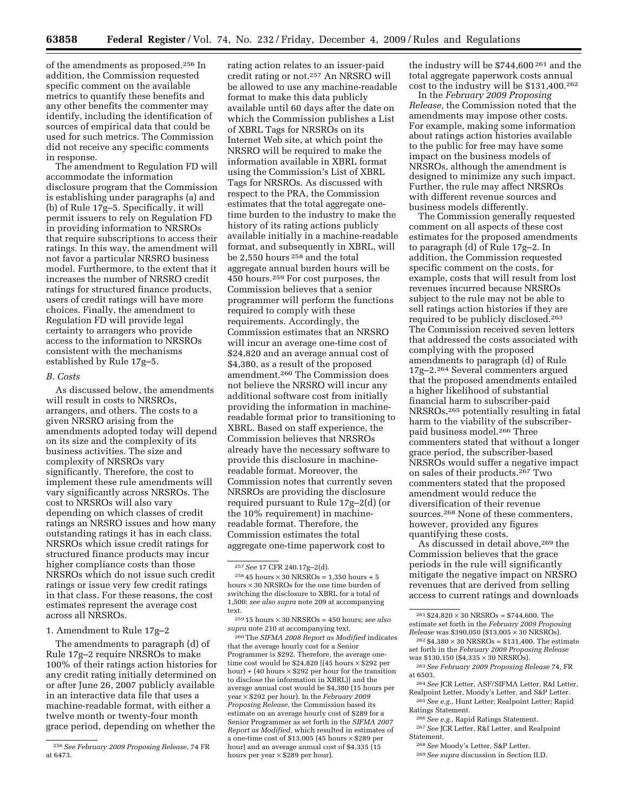of the amendments as proposed.256 In addition, the Commission requested specific comment on the available metrics to quantify these benefits and any other benefits the commenter may identify, including the identification of sources of empirical data that could be used for such metrics. The Commission did not receive any specific comments in response.

The amendment to Regulation FD will accommodate the information disclosure program that the Commission is establishing under paragraphs (a) and (b) of Rule 17g–5. Specifically, it will permit issuers to rely on Regulation FD in providing information to NRSROs that require subscriptions to access their ratings. In this way, the amendment will not favor a particular NRSRO business model. Furthermore, to the extent that it increases the number of NRSRO credit ratings for structured finance products, users of credit ratings will have more choices. Finally, the amendment to Regulation FD will provide legal certainty to arrangers who provide access to the information to NRSROs consistent with the mechanisms established by Rule 17g–5.

#### *B. Costs*

As discussed below, the amendments will result in costs to NRSROs, arrangers, and others. The costs to a given NRSRO arising from the amendments adopted today will depend on its size and the complexity of its business activities. The size and complexity of NRSROs vary significantly. Therefore, the cost to implement these rule amendments will vary significantly across NRSROs. The cost to NRSROs will also vary depending on which classes of credit ratings an NRSRO issues and how many outstanding ratings it has in each class. NRSROs which issue credit ratings for structured finance products may incur higher compliance costs than those NRSROs which do not issue such credit ratings or issue very few credit ratings in that class. For these reasons, the cost estimates represent the average cost across all NRSROs.

#### 1. Amendment to Rule 17g–2

The amendments to paragraph (d) of Rule 17g–2 require NRSROs to make 100% of their ratings action histories for any credit rating initially determined on or after June 26, 2007 publicly available in an interactive data file that uses a machine-readable format, with either a twelve month or twenty-four month grace period, depending on whether the

rating action relates to an issuer-paid credit rating or not.257 An NRSRO will be allowed to use any machine-readable format to make this data publicly available until 60 days after the date on which the Commission publishes a List of XBRL Tags for NRSROs on its Internet Web site, at which point the NRSRO will be required to make the information available in XBRL format using the Commission's List of XBRL Tags for NRSROs. As discussed with respect to the PRA, the Commission estimates that the total aggregate onetime burden to the industry to make the history of its rating actions publicly available initially in a machine-readable format, and subsequently in XBRL, will be 2,550 hours 258 and the total aggregate annual burden hours will be 450 hours.259 For cost purposes, the Commission believes that a senior programmer will perform the functions required to comply with these requirements. Accordingly, the Commission estimates that an NRSRO will incur an average one-time cost of \$24,820 and an average annual cost of \$4,380, as a result of the proposed amendment.260 The Commission does not believe the NRSRO will incur any additional software cost from initially providing the information in machinereadable format prior to transitioning to XBRL. Based on staff experience, the Commission believes that NRSROs already have the necessary software to provide this disclosure in machinereadable format. Moreover, the Commission notes that currently seven NRSROs are providing the disclosure required pursuant to Rule 17g–2(d) (or the 10% requirement) in machinereadable format. Therefore, the Commission estimates the total aggregate one-time paperwork cost to

260 The *SIFMA 2008 Report as Modified* indicates that the average hourly cost for a Senior Programmer is \$292. Therefore, the average onetime cost would be \$24,820  $(45 \text{ hours} \times \text{$}292 \text{ per})$ hour) + (40 hours  $\times$  \$292 per hour for the transition to disclose the information in XBRL)] and the average annual cost would be \$4,380 (15 hours per year × \$292 per hour). In the *February 2009 Proposing Release,* the Commission based its estimate on an average hourly cost of \$289 for a Senior Programmer as set forth in the *SIFMA 2007 Report as Modified,* which resulted in estimates of a one-time cost of \$13,005 (45 hours × \$289 per hour) and an average annual cost of \$4,335 (15 hours per year  $\times$  \$289 per hour).

the industry will be \$744,600 261 and the total aggregate paperwork costs annual cost to the industry will be \$131,400.262

In the *February 2009 Proposing Release,* the Commission noted that the amendments may impose other costs. For example, making some information about ratings action histories available to the public for free may have some impact on the business models of NRSROs, although the amendment is designed to minimize any such impact. Further, the rule may affect NRSROs with different revenue sources and business models differently.

The Commission generally requested comment on all aspects of these cost estimates for the proposed amendments to paragraph (d) of Rule 17g–2. In addition, the Commission requested specific comment on the costs, for example, costs that will result from lost revenues incurred because NRSROs subject to the rule may not be able to sell ratings action histories if they are required to be publicly disclosed.263 The Commission received seven letters that addressed the costs associated with complying with the proposed amendments to paragraph (d) of Rule 17g–2.264 Several commenters argued that the proposed amendments entailed a higher likelihood of substantial financial harm to subscriber-paid NRSROs,265 potentially resulting in fatal harm to the viability of the subscriberpaid business model.266 Three commenters stated that without a longer grace period, the subscriber-based NRSROs would suffer a negative impact on sales of their products.267 Two commenters stated that the proposed amendment would reduce the diversification of their revenue sources.268 None of these commenters, however, provided any figures quantifying these costs.

As discussed in detail above,<sup>269</sup> the Commission believes that the grace periods in the rule will significantly mitigate the negative impact on NRSRO revenues that are derived from selling access to current ratings and downloads

Ratings Statement.

266 *See e.g.,* Rapid Ratings Statement. 267 *See* JCR Letter, R&I Letter, and Realpoint Statement.

268 *See* Moody's Letter, S&P Letter.

<sup>256</sup> *See February 2009 Proposing Release,* 74 FR at 6473.

<sup>257</sup> *See* 17 CFR 240.17g–2(d).

<sup>&</sup>lt;sup>258</sup> 45 hours  $\times$  30 NRSROs = 1,350 hours + 5 hours × 30 NRSROs for the one time burden of switching the disclosure to XBRL for a total of 1,500; *see also supra* note 209 at accompanying text.

<sup>259 15</sup> hours × 30 NRSROs = 450 hours; *see also supra* note 210 at accompanying text.

 $^{261}$   $$24,820\times30$  NRSROs =  $$744,600.$  The estimate set forth in the *February 2009 Proposing Release* was \$390,050 (\$13,005 × 30 NRSROs).

 $262 $4,380 \times 30$  NRSROs = \$131,400. The estimate set forth in the *February 2009 Proposing Release*  was \$130,150 (\$4,335  $\times$  30 NRSROs).

<sup>263</sup> *See February 2009 Proposing Release* 74, FR at 6503.

<sup>264</sup> *See* JCR Letter, ASF/SIFMA Letter, R&I Letter, Realpoint Letter, Moody's Letter, and S&P Letter. 265 *See e.g.,* Hunt Letter; Realpoint Letter; Rapid

<sup>269</sup> *See supra* discussion in Section II.D.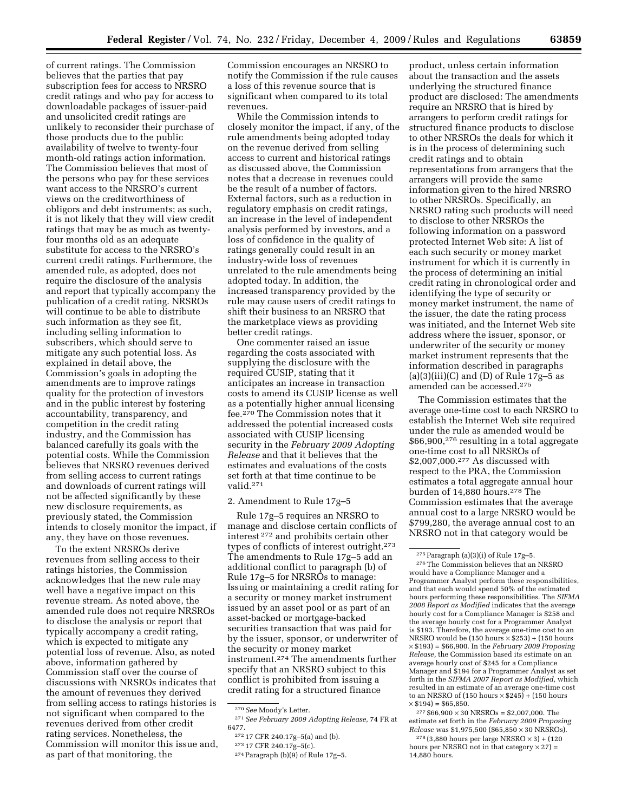of current ratings. The Commission believes that the parties that pay subscription fees for access to NRSRO credit ratings and who pay for access to downloadable packages of issuer-paid and unsolicited credit ratings are unlikely to reconsider their purchase of those products due to the public availability of twelve to twenty-four month-old ratings action information. The Commission believes that most of the persons who pay for these services want access to the NRSRO's current views on the creditworthiness of obligors and debt instruments; as such, it is not likely that they will view credit ratings that may be as much as twentyfour months old as an adequate substitute for access to the NRSRO's current credit ratings. Furthermore, the amended rule, as adopted, does not require the disclosure of the analysis and report that typically accompany the publication of a credit rating. NRSROs will continue to be able to distribute such information as they see fit, including selling information to subscribers, which should serve to mitigate any such potential loss. As explained in detail above, the Commission's goals in adopting the amendments are to improve ratings quality for the protection of investors and in the public interest by fostering accountability, transparency, and competition in the credit rating industry, and the Commission has balanced carefully its goals with the potential costs. While the Commission believes that NRSRO revenues derived from selling access to current ratings and downloads of current ratings will not be affected significantly by these new disclosure requirements, as previously stated, the Commission intends to closely monitor the impact, if any, they have on those revenues.

To the extent NRSROs derive revenues from selling access to their ratings histories, the Commission acknowledges that the new rule may well have a negative impact on this revenue stream. As noted above, the amended rule does not require NRSROs to disclose the analysis or report that typically accompany a credit rating, which is expected to mitigate any potential loss of revenue. Also, as noted above, information gathered by Commission staff over the course of discussions with NRSROs indicates that the amount of revenues they derived from selling access to ratings histories is not significant when compared to the revenues derived from other credit rating services. Nonetheless, the Commission will monitor this issue and, as part of that monitoring, the

Commission encourages an NRSRO to notify the Commission if the rule causes a loss of this revenue source that is significant when compared to its total revenues.

While the Commission intends to closely monitor the impact, if any, of the rule amendments being adopted today on the revenue derived from selling access to current and historical ratings as discussed above, the Commission notes that a decrease in revenues could be the result of a number of factors. External factors, such as a reduction in regulatory emphasis on credit ratings, an increase in the level of independent analysis performed by investors, and a loss of confidence in the quality of ratings generally could result in an industry-wide loss of revenues unrelated to the rule amendments being adopted today. In addition, the increased transparency provided by the rule may cause users of credit ratings to shift their business to an NRSRO that the marketplace views as providing better credit ratings.

One commenter raised an issue regarding the costs associated with supplying the disclosure with the required CUSIP, stating that it anticipates an increase in transaction costs to amend its CUSIP license as well as a potentially higher annual licensing fee.270 The Commission notes that it addressed the potential increased costs associated with CUSIP licensing security in the *February 2009 Adopting Release* and that it believes that the estimates and evaluations of the costs set forth at that time continue to be valid.271

# 2. Amendment to Rule 17g–5

Rule 17g–5 requires an NRSRO to manage and disclose certain conflicts of interest 272 and prohibits certain other types of conflicts of interest outright.273 The amendments to Rule 17g–5 add an additional conflict to paragraph (b) of Rule 17g–5 for NRSROs to manage: Issuing or maintaining a credit rating for a security or money market instrument issued by an asset pool or as part of an asset-backed or mortgage-backed securities transaction that was paid for by the issuer, sponsor, or underwriter of the security or money market instrument.274 The amendments further specify that an NRSRO subject to this conflict is prohibited from issuing a credit rating for a structured finance

271 *See February 2009 Adopting Release,* 74 FR at 6477.

product, unless certain information about the transaction and the assets underlying the structured finance product are disclosed: The amendments require an NRSRO that is hired by arrangers to perform credit ratings for structured finance products to disclose to other NRSROs the deals for which it is in the process of determining such credit ratings and to obtain representations from arrangers that the arrangers will provide the same information given to the hired NRSRO to other NRSROs. Specifically, an NRSRO rating such products will need to disclose to other NRSROs the following information on a password protected Internet Web site: A list of each such security or money market instrument for which it is currently in the process of determining an initial credit rating in chronological order and identifying the type of security or money market instrument, the name of the issuer, the date the rating process was initiated, and the Internet Web site address where the issuer, sponsor, or underwriter of the security or money market instrument represents that the information described in paragraphs (a)(3)(iii)(C) and (D) of Rule  $17g-5$  as amended can be accessed.275

The Commission estimates that the average one-time cost to each NRSRO to establish the Internet Web site required under the rule as amended would be \$66,900,276 resulting in a total aggregate one-time cost to all NRSROs of \$2,007,000.277 As discussed with respect to the PRA, the Commission estimates a total aggregate annual hour burden of 14,880 hours.278 The Commission estimates that the average annual cost to a large NRSRO would be \$799,280, the average annual cost to an NRSRO not in that category would be

 $277 $66,900 \times 30$  NRSROs = \$2,007,000. The estimate set forth in the *February 2009 Proposing Release* was \$1,975,500 (\$65,850 × 30 NRSROs).

 $278 (3,880$  hours per large NRSRO  $\times$  3) + (120 hours per NRSRO not in that category  $\times$  27) = 14,880 hours.

<sup>270</sup> *See* Moody's Letter.

<sup>272 17</sup> CFR 240.17g–5(a) and (b).

<sup>273 17</sup> CFR 240.17g–5(c).

<sup>274</sup> Paragraph (b)(9) of Rule 17g–5.

<sup>275</sup> Paragraph (a)(3)(i) of Rule 17g–5.

<sup>276</sup> The Commission believes that an NRSRO would have a Compliance Manager and a Programmer Analyst perform these responsibilities, and that each would spend 50% of the estimated hours performing these responsibilities. The *SIFMA 2008 Report as Modified* indicates that the average hourly cost for a Compliance Manager is \$258 and the average hourly cost for a Programmer Analyst is \$193. Therefore, the average one-time cost to an NRSRO would be  $(150 \text{ hours} \times $253) + (150 \text{ hours})$ × \$193) = \$66,900. In the *February 2009 Proposing Release,* the Commission based its estimate on an average hourly cost of \$245 for a Compliance Manager and \$194 for a Programmer Analyst as set forth in the *SIFMA 2007 Report as Modified,* which resulted in an estimate of an average one-time cost to an NRSRO of  $(150 \text{ hours} \times $245) + (150 \text{ hours})$  $\times$  \$194) = \$65,850.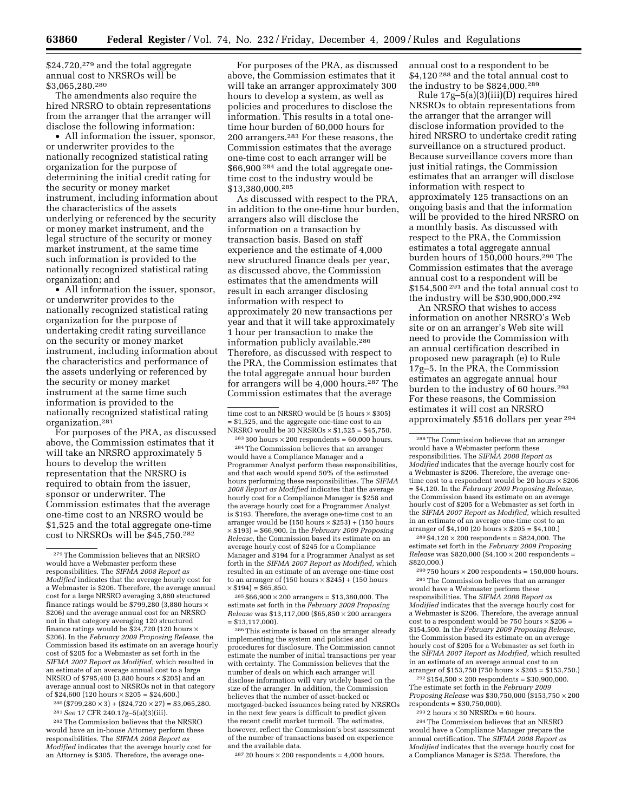$$24,720,1279$  and the total aggregate annual cost to NRSROs will be \$3,065,280.280

The amendments also require the hired NRSRO to obtain representations from the arranger that the arranger will disclose the following information:

• All information the issuer, sponsor, or underwriter provides to the nationally recognized statistical rating organization for the purpose of determining the initial credit rating for the security or money market instrument, including information about the characteristics of the assets underlying or referenced by the security or money market instrument, and the legal structure of the security or money market instrument, at the same time such information is provided to the nationally recognized statistical rating organization; and

• All information the issuer, sponsor, or underwriter provides to the nationally recognized statistical rating organization for the purpose of undertaking credit rating surveillance on the security or money market instrument, including information about the characteristics and performance of the assets underlying or referenced by the security or money market instrument at the same time such information is provided to the nationally recognized statistical rating organization.281

For purposes of the PRA, as discussed above, the Commission estimates that it will take an NRSRO approximately 5 hours to develop the written representation that the NRSRO is required to obtain from the issuer, sponsor or underwriter. The Commission estimates that the average one-time cost to an NRSRO would be \$1,525 and the total aggregate one-time cost to NRSROs will be \$45,750.282

 $280 (\$799,280 \times 3) + \$24,720 \times 27) = \$3,065,280.$ 281 *See* 17 CFR 240.17g–5(a)(3)(iii).

282 The Commission believes that the NRSRO

would have an in-house Attorney perform these responsibilities. The *SIFMA 2008 Report as Modified* indicates that the average hourly cost for an Attorney is \$305. Therefore, the average one-

For purposes of the PRA, as discussed above, the Commission estimates that it will take an arranger approximately 300 hours to develop a system, as well as policies and procedures to disclose the information. This results in a total onetime hour burden of 60,000 hours for 200 arrangers.283 For these reasons, the Commission estimates that the average one-time cost to each arranger will be \$66,900 284 and the total aggregate onetime cost to the industry would be \$13,380,000.285

As discussed with respect to the PRA, in addition to the one-time hour burden, arrangers also will disclose the information on a transaction by transaction basis. Based on staff experience and the estimate of 4,000 new structured finance deals per year, as discussed above, the Commission estimates that the amendments will result in each arranger disclosing information with respect to approximately 20 new transactions per year and that it will take approximately 1 hour per transaction to make the information publicly available.<sup>286</sup> Therefore, as discussed with respect to the PRA, the Commission estimates that the total aggregate annual hour burden for arrangers will be 4,000 hours.287 The Commission estimates that the average

 $^{283}\,300$  hours  $\times\,200$  respondents = 60,000 hours. 284 The Commission believes that an arranger would have a Compliance Manager and a Programmer Analyst perform these responsibilities, and that each would spend 50% of the estimated hours performing these responsibilities. The *SIFMA 2008 Report as Modified* indicates that the average hourly cost for a Compliance Manager is \$258 and the average hourly cost for a Programmer Analyst is \$193. Therefore, the average one-time cost to an arranger would be (150 hours  $\times$  \$253) + (150 hours × \$193) = \$66,900. In the *February 2009 Proposing Release,* the Commission based its estimate on an average hourly cost of \$245 for a Compliance Manager and \$194 for a Programmer Analyst as set forth in the *SIFMA 2007 Report as Modified,* which resulted in an estimate of an average one-time cost to an arranger of  $(150 \text{ hours} \times $245) + (150 \text{ hours})$  $\times$  \$194) = \$65,850.

 $285 $66,900 \times 200$  arrangers = \$13,380,000. The estimate set forth in the *February 2009 Proposing Release* was \$13,117,000 (\$65,850 × 200 arrangers = \$13,117,000).

286 This estimate is based on the arranger already implementing the system and policies and procedures for disclosure. The Commission cannot estimate the number of initial transactions per year with certainty. The Commission believes that the number of deals on which each arranger will disclose information will vary widely based on the size of the arranger. In addition, the Commission believes that the number of asset-backed or mortgaged-backed issuances being rated by NRSROs in the next few years is difficult to predict given the recent credit market turmoil. The estimates, however, reflect the Commission's best assessment of the number of transactions based on experience and the available data.

 $287 20$  hours  $\times 200$  respondents = 4,000 hours.

annual cost to a respondent to be \$4,120 288 and the total annual cost to the industry to be \$824,000.289

Rule 17g–5(a)(3)(iii)(D) requires hired NRSROs to obtain representations from the arranger that the arranger will disclose information provided to the hired NRSRO to undertake credit rating surveillance on a structured product. Because surveillance covers more than just initial ratings, the Commission estimates that an arranger will disclose information with respect to approximately 125 transactions on an ongoing basis and that the information will be provided to the hired NRSRO on a monthly basis. As discussed with respect to the PRA, the Commission estimates a total aggregate annual burden hours of 150,000 hours.290 The Commission estimates that the average annual cost to a respondent will be \$154,500 291 and the total annual cost to the industry will be \$30,900,000.292

An NRSRO that wishes to access information on another NRSRO's Web site or on an arranger's Web site will need to provide the Commission with an annual certification described in proposed new paragraph (e) to Rule 17g–5. In the PRA, the Commission estimates an aggregate annual hour burden to the industry of 60 hours.293 For these reasons, the Commission estimates it will cost an NRSRO approximately \$516 dollars per year 294

 $289 $4,120 \times 200$  respondents = \$824,000. The estimate set forth in the *February 2009 Proposing Release* was \$820,000 (\$4,100 × 200 respondents = \$820,000.)

 $290750$  hours  $\times 200$  respondents = 150,000 hours. 291 The Commission believes that an arranger would have a Webmaster perform these responsibilities. The *SIFMA 2008 Report as Modified* indicates that the average hourly cost for a Webmaster is \$206. Therefore, the average annual cost to a respondent would be 750 hours  $\times$  \$206 = \$154,500. In the *February 2009 Proposing Release,*  the Commission based its estimate on an average hourly cost of \$205 for a Webmaster as set forth in the *SIFMA 2007 Report as Modified,* which resulted in an estimate of an average annual cost to an arranger of \$153,750 (750 hours  $\times$  \$205 = \$153,750.)

 $292 \$154,500 \times 200$  respondents = \$30,900,000. The estimate set forth in the *February 2009 Proposing Release* was \$30,750,000 (\$153,750 × 200  $respondents = $30,750,000$ .

 $^{293}$  2 hours  $\times$  30 NRSROs = 60 hours.

294 The Commission believes that an NRSRO would have a Compliance Manager prepare the annual certification. The *SIFMA 2008 Report as Modified* indicates that the average hourly cost for a Compliance Manager is \$258. Therefore, the

<sup>279</sup> The Commission believes that an NRSRO would have a Webmaster perform these responsibilities. The *SIFMA 2008 Report as Modified* indicates that the average hourly cost for a Webmaster is \$206. Therefore, the average annual cost for a large NRSRO averaging 3,880 structured finance ratings would be \$799,280 (3,880 hours  $\times$ \$206) and the average annual cost for an NRSRO not in that category averaging 120 structured finance ratings would be \$24,720 (120 hours  $\times$ \$206). In the *February 2009 Proposing Release,* the Commission based its estimate on an average hourly cost of \$205 for a Webmaster as set forth in the *SIFMA 2007 Report as Modified,* which resulted in an estimate of an average annual cost to a large NRSRO of \$795,400 (3,880 hours × \$205) and an average annual cost to NRSROs not in that category of \$24,600 (120 hours  $\times$  \$205 = \$24,600.)

time cost to an NRSRO would be  $(5 \text{ hours} \times $305)$ = \$1,525, and the aggregate one-time cost to an NRSRO would be  $30$  NRSROs  $\times$  \$1,525 = \$45,750.

<sup>288</sup> The Commission believes that an arranger would have a Webmaster perform these responsibilities. The *SIFMA 2008 Report as Modified* indicates that the average hourly cost for a Webmaster is \$206. Therefore, the average onetime cost to a respondent would be 20 hours  $\times$  \$206 = \$4,120. In the *February 2009 Proposing Release,*  the Commission based its estimate on an average hourly cost of \$205 for a Webmaster as set forth in the *SIFMA 2007 Report as Modified,* which resulted in an estimate of an average one-time cost to an arranger of \$4,100 (20 hours  $\times$  \$205 = \$4,100.)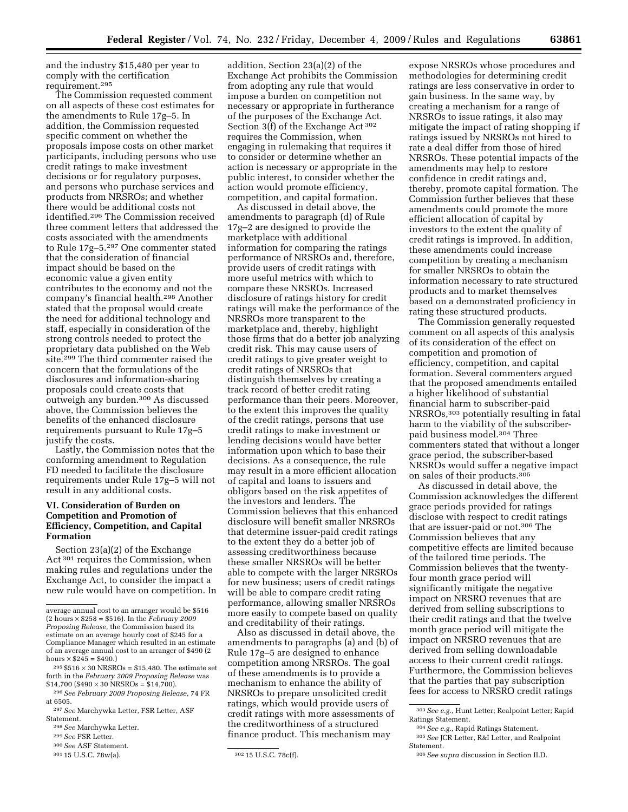and the industry \$15,480 per year to comply with the certification requirement.295

The Commission requested comment on all aspects of these cost estimates for the amendments to Rule 17g–5. In addition, the Commission requested specific comment on whether the proposals impose costs on other market participants, including persons who use credit ratings to make investment decisions or for regulatory purposes, and persons who purchase services and products from NRSROs; and whether there would be additional costs not identified.296 The Commission received three comment letters that addressed the costs associated with the amendments to Rule 17g–5.297 One commenter stated that the consideration of financial impact should be based on the economic value a given entity contributes to the economy and not the company's financial health.298 Another stated that the proposal would create the need for additional technology and staff, especially in consideration of the strong controls needed to protect the proprietary data published on the Web site.299 The third commenter raised the concern that the formulations of the disclosures and information-sharing proposals could create costs that outweigh any burden.300 As discussed above, the Commission believes the benefits of the enhanced disclosure requirements pursuant to Rule 17g–5 justify the costs.

Lastly, the Commission notes that the conforming amendment to Regulation FD needed to facilitate the disclosure requirements under Rule 17g–5 will not result in any additional costs.

# **VI. Consideration of Burden on Competition and Promotion of Efficiency, Competition, and Capital Formation**

Section 23(a)(2) of the Exchange Act 301 requires the Commission, when making rules and regulations under the Exchange Act, to consider the impact a new rule would have on competition. In

addition, Section 23(a)(2) of the Exchange Act prohibits the Commission from adopting any rule that would impose a burden on competition not necessary or appropriate in furtherance of the purposes of the Exchange Act. Section 3(f) of the Exchange Act 302 requires the Commission, when engaging in rulemaking that requires it to consider or determine whether an action is necessary or appropriate in the public interest, to consider whether the action would promote efficiency, competition, and capital formation.

As discussed in detail above, the amendments to paragraph (d) of Rule 17g–2 are designed to provide the marketplace with additional information for comparing the ratings performance of NRSROs and, therefore, provide users of credit ratings with more useful metrics with which to compare these NRSROs. Increased disclosure of ratings history for credit ratings will make the performance of the NRSROs more transparent to the marketplace and, thereby, highlight those firms that do a better job analyzing credit risk. This may cause users of credit ratings to give greater weight to credit ratings of NRSROs that distinguish themselves by creating a track record of better credit rating performance than their peers. Moreover, to the extent this improves the quality of the credit ratings, persons that use credit ratings to make investment or lending decisions would have better information upon which to base their decisions. As a consequence, the rule may result in a more efficient allocation of capital and loans to issuers and obligors based on the risk appetites of the investors and lenders. The Commission believes that this enhanced disclosure will benefit smaller NRSROs that determine issuer-paid credit ratings to the extent they do a better job of assessing creditworthiness because these smaller NRSROs will be better able to compete with the larger NRSROs for new business; users of credit ratings will be able to compare credit rating performance, allowing smaller NRSROs more easily to compete based on quality and creditability of their ratings.

Also as discussed in detail above, the amendments to paragraphs (a) and (b) of Rule 17g–5 are designed to enhance competition among NRSROs. The goal of these amendments is to provide a mechanism to enhance the ability of NRSROs to prepare unsolicited credit ratings, which would provide users of credit ratings with more assessments of the creditworthiness of a structured finance product. This mechanism may

expose NRSROs whose procedures and methodologies for determining credit ratings are less conservative in order to gain business. In the same way, by creating a mechanism for a range of NRSROs to issue ratings, it also may mitigate the impact of rating shopping if ratings issued by NRSROs not hired to rate a deal differ from those of hired NRSROs. These potential impacts of the amendments may help to restore confidence in credit ratings and, thereby, promote capital formation. The Commission further believes that these amendments could promote the more efficient allocation of capital by investors to the extent the quality of credit ratings is improved. In addition, these amendments could increase competition by creating a mechanism for smaller NRSROs to obtain the information necessary to rate structured products and to market themselves based on a demonstrated proficiency in rating these structured products.

The Commission generally requested comment on all aspects of this analysis of its consideration of the effect on competition and promotion of efficiency, competition, and capital formation. Several commenters argued that the proposed amendments entailed a higher likelihood of substantial financial harm to subscriber-paid NRSROs,303 potentially resulting in fatal harm to the viability of the subscriberpaid business model.304 Three commenters stated that without a longer grace period, the subscriber-based NRSROs would suffer a negative impact on sales of their products.305

As discussed in detail above, the Commission acknowledges the different grace periods provided for ratings disclose with respect to credit ratings that are issuer-paid or not.306 The Commission believes that any competitive effects are limited because of the tailored time periods. The Commission believes that the twentyfour month grace period will significantly mitigate the negative impact on NRSRO revenues that are derived from selling subscriptions to their credit ratings and that the twelve month grace period will mitigate the impact on NRSRO revenues that are derived from selling downloadable access to their current credit ratings. Furthermore, the Commission believes that the parties that pay subscription fees for access to NRSRO credit ratings

average annual cost to an arranger would be \$516 (2 hours × \$258 = \$516). In the *February 2009 Proposing Release,* the Commission based its estimate on an average hourly cost of \$245 for a Compliance Manager which resulted in an estimate of an average annual cost to an arranger of \$490 (2 hours  $\times$  \$245 = \$490.)

 $295 $516 \times 30$  NRSROs = \$15,480. The estimate set forth in the *February 2009 Proposing Release* was  $$14,700$  (\$490  $\times$  30 NRSROs = \$14,700).

<sup>296</sup> *See February 2009 Proposing Release,* 74 FR at 6505.

<sup>297</sup> *See* Marchywka Letter, FSR Letter, ASF Statement.

<sup>298</sup> *See* Marchywka Letter.

<sup>299</sup> *See* FSR Letter.

<sup>300</sup> *See* ASF Statement.

<sup>301 15</sup> U.S.C. 78w(a).

<sup>302 15</sup> U.S.C. 78c(f).

<sup>303</sup> *See e.g.,* Hunt Letter; Realpoint Letter; Rapid Ratings Statement.

<sup>304</sup> *See e.g.,* Rapid Ratings Statement. 305 *See* JCR Letter, R&I Letter, and Realpoint Statement.

<sup>306</sup> *See supra* discussion in Section II.D.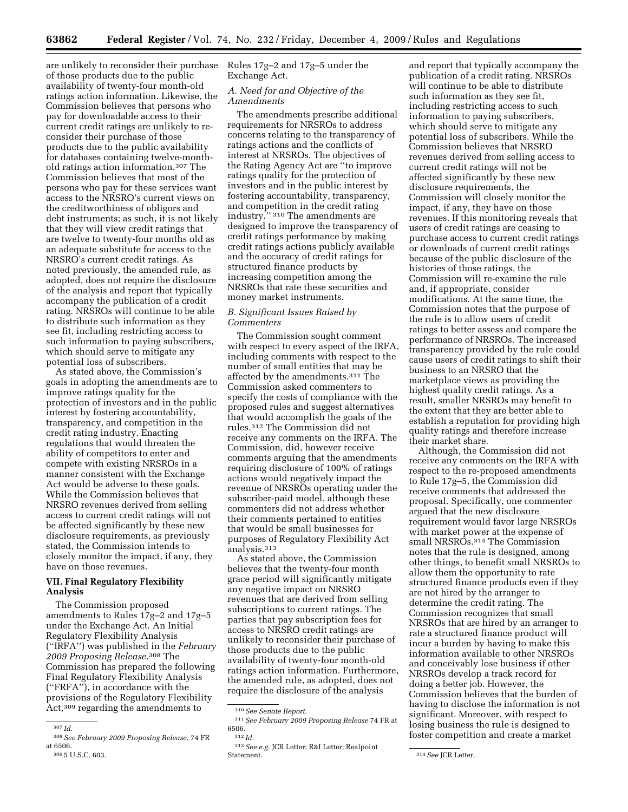are unlikely to reconsider their purchase of those products due to the public availability of twenty-four month-old ratings action information. Likewise, the Commission believes that persons who pay for downloadable access to their current credit ratings are unlikely to reconsider their purchase of those products due to the public availability for databases containing twelve-monthold ratings action information.307 The Commission believes that most of the persons who pay for these services want access to the NRSRO's current views on the creditworthiness of obligors and debt instruments; as such, it is not likely that they will view credit ratings that are twelve to twenty-four months old as an adequate substitute for access to the NRSRO's current credit ratings. As noted previously, the amended rule, as adopted, does not require the disclosure of the analysis and report that typically accompany the publication of a credit rating. NRSROs will continue to be able to distribute such information as they see fit, including restricting access to such information to paying subscribers, which should serve to mitigate any potential loss of subscribers.

As stated above, the Commission's goals in adopting the amendments are to improve ratings quality for the protection of investors and in the public interest by fostering accountability, transparency, and competition in the credit rating industry. Enacting regulations that would threaten the ability of competitors to enter and compete with existing NRSROs in a manner consistent with the Exchange Act would be adverse to these goals. While the Commission believes that NRSRO revenues derived from selling access to current credit ratings will not be affected significantly by these new disclosure requirements, as previously stated, the Commission intends to closely monitor the impact, if any, they have on those revenues.

# **VII. Final Regulatory Flexibility Analysis**

The Commission proposed amendments to Rules 17g–2 and 17g–5 under the Exchange Act. An Initial Regulatory Flexibility Analysis (''IRFA'') was published in the *February 2009 Proposing Release.*308 The Commission has prepared the following Final Regulatory Flexibility Analysis (''FRFA''), in accordance with the provisions of the Regulatory Flexibility Act,309 regarding the amendments to

Rules 17g–2 and 17g–5 under the Exchange Act.

#### *A. Need for and Objective of the Amendments*

The amendments prescribe additional requirements for NRSROs to address concerns relating to the transparency of ratings actions and the conflicts of interest at NRSROs. The objectives of the Rating Agency Act are ''to improve ratings quality for the protection of investors and in the public interest by fostering accountability, transparency, and competition in the credit rating industry.'' 310 The amendments are designed to improve the transparency of credit ratings performance by making credit ratings actions publicly available and the accuracy of credit ratings for structured finance products by increasing competition among the NRSROs that rate these securities and money market instruments.

# *B. Significant Issues Raised by Commenters*

The Commission sought comment with respect to every aspect of the IRFA, including comments with respect to the number of small entities that may be affected by the amendments.311 The Commission asked commenters to specify the costs of compliance with the proposed rules and suggest alternatives that would accomplish the goals of the rules.312 The Commission did not receive any comments on the IRFA. The Commission, did, however receive comments arguing that the amendments requiring disclosure of 100% of ratings actions would negatively impact the revenue of NRSROs operating under the subscriber-paid model, although these commenters did not address whether their comments pertained to entities that would be small businesses for purposes of Regulatory Flexibility Act analysis.313

As stated above, the Commission believes that the twenty-four month grace period will significantly mitigate any negative impact on NRSRO revenues that are derived from selling subscriptions to current ratings. The parties that pay subscription fees for access to NRSRO credit ratings are unlikely to reconsider their purchase of those products due to the public availability of twenty-four month-old ratings action information. Furthermore, the amended rule, as adopted, does not require the disclosure of the analysis

and report that typically accompany the publication of a credit rating. NRSROs will continue to be able to distribute such information as they see fit, including restricting access to such information to paying subscribers, which should serve to mitigate any potential loss of subscribers. While the Commission believes that NRSRO revenues derived from selling access to current credit ratings will not be affected significantly by these new disclosure requirements, the Commission will closely monitor the impact, if any, they have on those revenues. If this monitoring reveals that users of credit ratings are ceasing to purchase access to current credit ratings or downloads of current credit ratings because of the public disclosure of the histories of those ratings, the Commission will re-examine the rule and, if appropriate, consider modifications. At the same time, the Commission notes that the purpose of the rule is to allow users of credit ratings to better assess and compare the performance of NRSROs. The increased transparency provided by the rule could cause users of credit ratings to shift their business to an NRSRO that the marketplace views as providing the highest quality credit ratings. As a result, smaller NRSROs may benefit to the extent that they are better able to establish a reputation for providing high quality ratings and therefore increase their market share.

Although, the Commission did not receive any comments on the IRFA with respect to the re-proposed amendments to Rule 17g–5, the Commission did receive comments that addressed the proposal. Specifically, one commenter argued that the new disclosure requirement would favor large NRSROs with market power at the expense of small NRSROs.<sup>314</sup> The Commission notes that the rule is designed, among other things, to benefit small NRSROs to allow them the opportunity to rate structured finance products even if they are not hired by the arranger to determine the credit rating. The Commission recognizes that small NRSROs that are hired by an arranger to rate a structured finance product will incur a burden by having to make this information available to other NRSROs and conceivably lose business if other NRSROs develop a track record for doing a better job. However, the Commission believes that the burden of having to disclose the information is not significant. Moreover, with respect to losing business the rule is designed to foster competition and create a market

<sup>307</sup> *Id.* 

<sup>308</sup> *See February 2009 Proposing Release,* 74 FR at 6506. 309 5 U.S.C. 603.

<sup>310</sup> *See Senate Report.* 

<sup>311</sup> *See February 2009 Proposing Release* 74 FR at 6506. 312 *Id.* 

<sup>313</sup> *See e.g.* JCR Letter; R&I Letter; Realpoint Statement.

<sup>314</sup> *See* JCR Letter.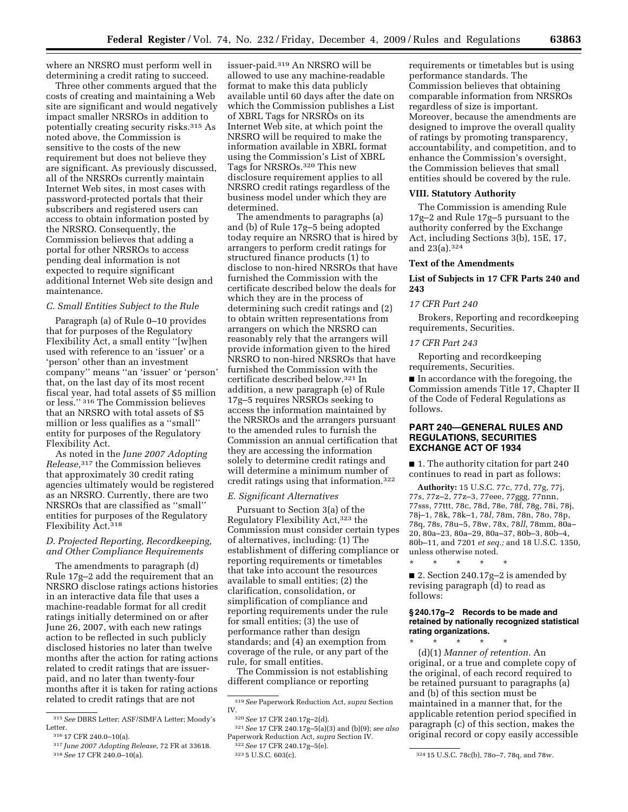where an NRSRO must perform well in determining a credit rating to succeed.

Three other comments argued that the costs of creating and maintaining a Web site are significant and would negatively impact smaller NRSROs in addition to potentially creating security risks.315 As noted above, the Commission is sensitive to the costs of the new requirement but does not believe they are significant. As previously discussed, all of the NRSROs currently maintain Internet Web sites, in most cases with password-protected portals that their subscribers and registered users can access to obtain information posted by the NRSRO. Consequently, the Commission believes that adding a portal for other NRSROs to access pending deal information is not expected to require significant additional Internet Web site design and maintenance.

# *C. Small Entities Subject to the Rule*

Paragraph (a) of Rule 0–10 provides that for purposes of the Regulatory Flexibility Act, a small entity ''[w]hen used with reference to an 'issuer' or a 'person' other than an investment company'' means ''an 'issuer' or 'person' that, on the last day of its most recent fiscal year, had total assets of \$5 million or less.'' 316 The Commission believes that an NRSRO with total assets of \$5 million or less qualifies as a ''small'' entity for purposes of the Regulatory Flexibility Act.

As noted in the *June 2007 Adopting Release,*317 the Commission believes that approximately 30 credit rating agencies ultimately would be registered as an NRSRO. Currently, there are two NRSROs that are classified as ''small'' entities for purposes of the Regulatory Flexibility Act.318

# *D. Projected Reporting, Recordkeeping, and Other Compliance Requirements*

The amendments to paragraph (d) Rule 17g–2 add the requirement that an NRSRO disclose ratings actions histories in an interactive data file that uses a machine-readable format for all credit ratings initially determined on or after June 26, 2007, with each new ratings action to be reflected in such publicly disclosed histories no later than twelve months after the action for rating actions related to credit ratings that are issuerpaid, and no later than twenty-four months after it is taken for rating actions related to credit ratings that are not

issuer-paid.319 An NRSRO will be allowed to use any machine-readable format to make this data publicly available until 60 days after the date on which the Commission publishes a List of XBRL Tags for NRSROs on its Internet Web site, at which point the NRSRO will be required to make the information available in XBRL format using the Commission's List of XBRL Tags for NRSROs.320 This new disclosure requirement applies to all NRSRO credit ratings regardless of the business model under which they are determined.

The amendments to paragraphs (a) and (b) of Rule 17g–5 being adopted today require an NRSRO that is hired by arrangers to perform credit ratings for structured finance products (1) to disclose to non-hired NRSROs that have furnished the Commission with the certificate described below the deals for which they are in the process of determining such credit ratings and (2) to obtain written representations from arrangers on which the NRSRO can reasonably rely that the arrangers will provide information given to the hired NRSRO to non-hired NRSROs that have furnished the Commission with the certificate described below.321 In addition, a new paragraph (e) of Rule 17g–5 requires NRSROs seeking to access the information maintained by the NRSROs and the arrangers pursuant to the amended rules to furnish the Commission an annual certification that they are accessing the information solely to determine credit ratings and will determine a minimum number of credit ratings using that information.322

#### *E. Significant Alternatives*

Pursuant to Section 3(a) of the Regulatory Flexibility Act,323 the Commission must consider certain types of alternatives, including: (1) The establishment of differing compliance or reporting requirements or timetables that take into account the resources available to small entities; (2) the clarification, consolidation, or simplification of compliance and reporting requirements under the rule for small entities; (3) the use of performance rather than design standards; and (4) an exemption from coverage of the rule, or any part of the rule, for small entities.

The Commission is not establishing different compliance or reporting

requirements or timetables but is using performance standards. The Commission believes that obtaining comparable information from NRSROs regardless of size is important. Moreover, because the amendments are designed to improve the overall quality of ratings by promoting transparency, accountability, and competition, and to enhance the Commission's oversight, the Commission believes that small entities should be covered by the rule.

#### **VIII. Statutory Authority**

The Commission is amending Rule 17g–2 and Rule 17g–5 pursuant to the authority conferred by the Exchange Act, including Sections 3(b), 15E, 17, and 23(a).324

#### **Text of the Amendments**

# **List of Subjects in 17 CFR Parts 240 and 243**

#### *17 CFR Part 240*

Brokers, Reporting and recordkeeping requirements, Securities.

#### *17 CFR Part 243*

Reporting and recordkeeping requirements, Securities.

■ In accordance with the foregoing, the Commission amends Title 17, Chapter II of the Code of Federal Regulations as follows.

# **PART 240—GENERAL RULES AND REGULATIONS, SECURITIES EXCHANGE ACT OF 1934**

■ 1. The authority citation for part 240 continues to read in part as follows:

**Authority:** 15 U.S.C. 77c, 77d, 77g, 77j, 77s, 77z–2, 77z–3, 77eee, 77ggg, 77nnn, 77sss, 77ttt, 78c, 78d, 78e, 78f, 78g, 78i, 78j, 78j–1, 78k, 78k–1, 78*l,* 78m, 78n, 78o, 78p, 78q, 78s, 78u–5, 78w, 78x, 78*ll,* 78mm, 80a– 20, 80a–23, 80a–29, 80a–37, 80b–3, 80b–4, 80b–11, and 7201 *et seq.;* and 18 U.S.C. 1350, unless otherwise noted.

\* \* \* \* \*

■ 2. Section 240.17g-2 is amended by revising paragraph (d) to read as follows:

# **§ 240.17g–2 Records to be made and retained by nationally recognized statistical rating organizations.**

\* \* \* \* \* (d)(1) *Manner of retention.* An original, or a true and complete copy of the original, of each record required to be retained pursuant to paragraphs (a) and (b) of this section must be maintained in a manner that, for the applicable retention period specified in paragraph (c) of this section, makes the original record or copy easily accessible

<sup>315</sup> *See* DBRS Letter; ASF/SIMFA Letter; Moody's Letter.

<sup>316 17</sup> CFR 240.0–10(a).

<sup>317</sup> *June 2007 Adopting Release,* 72 FR at 33618. 318 *See* 17 CFR 240.0–10(a).

<sup>319</sup> *See* Paperwork Reduction Act, *supra* Section IV.

<sup>320</sup> *See* 17 CFR 240.17g–2(d).

<sup>321</sup> *See* 17 CFR 240.17g–5(a)(3) and (b)(9); *see also*  Paperwork Reduction Act, *supra* Section IV.

<sup>322</sup> *See* 17 CFR 240.17g–5(e).

<sup>323 5</sup> U.S.C. 603(c).

<sup>324 15</sup> U.S.C. 78c(b), 78o–7, 78q, and 78w.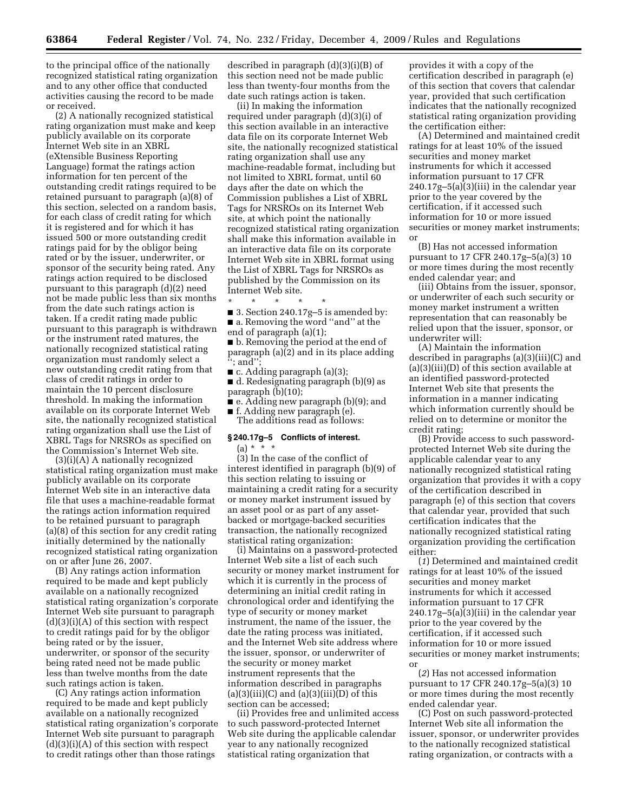to the principal office of the nationally recognized statistical rating organization and to any other office that conducted activities causing the record to be made or received.

(2) A nationally recognized statistical rating organization must make and keep publicly available on its corporate Internet Web site in an XBRL (eXtensible Business Reporting Language) format the ratings action information for ten percent of the outstanding credit ratings required to be retained pursuant to paragraph (a)(8) of this section, selected on a random basis, for each class of credit rating for which it is registered and for which it has issued 500 or more outstanding credit ratings paid for by the obligor being rated or by the issuer, underwriter, or sponsor of the security being rated. Any ratings action required to be disclosed pursuant to this paragraph (d)(2) need not be made public less than six months from the date such ratings action is taken. If a credit rating made public pursuant to this paragraph is withdrawn or the instrument rated matures, the nationally recognized statistical rating organization must randomly select a new outstanding credit rating from that class of credit ratings in order to maintain the 10 percent disclosure threshold. In making the information available on its corporate Internet Web site, the nationally recognized statistical rating organization shall use the List of XBRL Tags for NRSROs as specified on the Commission's Internet Web site.

(3)(i)(A) A nationally recognized statistical rating organization must make publicly available on its corporate Internet Web site in an interactive data file that uses a machine-readable format the ratings action information required to be retained pursuant to paragraph (a)(8) of this section for any credit rating initially determined by the nationally recognized statistical rating organization on or after June 26, 2007.

(B) Any ratings action information required to be made and kept publicly available on a nationally recognized statistical rating organization's corporate Internet Web site pursuant to paragraph  $(d)(3)(i)(A)$  of this section with respect to credit ratings paid for by the obligor being rated or by the issuer, underwriter, or sponsor of the security being rated need not be made public less than twelve months from the date such ratings action is taken.

(C) Any ratings action information required to be made and kept publicly available on a nationally recognized statistical rating organization's corporate Internet Web site pursuant to paragraph  $(d)(3)(i)(A)$  of this section with respect to credit ratings other than those ratings

described in paragraph (d)(3)(i)(B) of this section need not be made public less than twenty-four months from the date such ratings action is taken.

(ii) In making the information required under paragraph (d)(3)(i) of this section available in an interactive data file on its corporate Internet Web site, the nationally recognized statistical rating organization shall use any machine-readable format, including but not limited to XBRL format, until 60 days after the date on which the Commission publishes a List of XBRL Tags for NRSROs on its Internet Web site, at which point the nationally recognized statistical rating organization shall make this information available in an interactive data file on its corporate Internet Web site in XBRL format using the List of XBRL Tags for NRSROs as published by the Commission on its Internet Web site.

\* \* \* \* \*

- 3. Section 240.17g-5 is amended by: ■ a. Removing the word ''and'' at the
- end of paragraph (a)(1);

■ b. Removing the period at the end of paragraph (a)(2) and in its place adding ''; and'';

- c. Adding paragraph (a)(3);
- d. Redesignating paragraph (b)(9) as paragraph (b)(10);
- e. Adding new paragraph (b)(9); and ■ f. Adding new paragraph (e).
- The additions read as follows:

# **§ 240.17g–5 Conflicts of interest.**  (a) \* \* \*

(3) In the case of the conflict of interest identified in paragraph (b)(9) of this section relating to issuing or maintaining a credit rating for a security or money market instrument issued by an asset pool or as part of any assetbacked or mortgage-backed securities transaction, the nationally recognized statistical rating organization:

(i) Maintains on a password-protected Internet Web site a list of each such security or money market instrument for which it is currently in the process of determining an initial credit rating in chronological order and identifying the type of security or money market instrument, the name of the issuer, the date the rating process was initiated, and the Internet Web site address where the issuer, sponsor, or underwriter of the security or money market instrument represents that the information described in paragraphs  $(a)(3)(iii)(C)$  and  $(a)(3)(iii)(D)$  of this section can be accessed;

(ii) Provides free and unlimited access to such password-protected Internet Web site during the applicable calendar year to any nationally recognized statistical rating organization that

provides it with a copy of the certification described in paragraph (e) of this section that covers that calendar year, provided that such certification indicates that the nationally recognized statistical rating organization providing the certification either:

(A) Determined and maintained credit ratings for at least 10% of the issued securities and money market instruments for which it accessed information pursuant to 17 CFR 240.17g–5(a)(3)(iii) in the calendar year prior to the year covered by the certification, if it accessed such information for 10 or more issued securities or money market instruments; or

(B) Has not accessed information pursuant to 17 CFR 240.17g–5(a)(3) 10 or more times during the most recently ended calendar year; and

(iii) Obtains from the issuer, sponsor, or underwriter of each such security or money market instrument a written representation that can reasonably be relied upon that the issuer, sponsor, or underwriter will:

(A) Maintain the information described in paragraphs (a)(3)(iii)(C) and (a)(3)(iii)(D) of this section available at an identified password-protected Internet Web site that presents the information in a manner indicating which information currently should be relied on to determine or monitor the credit rating;

(B) Provide access to such passwordprotected Internet Web site during the applicable calendar year to any nationally recognized statistical rating organization that provides it with a copy of the certification described in paragraph (e) of this section that covers that calendar year, provided that such certification indicates that the nationally recognized statistical rating organization providing the certification either:

(*1*) Determined and maintained credit ratings for at least 10% of the issued securities and money market instruments for which it accessed information pursuant to 17 CFR 240.17g–5(a)(3)(iii) in the calendar year prior to the year covered by the certification, if it accessed such information for 10 or more issued securities or money market instruments; or

(*2*) Has not accessed information pursuant to 17 CFR 240.17g–5(a)(3) 10 or more times during the most recently ended calendar year.

(C) Post on such password-protected Internet Web site all information the issuer, sponsor, or underwriter provides to the nationally recognized statistical rating organization, or contracts with a